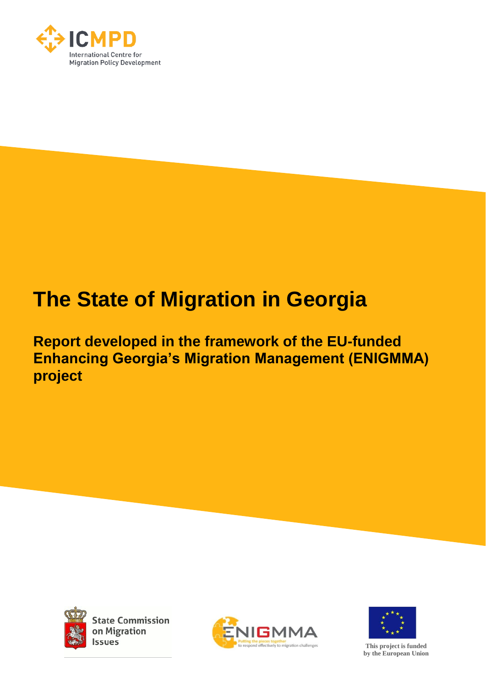

# **The State of Migration in Georgia**

**Report developed in the framework of the EU-funded Enhancing Georgia's Migration Management (ENIGMMA) project**



**State Commission** on Migration Issues





**This project is funded by the European Union**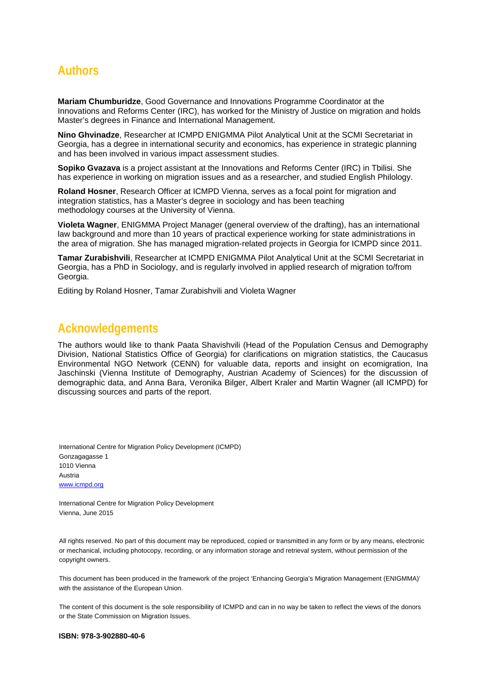# **Authors**

**Mariam Chumburidze**, Good Governance and Innovations Programme Coordinator at the Innovations and Reforms Center (IRC), has worked for the Ministry of Justice on migration and holds Master's degrees in Finance and International Management.

**Nino Ghvinadze**, Researcher at ICMPD ENIGMMA Pilot Analytical Unit at the SCMI Secretariat in Georgia, has a degree in international security and economics, has experience in strategic planning and has been involved in various impact assessment studies.

**Sopiko Gvazava** is a project assistant at the Innovations and Reforms Center (IRC) in Tbilisi. She has experience in working on migration issues and as a researcher, and studied English Philology.

**Roland Hosner**, Research Officer at ICMPD Vienna, serves as a focal point for migration and integration statistics, has a Master's degree in sociology and has been teaching methodology courses at the University of Vienna.

**Violeta Wagner**, ENIGMMA Project Manager (general overview of the drafting), has an international law background and more than 10 years of practical experience working for state administrations in the area of migration. She has managed migration-related projects in Georgia for ICMPD since 2011.

**Tamar Zurabishvili**, Researcher at ICMPD ENIGMMA Pilot Analytical Unit at the SCMI Secretariat in Georgia, has a PhD in Sociology, and is regularly involved in applied research of migration to/from Georgia.

Editing by Roland Hosner, Tamar Zurabishvili and Violeta Wagner

# **Acknowledgements**

The authors would like to thank Paata Shavishvili (Head of the Population Census and Demography Division, National Statistics Office of Georgia) for clarifications on migration statistics, the Caucasus Environmental NGO Network (CENN) for valuable data, reports and insight on ecomigration, Ina Jaschinski (Vienna Institute of Demography, Austrian Academy of Sciences) for the discussion of demographic data, and Anna Bara, Veronika Bilger, Albert Kraler and Martin Wagner (all ICMPD) for discussing sources and parts of the report.

International Centre for Migration Policy Development (ICMPD) Gonzagagasse 1 1010 Vienna Austria www.icmpd.org

International Centre for Migration Policy Development Vienna, June 2015

All rights reserved. No part of this document may be reproduced, copied or transmitted in any form or by any means, electronic or mechanical, including photocopy, recording, or any information storage and retrieval system, without permission of the copyright owners.

This document has been produced in the framework of the project 'Enhancing Georgia's Migration Management (ENIGMMA)' with the assistance of the European Union.

The content of this document is the sole responsibility of ICMPD and can in no way be taken to reflect the views of the donors or the State Commission on Migration Issues.

#### **ISBN: 978-3-902880-40-6**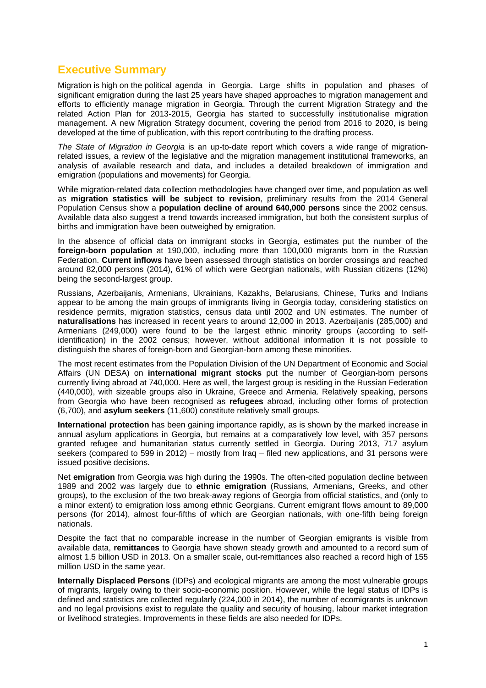## **Executive Summary**

Migration is high on the political agenda in Georgia. Large shifts in population and phases of significant emigration during the last 25 years have shaped approaches to migration management and efforts to efficiently manage migration in Georgia. Through the current Migration Strategy and the related Action Plan for 2013-2015, Georgia has started to successfully institutionalise migration management. A new Migration Strategy document, covering the period from 2016 to 2020, is being developed at the time of publication, with this report contributing to the drafting process.

*The State of Migration in Georgia* is an up-to-date report which covers a wide range of migrationrelated issues, a review of the legislative and the migration management institutional frameworks, an analysis of available research and data, and includes a detailed breakdown of immigration and emigration (populations and movements) for Georgia.

While migration-related data collection methodologies have changed over time, and population as well as **migration statistics will be subject to revision**, preliminary results from the 2014 General Population Census show a **population decline of around 640,000 persons** since the 2002 census. Available data also suggest a trend towards increased immigration, but both the consistent surplus of births and immigration have been outweighed by emigration.

In the absence of official data on immigrant stocks in Georgia, estimates put the number of the **foreign-born population** at 190,000, including more than 100,000 migrants born in the Russian Federation. **Current inflows** have been assessed through statistics on border crossings and reached around 82,000 persons (2014), 61% of which were Georgian nationals, with Russian citizens (12%) being the second-largest group.

Russians, Azerbaijanis, Armenians, Ukrainians, Kazakhs, Belarusians, Chinese, Turks and Indians appear to be among the main groups of immigrants living in Georgia today, considering statistics on residence permits, migration statistics, census data until 2002 and UN estimates. The number of **naturalisations** has increased in recent years to around 12,000 in 2013. Azerbaijanis (285,000) and Armenians (249,000) were found to be the largest ethnic minority groups (according to selfidentification) in the 2002 census; however, without additional information it is not possible to distinguish the shares of foreign-born and Georgian-born among these minorities.

The most recent estimates from the Population Division of the UN Department of Economic and Social Affairs (UN DESA) on **international migrant stocks** put the number of Georgian-born persons currently living abroad at 740,000. Here as well, the largest group is residing in the Russian Federation (440,000), with sizeable groups also in Ukraine, Greece and Armenia. Relatively speaking, persons from Georgia who have been recognised as **refugees** abroad, including other forms of protection (6,700), and **asylum seekers** (11,600) constitute relatively small groups.

**International protection** has been gaining importance rapidly, as is shown by the marked increase in annual asylum applications in Georgia, but remains at a comparatively low level, with 357 persons granted refugee and humanitarian status currently settled in Georgia. During 2013, 717 asylum seekers (compared to 599 in 2012) – mostly from Iraq – filed new applications, and 31 persons were issued positive decisions.

Net **emigration** from Georgia was high during the 1990s. The often-cited population decline between 1989 and 2002 was largely due to **ethnic emigration** (Russians, Armenians, Greeks, and other groups), to the exclusion of the two break-away regions of Georgia from official statistics, and (only to a minor extent) to emigration loss among ethnic Georgians. Current emigrant flows amount to 89,000 persons (for 2014), almost four-fifths of which are Georgian nationals, with one-fifth being foreign nationals.

Despite the fact that no comparable increase in the number of Georgian emigrants is visible from available data, **remittances** to Georgia have shown steady growth and amounted to a record sum of almost 1.5 billion USD in 2013. On a smaller scale, out-remittances also reached a record high of 155 million USD in the same year.

**Internally Displaced Persons** (IDPs) and ecological migrants are among the most vulnerable groups of migrants, largely owing to their socio-economic position. However, while the legal status of IDPs is defined and statistics are collected regularly (224,000 in 2014), the number of ecomigrants is unknown and no legal provisions exist to regulate the quality and security of housing, labour market integration or livelihood strategies. Improvements in these fields are also needed for IDPs.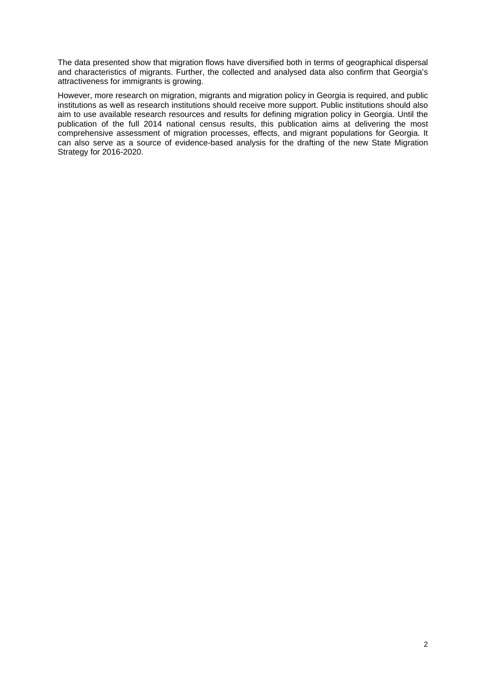The data presented show that migration flows have diversified both in terms of geographical dispersal and characteristics of migrants. Further, the collected and analysed data also confirm that Georgia's attractiveness for immigrants is growing.

However, more research on migration, migrants and migration policy in Georgia is required, and public institutions as well as research institutions should receive more support. Public institutions should also aim to use available research resources and results for defining migration policy in Georgia. Until the publication of the full 2014 national census results, this publication aims at delivering the most comprehensive assessment of migration processes, effects, and migrant populations for Georgia. It can also serve as a source of evidence-based analysis for the drafting of the new State Migration Strategy for 2016-2020.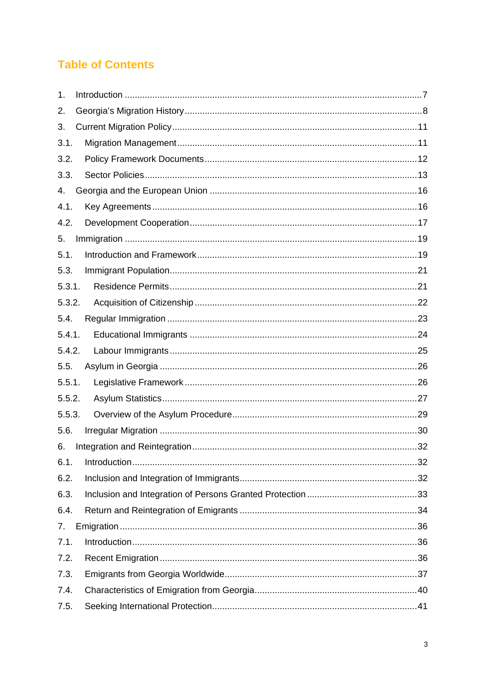# **Table of Contents**

| 1.     |  |
|--------|--|
| 2.     |  |
| 3.     |  |
| 3.1.   |  |
| 3.2.   |  |
| 3.3.   |  |
| 4.     |  |
| 4.1.   |  |
| 4.2.   |  |
| 5.     |  |
| 5.1.   |  |
| 5.3.   |  |
| 5.3.1. |  |
| 5.3.2. |  |
| 5.4.   |  |
| 5.4.1. |  |
| 5.4.2. |  |
| 5.5.   |  |
| 5.5.1. |  |
| 5.5.2. |  |
| 5.5.3. |  |
| 5.6.   |  |
| 6.     |  |
| 6.1.   |  |
| 6.2.   |  |
| 6.3.   |  |
| 6.4.   |  |
| 7.     |  |
| 7.1.   |  |
| 7.2.   |  |
| 7.3.   |  |
| 7.4.   |  |
| 7.5.   |  |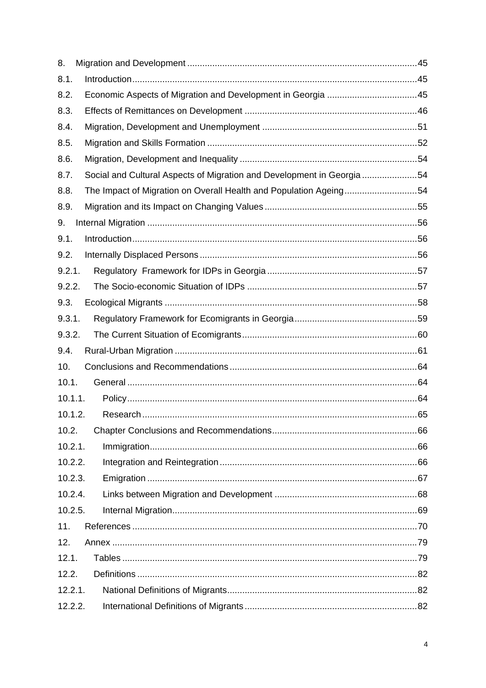| 8.      |                                                                        |  |
|---------|------------------------------------------------------------------------|--|
| 8.1.    |                                                                        |  |
| 8.2.    |                                                                        |  |
| 8.3.    |                                                                        |  |
| 8.4.    |                                                                        |  |
| 8.5.    |                                                                        |  |
| 8.6.    |                                                                        |  |
| 8.7.    | Social and Cultural Aspects of Migration and Development in Georgia 54 |  |
| 8.8.    | The Impact of Migration on Overall Health and Population Ageing54      |  |
| 8.9.    |                                                                        |  |
| 9.      |                                                                        |  |
| 9.1.    |                                                                        |  |
| 9.2.    |                                                                        |  |
| 9.2.1.  |                                                                        |  |
| 9.2.2.  |                                                                        |  |
| 9.3.    |                                                                        |  |
| 9.3.1.  |                                                                        |  |
| 9.3.2.  |                                                                        |  |
| 9.4.    |                                                                        |  |
| 10.     |                                                                        |  |
| 10.1.   |                                                                        |  |
| 10.1.1. |                                                                        |  |
| 10.1.2. |                                                                        |  |
| 10.2.   |                                                                        |  |
| 10.2.1. |                                                                        |  |
| 10.2.2. |                                                                        |  |
| 10.2.3. |                                                                        |  |
| 10.2.4. |                                                                        |  |
| 10.2.5. |                                                                        |  |
| 11.     |                                                                        |  |
| 12.     |                                                                        |  |
| 12.1.   |                                                                        |  |
| 12.2.   |                                                                        |  |
| 12.2.1. |                                                                        |  |
| 12.2.2. |                                                                        |  |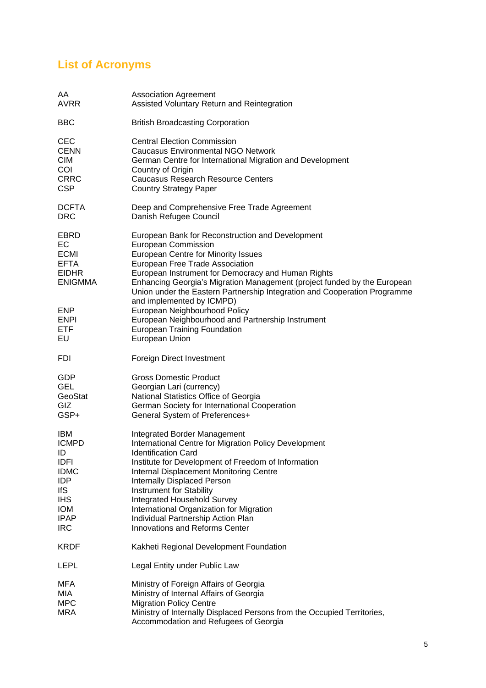# **List of Acronyms**

| AA<br>AVRR                                                                                                                                          | <b>Association Agreement</b><br>Assisted Voluntary Return and Reintegration                                                                                                                                                                                                                                                                                                                                                                                                                                                                         |
|-----------------------------------------------------------------------------------------------------------------------------------------------------|-----------------------------------------------------------------------------------------------------------------------------------------------------------------------------------------------------------------------------------------------------------------------------------------------------------------------------------------------------------------------------------------------------------------------------------------------------------------------------------------------------------------------------------------------------|
| <b>BBC</b>                                                                                                                                          | <b>British Broadcasting Corporation</b>                                                                                                                                                                                                                                                                                                                                                                                                                                                                                                             |
| <b>CEC</b><br><b>CENN</b><br><b>CIM</b><br>COI<br><b>CRRC</b><br><b>CSP</b>                                                                         | <b>Central Election Commission</b><br><b>Caucasus Environmental NGO Network</b><br>German Centre for International Migration and Development<br>Country of Origin<br><b>Caucasus Research Resource Centers</b><br><b>Country Strategy Paper</b>                                                                                                                                                                                                                                                                                                     |
| <b>DCFTA</b><br><b>DRC</b>                                                                                                                          | Deep and Comprehensive Free Trade Agreement<br>Danish Refugee Council                                                                                                                                                                                                                                                                                                                                                                                                                                                                               |
| EBRD<br>EC<br>ECMI<br><b>EFTA</b><br><b>EIDHR</b><br>ENIGMMA<br><b>ENP</b><br><b>ENPI</b><br>ETF<br>EU                                              | European Bank for Reconstruction and Development<br>European Commission<br><b>European Centre for Minority Issues</b><br>European Free Trade Association<br>European Instrument for Democracy and Human Rights<br>Enhancing Georgia's Migration Management (project funded by the European<br>Union under the Eastern Partnership Integration and Cooperation Programme<br>and implemented by ICMPD)<br>European Neighbourhood Policy<br>European Neighbourhood and Partnership Instrument<br><b>European Training Foundation</b><br>European Union |
| FDI                                                                                                                                                 | Foreign Direct Investment                                                                                                                                                                                                                                                                                                                                                                                                                                                                                                                           |
| GDP<br><b>GEL</b><br>GeoStat<br><b>GIZ</b><br>GSP+                                                                                                  | <b>Gross Domestic Product</b><br>Georgian Lari (currency)<br>National Statistics Office of Georgia<br>German Society for International Cooperation<br>General System of Preferences+                                                                                                                                                                                                                                                                                                                                                                |
| <b>IBM</b><br><b>ICMPD</b><br>ID<br><b>IDFI</b><br><b>IDMC</b><br><b>IDP</b><br><b>IfS</b><br><b>IHS</b><br><b>IOM</b><br><b>IPAP</b><br><b>IRC</b> | <b>Integrated Border Management</b><br>International Centre for Migration Policy Development<br><b>Identification Card</b><br>Institute for Development of Freedom of Information<br>Internal Displacement Monitoring Centre<br><b>Internally Displaced Person</b><br>Instrument for Stability<br><b>Integrated Household Survey</b><br>International Organization for Migration<br>Individual Partnership Action Plan<br><b>Innovations and Reforms Center</b>                                                                                     |
| <b>KRDF</b>                                                                                                                                         | Kakheti Regional Development Foundation                                                                                                                                                                                                                                                                                                                                                                                                                                                                                                             |
| LEPL                                                                                                                                                | Legal Entity under Public Law                                                                                                                                                                                                                                                                                                                                                                                                                                                                                                                       |
| MFA<br>MIA<br><b>MPC</b><br><b>MRA</b>                                                                                                              | Ministry of Foreign Affairs of Georgia<br>Ministry of Internal Affairs of Georgia<br><b>Migration Policy Centre</b><br>Ministry of Internally Displaced Persons from the Occupied Territories,<br>Accommodation and Refugees of Georgia                                                                                                                                                                                                                                                                                                             |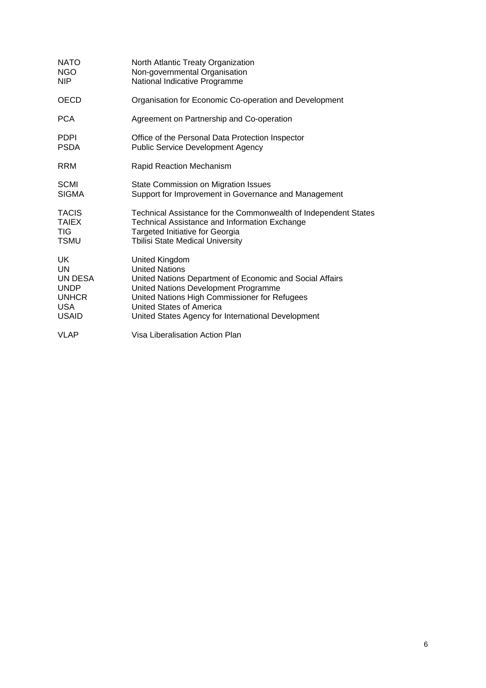| <b>NATO</b>  | North Atlantic Treaty Organization                              |
|--------------|-----------------------------------------------------------------|
| <b>NGO</b>   | Non-governmental Organisation                                   |
| <b>NIP</b>   | National Indicative Programme                                   |
| <b>OECD</b>  | Organisation for Economic Co-operation and Development          |
| <b>PCA</b>   | Agreement on Partnership and Co-operation                       |
| <b>PDPI</b>  | Office of the Personal Data Protection Inspector                |
| <b>PSDA</b>  | <b>Public Service Development Agency</b>                        |
| <b>RRM</b>   | <b>Rapid Reaction Mechanism</b>                                 |
| <b>SCMI</b>  | State Commission on Migration Issues                            |
| <b>SIGMA</b> | Support for Improvement in Governance and Management            |
| <b>TACIS</b> | Technical Assistance for the Commonwealth of Independent States |
| <b>TAIEX</b> | Technical Assistance and Information Exchange                   |
| TIG.         | Targeted Initiative for Georgia                                 |
| <b>TSMU</b>  | <b>Tbilisi State Medical University</b>                         |
| UK           | United Kingdom                                                  |
| UN           | <b>United Nations</b>                                           |
| UN DESA      | United Nations Department of Economic and Social Affairs        |
| <b>UNDP</b>  | United Nations Development Programme                            |
| <b>UNHCR</b> | United Nations High Commissioner for Refugees                   |
| <b>USA</b>   | United States of America                                        |
| <b>USAID</b> | United States Agency for International Development              |
| <b>VLAP</b>  | Visa Liberalisation Action Plan                                 |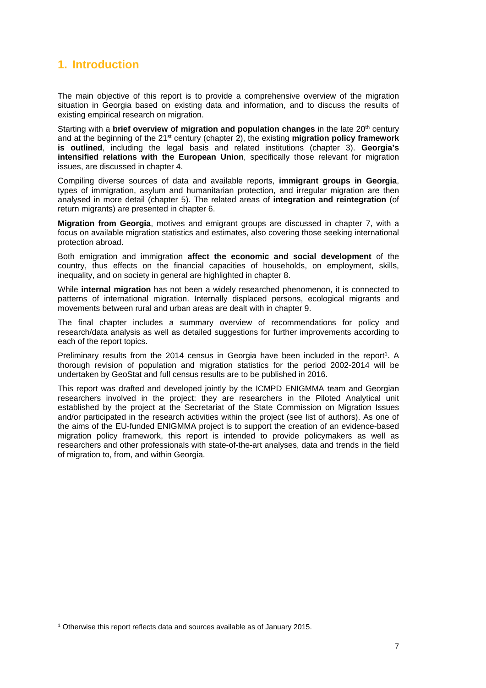# **1. Introduction**

The main objective of this report is to provide a comprehensive overview of the migration situation in Georgia based on existing data and information, and to discuss the results of existing empirical research on migration.

Starting with a **brief overview of migration and population changes** in the late 20<sup>th</sup> century and at the beginning of the 21<sup>st</sup> century (chapter 2), the existing **migration policy framework is outlined**, including the legal basis and related institutions (chapter 3). **Georgia's intensified relations with the European Union**, specifically those relevant for migration issues, are discussed in chapter 4.

Compiling diverse sources of data and available reports, **immigrant groups in Georgia**, types of immigration, asylum and humanitarian protection, and irregular migration are then analysed in more detail (chapter 5). The related areas of **integration and reintegration** (of return migrants) are presented in chapter 6.

**Migration from Georgia**, motives and emigrant groups are discussed in chapter 7, with a focus on available migration statistics and estimates, also covering those seeking international protection abroad.

Both emigration and immigration **affect the economic and social development** of the country, thus effects on the financial capacities of households, on employment, skills, inequality, and on society in general are highlighted in chapter 8.

While **internal migration** has not been a widely researched phenomenon, it is connected to patterns of international migration. Internally displaced persons, ecological migrants and movements between rural and urban areas are dealt with in chapter 9.

The final chapter includes a summary overview of recommendations for policy and research/data analysis as well as detailed suggestions for further improvements according to each of the report topics.

Preliminary results from the 2014 census in Georgia have been included in the report<sup>1</sup>. A thorough revision of population and migration statistics for the period 2002-2014 will be undertaken by GeoStat and full census results are to be published in 2016.

This report was drafted and developed jointly by the ICMPD ENIGMMA team and Georgian researchers involved in the project: they are researchers in the Piloted Analytical unit established by the project at the Secretariat of the State Commission on Migration Issues and/or participated in the research activities within the project (see list of authors). As one of the aims of the EU-funded ENIGMMA project is to support the creation of an evidence-based migration policy framework, this report is intended to provide policymakers as well as researchers and other professionals with state-of-the-art analyses, data and trends in the field of migration to, from, and within Georgia.

-

<sup>1</sup> Otherwise this report reflects data and sources available as of January 2015.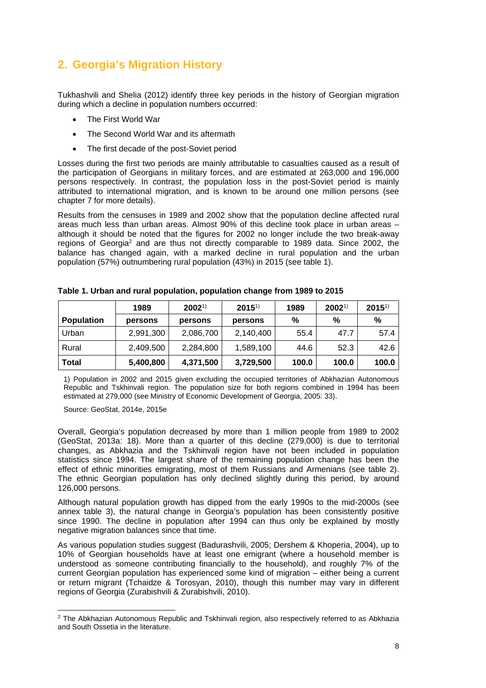# **2. Georgia's Migration History**

Tukhashvili and Shelia (2012) identify three key periods in the history of Georgian migration during which a decline in population numbers occurred:

- The First World War
- The Second World War and its aftermath
- The first decade of the post-Soviet period

Losses during the first two periods are mainly attributable to casualties caused as a result of the participation of Georgians in military forces, and are estimated at 263,000 and 196,000 persons respectively. In contrast, the population loss in the post-Soviet period is mainly attributed to international migration, and is known to be around one million persons (see chapter 7 for more details).

Results from the censuses in 1989 and 2002 show that the population decline affected rural areas much less than urban areas. Almost 90% of this decline took place in urban areas – although it should be noted that the figures for 2002 no longer include the two break-away regions of Georgia<sup>2</sup> and are thus not directly comparable to 1989 data. Since 2002, the balance has changed again, with a marked decline in rural population and the urban population (57%) outnumbering rural population (43%) in 2015 (see table 1).

|                   | 1989      | $2002^{1}$ | $2015^{1}$ | 1989  | $2002^{1}$ | $2015^{1}$ |
|-------------------|-----------|------------|------------|-------|------------|------------|
| <b>Population</b> | persons   | persons    | persons    | %     | %          | %          |
| Urban             | 2,991,300 | 2,086,700  | 2,140,400  | 55.4  | 47.7       | 57.4       |
| Rural             | 2,409,500 | 2,284,800  | 1,589,100  | 44.6  | 52.3       | 42.6       |
| <b>Total</b>      | 5,400,800 | 4,371,500  | 3,729,500  | 100.0 | 100.0      | 100.0      |

| Table 1. Urban and rural population, population change from 1989 to 2015 |
|--------------------------------------------------------------------------|
|--------------------------------------------------------------------------|

1) Population in 2002 and 2015 given excluding the occupied territories of Abkhazian Autonomous Republic and Tskhinvali region. The population size for both regions combined in 1994 has been estimated at 279,000 (see Ministry of Economic Development of Georgia, 2005: 33).

Source: GeoStat, 2014e, 2015e

1

Overall, Georgia's population decreased by more than 1 million people from 1989 to 2002 (GeoStat, 2013a: 18). More than a quarter of this decline (279,000) is due to territorial changes, as Abkhazia and the Tskhinvali region have not been included in population statistics since 1994. The largest share of the remaining population change has been the effect of ethnic minorities emigrating, most of them Russians and Armenians (see table 2). The ethnic Georgian population has only declined slightly during this period, by around 126,000 persons.

Although natural population growth has dipped from the early 1990s to the mid-2000s (see annex table 3), the natural change in Georgia's population has been consistently positive since 1990. The decline in population after 1994 can thus only be explained by mostly negative migration balances since that time.

As various population studies suggest (Badurashvili, 2005; Dershem & Khoperia, 2004), up to 10% of Georgian households have at least one emigrant (where a household member is understood as someone contributing financially to the household), and roughly 7% of the current Georgian population has experienced some kind of migration – either being a current or return migrant (Tchaidze & Torosyan, 2010), though this number may vary in different regions of Georgia (Zurabishvili & Zurabishvili, 2010).

<sup>&</sup>lt;sup>2</sup> The Abkhazian Autonomous Republic and Tskhinvali region, also respectively referred to as Abkhazia and South Ossetia in the literature.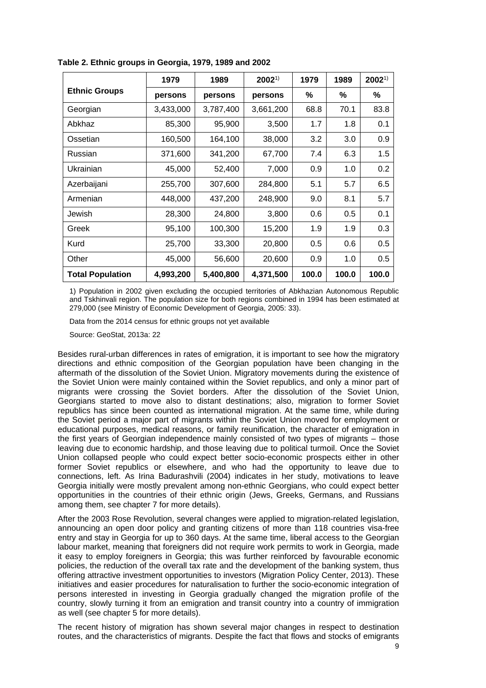|                         | 1979      | 1989      | $2002^{1}$ | 1979  | 1989  | $2002^{1}$ |
|-------------------------|-----------|-----------|------------|-------|-------|------------|
| <b>Ethnic Groups</b>    | persons   | persons   | persons    | %     | %     | %          |
| Georgian                | 3,433,000 | 3,787,400 | 3,661,200  | 68.8  | 70.1  | 83.8       |
| Abkhaz                  | 85,300    | 95,900    | 3,500      | 1.7   | 1.8   | 0.1        |
| Ossetian                | 160,500   | 164,100   | 38,000     | 3.2   | 3.0   | 0.9        |
| Russian                 | 371,600   | 341,200   | 67,700     | 7.4   | 6.3   | 1.5        |
| Ukrainian               | 45,000    | 52,400    | 7,000      | 0.9   | 1.0   | 0.2        |
| Azerbaijani             | 255,700   | 307,600   | 284,800    | 5.1   | 5.7   | 6.5        |
| Armenian                | 448,000   | 437,200   | 248,900    | 9.0   | 8.1   | 5.7        |
| Jewish                  | 28,300    | 24,800    | 3,800      | 0.6   | 0.5   | 0.1        |
| Greek                   | 95,100    | 100,300   | 15,200     | 1.9   | 1.9   | 0.3        |
| Kurd                    | 25,700    | 33,300    | 20,800     | 0.5   | 0.6   | 0.5        |
| Other                   | 45,000    | 56,600    | 20,600     | 0.9   | 1.0   | 0.5        |
| <b>Total Population</b> | 4,993,200 | 5,400,800 | 4,371,500  | 100.0 | 100.0 | 100.0      |

**Table 2. Ethnic groups in Georgia, 1979, 1989 and 2002** 

1) Population in 2002 given excluding the occupied territories of Abkhazian Autonomous Republic and Tskhinvali region. The population size for both regions combined in 1994 has been estimated at 279,000 (see Ministry of Economic Development of Georgia, 2005: 33).

Data from the 2014 census for ethnic groups not yet available

Source: GeoStat, 2013a: 22

Besides rural-urban differences in rates of emigration, it is important to see how the migratory directions and ethnic composition of the Georgian population have been changing in the aftermath of the dissolution of the Soviet Union. Migratory movements during the existence of the Soviet Union were mainly contained within the Soviet republics, and only a minor part of migrants were crossing the Soviet borders. After the dissolution of the Soviet Union, Georgians started to move also to distant destinations; also, migration to former Soviet republics has since been counted as international migration. At the same time, while during the Soviet period a major part of migrants within the Soviet Union moved for employment or educational purposes, medical reasons, or family reunification, the character of emigration in the first years of Georgian independence mainly consisted of two types of migrants – those leaving due to economic hardship, and those leaving due to political turmoil. Once the Soviet Union collapsed people who could expect better socio-economic prospects either in other former Soviet republics or elsewhere, and who had the opportunity to leave due to connections, left. As Irina Badurashvili (2004) indicates in her study, motivations to leave Georgia initially were mostly prevalent among non-ethnic Georgians, who could expect better opportunities in the countries of their ethnic origin (Jews, Greeks, Germans, and Russians among them, see chapter 7 for more details).

After the 2003 Rose Revolution, several changes were applied to migration-related legislation, announcing an open door policy and granting citizens of more than 118 countries visa-free entry and stay in Georgia for up to 360 days. At the same time, liberal access to the Georgian labour market, meaning that foreigners did not require work permits to work in Georgia, made it easy to employ foreigners in Georgia; this was further reinforced by favourable economic policies, the reduction of the overall tax rate and the development of the banking system, thus offering attractive investment opportunities to investors (Migration Policy Center, 2013). These initiatives and easier procedures for naturalisation to further the socio-economic integration of persons interested in investing in Georgia gradually changed the migration profile of the country, slowly turning it from an emigration and transit country into a country of immigration as well (see chapter 5 for more details).

The recent history of migration has shown several major changes in respect to destination routes, and the characteristics of migrants. Despite the fact that flows and stocks of emigrants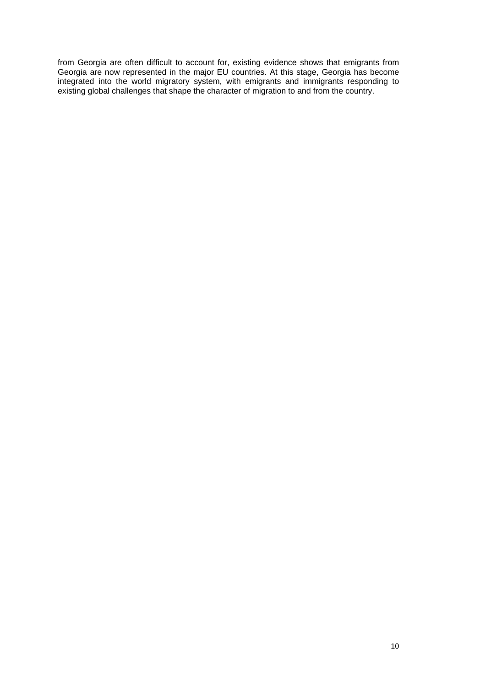from Georgia are often difficult to account for, existing evidence shows that emigrants from Georgia are now represented in the major EU countries. At this stage, Georgia has become integrated into the world migratory system, with emigrants and immigrants responding to existing global challenges that shape the character of migration to and from the country.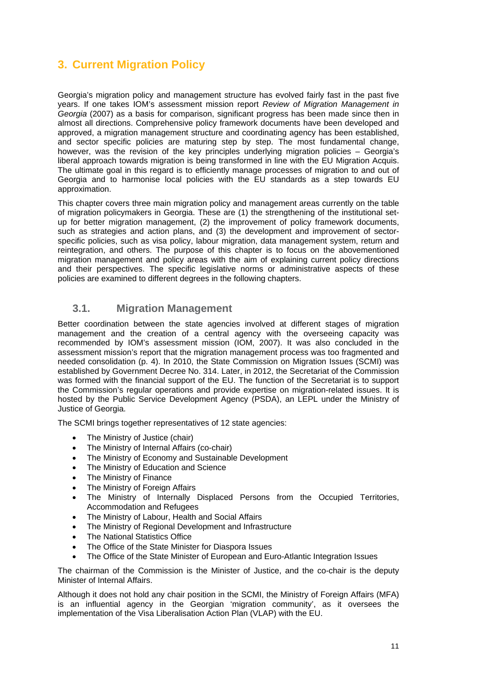# **3. Current Migration Policy**

Georgia's migration policy and management structure has evolved fairly fast in the past five years. If one takes IOM's assessment mission report *Review of Migration Management in Georgia* (2007) as a basis for comparison, significant progress has been made since then in almost all directions. Comprehensive policy framework documents have been developed and approved, a migration management structure and coordinating agency has been established, and sector specific policies are maturing step by step. The most fundamental change, however, was the revision of the key principles underlying migration policies – Georgia's liberal approach towards migration is being transformed in line with the EU Migration Acquis. The ultimate goal in this regard is to efficiently manage processes of migration to and out of Georgia and to harmonise local policies with the EU standards as a step towards EU approximation.

This chapter covers three main migration policy and management areas currently on the table of migration policymakers in Georgia. These are (1) the strengthening of the institutional setup for better migration management, (2) the improvement of policy framework documents, such as strategies and action plans, and (3) the development and improvement of sectorspecific policies, such as visa policy, labour migration, data management system, return and reintegration, and others. The purpose of this chapter is to focus on the abovementioned migration management and policy areas with the aim of explaining current policy directions and their perspectives. The specific legislative norms or administrative aspects of these policies are examined to different degrees in the following chapters.

## **3.1. Migration Management**

Better coordination between the state agencies involved at different stages of migration management and the creation of a central agency with the overseeing capacity was recommended by IOM's assessment mission (IOM, 2007). It was also concluded in the assessment mission's report that the migration management process was too fragmented and needed consolidation (p. 4). In 2010, the State Commission on Migration Issues (SCMI) was established by Government Decree No. 314. Later, in 2012, the Secretariat of the Commission was formed with the financial support of the EU. The function of the Secretariat is to support the Commission's regular operations and provide expertise on migration-related issues. It is hosted by the Public Service Development Agency (PSDA), an LEPL under the Ministry of Justice of Georgia.

The SCMI brings together representatives of 12 state agencies:

- The Ministry of Justice (chair)
- The Ministry of Internal Affairs (co-chair)
- The Ministry of Economy and Sustainable Development
- The Ministry of Education and Science
- The Ministry of Finance
- The Ministry of Foreign Affairs
- The Ministry of Internally Displaced Persons from the Occupied Territories, Accommodation and Refugees
- The Ministry of Labour, Health and Social Affairs
- The Ministry of Regional Development and Infrastructure
- The National Statistics Office
- The Office of the State Minister for Diaspora Issues
- The Office of the State Minister of European and Euro-Atlantic Integration Issues

The chairman of the Commission is the Minister of Justice, and the co-chair is the deputy Minister of Internal Affairs.

Although it does not hold any chair position in the SCMI, the Ministry of Foreign Affairs (MFA) is an influential agency in the Georgian 'migration community', as it oversees the implementation of the Visa Liberalisation Action Plan (VLAP) with the EU.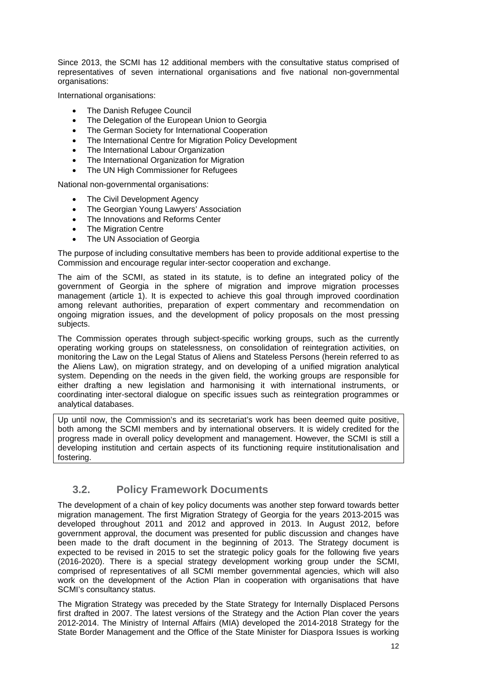Since 2013, the SCMI has 12 additional members with the consultative status comprised of representatives of seven international organisations and five national non-governmental organisations:

International organisations:

- The Danish Refugee Council
- The Delegation of the European Union to Georgia
- The German Society for International Cooperation
- The International Centre for Migration Policy Development
- The International Labour Organization
- The International Organization for Migration
- The UN High Commissioner for Refugees

National non-governmental organisations:

- The Civil Development Agency
- The Georgian Young Lawyers' Association
- The Innovations and Reforms Center
- The Migration Centre
- The UN Association of Georgia

The purpose of including consultative members has been to provide additional expertise to the Commission and encourage regular inter-sector cooperation and exchange.

The aim of the SCMI, as stated in its statute, is to define an integrated policy of the government of Georgia in the sphere of migration and improve migration processes management (article 1). It is expected to achieve this goal through improved coordination among relevant authorities, preparation of expert commentary and recommendation on ongoing migration issues, and the development of policy proposals on the most pressing subjects.

The Commission operates through subject-specific working groups, such as the currently operating working groups on statelessness, on consolidation of reintegration activities, on monitoring the Law on the Legal Status of Aliens and Stateless Persons (herein referred to as the Aliens Law), on migration strategy, and on developing of a unified migration analytical system. Depending on the needs in the given field, the working groups are responsible for either drafting a new legislation and harmonising it with international instruments, or coordinating inter-sectoral dialogue on specific issues such as reintegration programmes or analytical databases.

Up until now, the Commission's and its secretariat's work has been deemed quite positive, both among the SCMI members and by international observers. It is widely credited for the progress made in overall policy development and management. However, the SCMI is still a developing institution and certain aspects of its functioning require institutionalisation and fostering.

### **3.2. Policy Framework Documents**

The development of a chain of key policy documents was another step forward towards better migration management. The first Migration Strategy of Georgia for the years 2013-2015 was developed throughout 2011 and 2012 and approved in 2013. In August 2012, before government approval, the document was presented for public discussion and changes have been made to the draft document in the beginning of 2013. The Strategy document is expected to be revised in 2015 to set the strategic policy goals for the following five years (2016-2020). There is a special strategy development working group under the SCMI, comprised of representatives of all SCMI member governmental agencies, which will also work on the development of the Action Plan in cooperation with organisations that have SCMI's consultancy status.

The Migration Strategy was preceded by the State Strategy for Internally Displaced Persons first drafted in 2007. The latest versions of the Strategy and the Action Plan cover the years 2012-2014. The Ministry of Internal Affairs (MIA) developed the 2014-2018 Strategy for the State Border Management and the Office of the State Minister for Diaspora Issues is working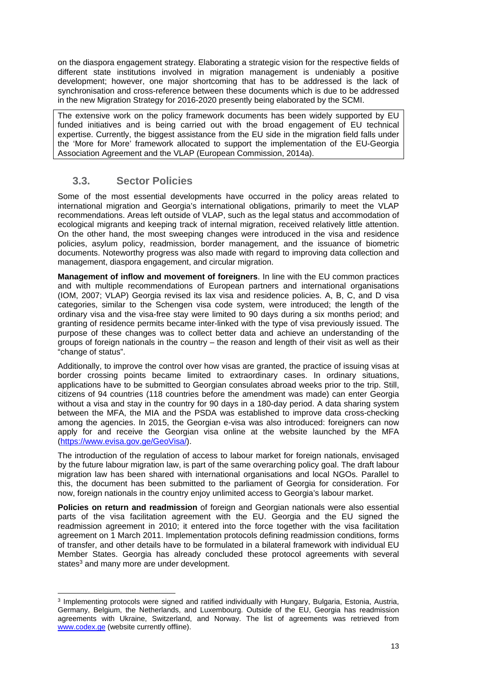on the diaspora engagement strategy. Elaborating a strategic vision for the respective fields of different state institutions involved in migration management is undeniably a positive development; however, one major shortcoming that has to be addressed is the lack of synchronisation and cross-reference between these documents which is due to be addressed in the new Migration Strategy for 2016-2020 presently being elaborated by the SCMI.

The extensive work on the policy framework documents has been widely supported by EU funded initiatives and is being carried out with the broad engagement of EU technical expertise. Currently, the biggest assistance from the EU side in the migration field falls under the 'More for More' framework allocated to support the implementation of the EU-Georgia Association Agreement and the VLAP (European Commission, 2014a).

## **3.3. Sector Policies**

Some of the most essential developments have occurred in the policy areas related to international migration and Georgia's international obligations, primarily to meet the VLAP recommendations. Areas left outside of VLAP, such as the legal status and accommodation of ecological migrants and keeping track of internal migration, received relatively little attention. On the other hand, the most sweeping changes were introduced in the visa and residence policies, asylum policy, readmission, border management, and the issuance of biometric documents. Noteworthy progress was also made with regard to improving data collection and management, diaspora engagement, and circular migration.

**Management of inflow and movement of foreigners**. In line with the EU common practices and with multiple recommendations of European partners and international organisations (IOM, 2007; VLAP) Georgia revised its lax visa and residence policies. A, B, C, and D visa categories, similar to the Schengen visa code system, were introduced; the length of the ordinary visa and the visa-free stay were limited to 90 days during a six months period; and granting of residence permits became inter-linked with the type of visa previously issued. The purpose of these changes was to collect better data and achieve an understanding of the groups of foreign nationals in the country – the reason and length of their visit as well as their "change of status".

Additionally, to improve the control over how visas are granted, the practice of issuing visas at border crossing points became limited to extraordinary cases. In ordinary situations, applications have to be submitted to Georgian consulates abroad weeks prior to the trip. Still, citizens of 94 countries (118 countries before the amendment was made) can enter Georgia without a visa and stay in the country for 90 days in a 180-day period. A data sharing system between the MFA, the MIA and the PSDA was established to improve data cross-checking among the agencies. In 2015, the Georgian e-visa was also introduced: foreigners can now apply for and receive the Georgian visa online at the website launched by the MFA (https://www.evisa.gov.ge/GeoVisa/).

The introduction of the regulation of access to labour market for foreign nationals, envisaged by the future labour migration law, is part of the same overarching policy goal. The draft labour migration law has been shared with international organisations and local NGOs. Parallel to this, the document has been submitted to the parliament of Georgia for consideration. For now, foreign nationals in the country enjoy unlimited access to Georgia's labour market.

**Policies on return and readmission** of foreign and Georgian nationals were also essential parts of the visa facilitation agreement with the EU. Georgia and the EU signed the readmission agreement in 2010; it entered into the force together with the visa facilitation agreement on 1 March 2011. Implementation protocols defining readmission conditions, forms of transfer, and other details have to be formulated in a bilateral framework with individual EU Member States. Georgia has already concluded these protocol agreements with several states<sup>3</sup> and many more are under development.

<sup>1</sup> 3 Implementing protocols were signed and ratified individually with Hungary, Bulgaria, Estonia, Austria, Germany, Belgium, the Netherlands, and Luxembourg. Outside of the EU, Georgia has readmission agreements with Ukraine, Switzerland, and Norway. The list of agreements was retrieved from www.codex.ge (website currently offline).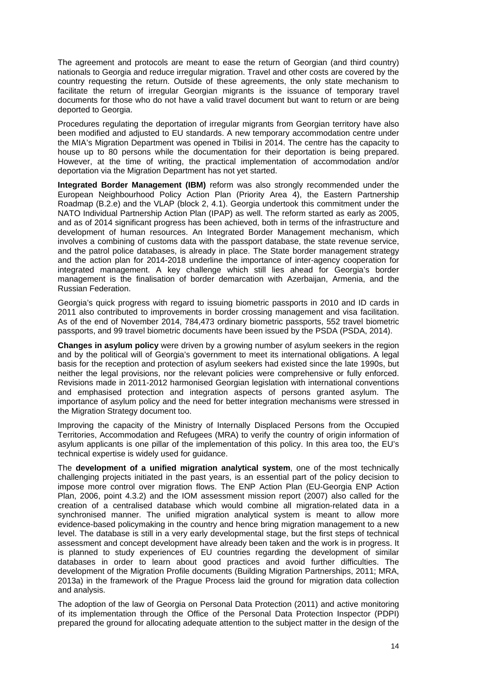The agreement and protocols are meant to ease the return of Georgian (and third country) nationals to Georgia and reduce irregular migration. Travel and other costs are covered by the country requesting the return. Outside of these agreements, the only state mechanism to facilitate the return of irregular Georgian migrants is the issuance of temporary travel documents for those who do not have a valid travel document but want to return or are being deported to Georgia.

Procedures regulating the deportation of irregular migrants from Georgian territory have also been modified and adjusted to EU standards. A new temporary accommodation centre under the MIA's Migration Department was opened in Tbilisi in 2014. The centre has the capacity to house up to 80 persons while the documentation for their deportation is being prepared. However, at the time of writing, the practical implementation of accommodation and/or deportation via the Migration Department has not yet started.

**Integrated Border Management (IBM)** reform was also strongly recommended under the European Neighbourhood Policy Action Plan (Priority Area 4), the Eastern Partnership Roadmap (B.2.e) and the VLAP (block 2, 4.1). Georgia undertook this commitment under the NATO Individual Partnership Action Plan (IPAP) as well. The reform started as early as 2005, and as of 2014 significant progress has been achieved, both in terms of the infrastructure and development of human resources. An Integrated Border Management mechanism, which involves a combining of customs data with the passport database, the state revenue service, and the patrol police databases, is already in place. The State border management strategy and the action plan for 2014-2018 underline the importance of inter-agency cooperation for integrated management. A key challenge which still lies ahead for Georgia's border management is the finalisation of border demarcation with Azerbaijan, Armenia, and the Russian Federation.

Georgia's quick progress with regard to issuing biometric passports in 2010 and ID cards in 2011 also contributed to improvements in border crossing management and visa facilitation. As of the end of November 2014, 784,473 ordinary biometric passports, 552 travel biometric passports, and 99 travel biometric documents have been issued by the PSDA (PSDA, 2014).

**Changes in asylum policy** were driven by a growing number of asylum seekers in the region and by the political will of Georgia's government to meet its international obligations. A legal basis for the reception and protection of asylum seekers had existed since the late 1990s, but neither the legal provisions, nor the relevant policies were comprehensive or fully enforced. Revisions made in 2011-2012 harmonised Georgian legislation with international conventions and emphasised protection and integration aspects of persons granted asylum. The importance of asylum policy and the need for better integration mechanisms were stressed in the Migration Strategy document too.

Improving the capacity of the Ministry of Internally Displaced Persons from the Occupied Territories, Accommodation and Refugees (MRA) to verify the country of origin information of asylum applicants is one pillar of the implementation of this policy. In this area too, the EU's technical expertise is widely used for guidance.

The **development of a unified migration analytical system**, one of the most technically challenging projects initiated in the past years, is an essential part of the policy decision to impose more control over migration flows. The ENP Action Plan (EU-Georgia ENP Action Plan, 2006, point 4.3.2) and the IOM assessment mission report (2007) also called for the creation of a centralised database which would combine all migration-related data in a synchronised manner. The unified migration analytical system is meant to allow more evidence-based policymaking in the country and hence bring migration management to a new level. The database is still in a very early developmental stage, but the first steps of technical assessment and concept development have already been taken and the work is in progress. It is planned to study experiences of EU countries regarding the development of similar databases in order to learn about good practices and avoid further difficulties. The development of the Migration Profile documents (Building Migration Partnerships, 2011; MRA, 2013a) in the framework of the Prague Process laid the ground for migration data collection and analysis.

The adoption of the law of Georgia on Personal Data Protection (2011) and active monitoring of its implementation through the Office of the Personal Data Protection Inspector (PDPI) prepared the ground for allocating adequate attention to the subject matter in the design of the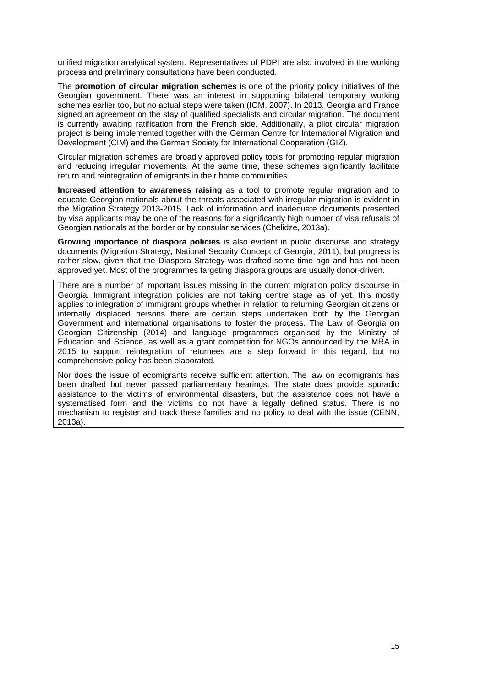unified migration analytical system. Representatives of PDPI are also involved in the working process and preliminary consultations have been conducted.

The **promotion of circular migration schemes** is one of the priority policy initiatives of the Georgian government. There was an interest in supporting bilateral temporary working schemes earlier too, but no actual steps were taken (IOM, 2007). In 2013, Georgia and France signed an agreement on the stay of qualified specialists and circular migration. The document is currently awaiting ratification from the French side. Additionally, a pilot circular migration project is being implemented together with the German Centre for International Migration and Development (CIM) and the German Society for International Cooperation (GIZ).

Circular migration schemes are broadly approved policy tools for promoting regular migration and reducing irregular movements. At the same time, these schemes significantly facilitate return and reintegration of emigrants in their home communities.

**Increased attention to awareness raising** as a tool to promote regular migration and to educate Georgian nationals about the threats associated with irregular migration is evident in the Migration Strategy 2013-2015. Lack of information and inadequate documents presented by visa applicants may be one of the reasons for a significantly high number of visa refusals of Georgian nationals at the border or by consular services (Chelidze, 2013a).

**Growing importance of diaspora policies** is also evident in public discourse and strategy documents (Migration Strategy, National Security Concept of Georgia, 2011), but progress is rather slow, given that the Diaspora Strategy was drafted some time ago and has not been approved yet. Most of the programmes targeting diaspora groups are usually donor-driven.

There are a number of important issues missing in the current migration policy discourse in Georgia. Immigrant integration policies are not taking centre stage as of yet, this mostly applies to integration of immigrant groups whether in relation to returning Georgian citizens or internally displaced persons there are certain steps undertaken both by the Georgian Government and international organisations to foster the process. The Law of Georgia on Georgian Citizenship (2014) and language programmes organised by the Ministry of Education and Science, as well as a grant competition for NGOs announced by the MRA in 2015 to support reintegration of returnees are a step forward in this regard, but no comprehensive policy has been elaborated.

Nor does the issue of ecomigrants receive sufficient attention. The law on ecomigrants has been drafted but never passed parliamentary hearings. The state does provide sporadic assistance to the victims of environmental disasters, but the assistance does not have a systematised form and the victims do not have a legally defined status. There is no mechanism to register and track these families and no policy to deal with the issue (CENN, 2013a).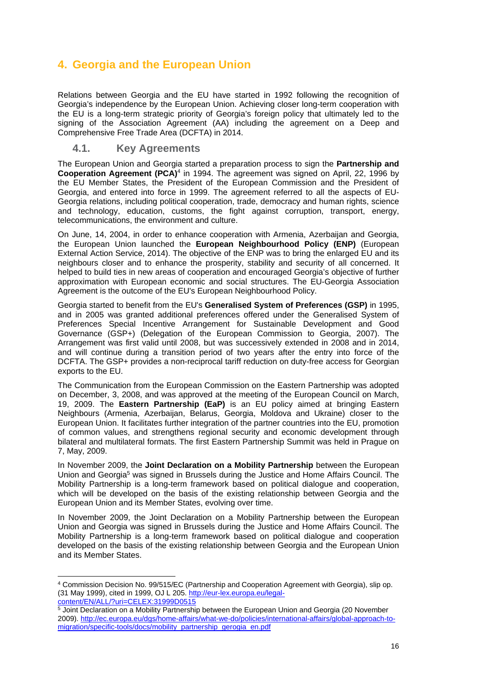# **4. Georgia and the European Union**

Relations between Georgia and the EU have started in 1992 following the recognition of Georgia's independence by the European Union. Achieving closer long-term cooperation with the EU is a long-term strategic priority of Georgia's foreign policy that ultimately led to the signing of the Association Agreement (AA) including the agreement on a Deep and Comprehensive Free Trade Area (DCFTA) in 2014.

#### **4.1. Key Agreements**

-

The European Union and Georgia started a preparation process to sign the **Partnership and Cooperation Agreement (PCA)**4 in 1994. The agreement was signed on April, 22, 1996 by the EU Member States, the President of the European Commission and the President of Georgia, and entered into force in 1999. The agreement referred to all the aspects of EU-Georgia relations, including political cooperation, trade, democracy and human rights, science and technology, education, customs, the fight against corruption, transport, energy, telecommunications, the environment and culture.

On June, 14, 2004, in order to enhance cooperation with Armenia, Azerbaijan and Georgia, the European Union launched the **European Neighbourhood Policy (ENP)** (European External Action Service, 2014). The objective of the ENP was to bring the enlarged EU and its neighbours closer and to enhance the prosperity, stability and security of all concerned. It helped to build ties in new areas of cooperation and encouraged Georgia's objective of further approximation with European economic and social structures. The EU-Georgia Association Agreement is the outcome of the EU's European Neighbourhood Policy.

Georgia started to benefit from the EU's **Generalised System of Preferences (GSP)** in 1995, and in 2005 was granted additional preferences offered under the Generalised System of Preferences Special Incentive Arrangement for Sustainable Development and Good Governance (GSP+) (Delegation of the European Commission to Georgia, 2007). The Arrangement was first valid until 2008, but was successively extended in 2008 and in 2014, and will continue during a transition period of two years after the entry into force of the DCFTA. The GSP+ provides a non-reciprocal tariff reduction on duty-free access for Georgian exports to the EU.

The Communication from the European Commission on the Eastern Partnership was adopted on December, 3, 2008, and was approved at the meeting of the European Council on March, 19, 2009. The **Eastern Partnership (EaP)** is an EU policy aimed at bringing Eastern Neighbours (Armenia, Azerbaijan, Belarus, Georgia, Moldova and Ukraine) closer to the European Union. It facilitates further integration of the partner countries into the EU, promotion of common values, and strengthens regional security and economic development through bilateral and multilateral formats. The first Eastern Partnership Summit was held in Prague on 7, May, 2009.

In November 2009, the **Joint Declaration on a Mobility Partnership** between the European Union and Georgia<sup>5</sup> was signed in Brussels during the Justice and Home Affairs Council. The Mobility Partnership is a long-term framework based on political dialogue and cooperation, which will be developed on the basis of the existing relationship between Georgia and the European Union and its Member States, evolving over time.

In November 2009, the Joint Declaration on a Mobility Partnership between the European Union and Georgia was signed in Brussels during the Justice and Home Affairs Council. The Mobility Partnership is a long-term framework based on political dialogue and cooperation developed on the basis of the existing relationship between Georgia and the European Union and its Member States.

<sup>4</sup> Commission Decision No. 99/515/EC (Partnership and Cooperation Agreement with Georgia), slip op. (31 May 1999), cited in 1999, OJ L 205. http://eur-lex.europa.eu/legalcontent/EN/ALL/?uri=CELEX:31999D0515

<sup>&</sup>lt;sup>5</sup> Joint Declaration on a Mobility Partnership between the European Union and Georgia (20 November 2009). http://ec.europa.eu/dgs/home-affairs/what-we-do/policies/international-affairs/global-approach-tomigration/specific-tools/docs/mobility\_partnership\_gerogia\_en.pdf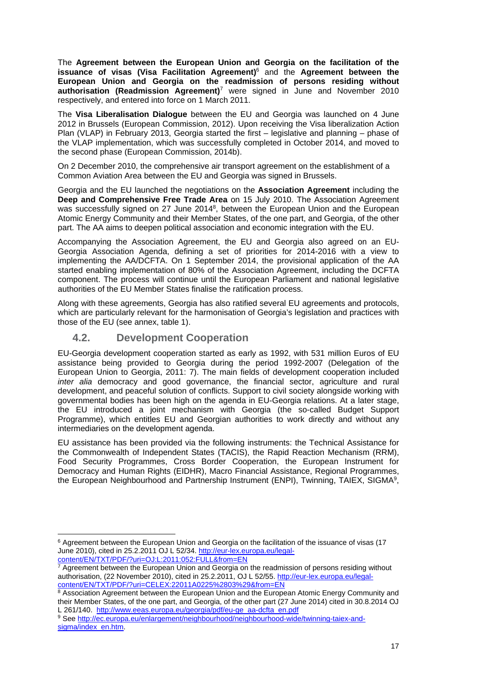The **Agreement between the European Union and Georgia on the facilitation of the issuance of visas (Visa Facilitation Agreement)**6 and the **Agreement between the European Union and Georgia on the readmission of persons residing without authorisation (Readmission Agreement)**7 were signed in June and November 2010 respectively, and entered into force on 1 March 2011.

The **Visa Liberalisation Dialogue** between the EU and Georgia was launched on 4 June 2012 in Brussels (European Commission, 2012). Upon receiving the Visa liberalization Action Plan (VLAP) in February 2013, Georgia started the first – legislative and planning – phase of the VLAP implementation, which was successfully completed in October 2014, and moved to the second phase (European Commission, 2014b).

On 2 December 2010, the comprehensive air transport agreement on the establishment of a Common Aviation Area between the EU and Georgia was signed in Brussels.

Georgia and the EU launched the negotiations on the **Association Agreement** including the **Deep and Comprehensive Free Trade Area** on 15 July 2010. The Association Agreement was successfully signed on 27 June 2014<sup>8</sup>, between the European Union and the European Atomic Energy Community and their Member States, of the one part, and Georgia, of the other part. The AA aims to deepen political association and economic integration with the EU.

Accompanying the Association Agreement, the EU and Georgia also agreed on an EU-Georgia Association Agenda, defining a set of priorities for 2014-2016 with a view to implementing the AA/DCFTA. On 1 September 2014, the provisional application of the AA started enabling implementation of 80% of the Association Agreement, including the DCFTA component. The process will continue until the European Parliament and national legislative authorities of the EU Member States finalise the ratification process.

Along with these agreements, Georgia has also ratified several EU agreements and protocols, which are particularly relevant for the harmonisation of Georgia's legislation and practices with those of the EU (see annex, table 1).

### **4.2. Development Cooperation**

-

EU-Georgia development cooperation started as early as 1992, with 531 million Euros of EU assistance being provided to Georgia during the period 1992-2007 (Delegation of the European Union to Georgia, 2011: 7). The main fields of development cooperation included *inter alia* democracy and good governance, the financial sector, agriculture and rural development, and peaceful solution of conflicts. Support to civil society alongside working with governmental bodies has been high on the agenda in EU-Georgia relations. At a later stage, the EU introduced a joint mechanism with Georgia (the so-called Budget Support Programme), which entitles EU and Georgian authorities to work directly and without any intermediaries on the development agenda.

EU assistance has been provided via the following instruments: the Technical Assistance for the Commonwealth of Independent States (TACIS), the Rapid Reaction Mechanism (RRM), Food Security Programmes, Cross Border Cooperation, the European Instrument for Democracy and Human Rights (EIDHR), Macro Financial Assistance, Regional Programmes, the European Neighbourhood and Partnership Instrument (ENPI), Twinning, TAIEX, SIGMA9,

<sup>7</sup> Agreement between the European Union and Georgia on the readmission of persons residing without authorisation, (22 November 2010), cited in 25.2.2011, OJ L 52/55. http://eur-lex.europa.eu/legalcontent/EN/TXT/PDF/?uri=CELEX:22011A0225%2803%29&from=EN

<sup>6</sup> Agreement between the European Union and Georgia on the facilitation of the issuance of visas (17 June 2010), cited in 25.2.2011 OJ L 52/34. http://eur-lex.europa.eu/legalcontent/EN/TXT/PDF/?uri=OJ:L:2011:052:FULL&from=EN

<sup>&</sup>lt;sup>8</sup> Association Agreement between the European Union and the European Atomic Energy Community and their Member States, of the one part, and Georgia, of the other part (27 June 2014) cited in 30.8.2014 OJ L 261/140. http://www.eeas.europa.eu/georgia/pdf/eu-ge\_aa-dcfta\_en.pdf

<sup>9</sup> See http://ec.europa.eu/enlargement/neighbourhood/neighbourhood-wide/twinning-taiex-andsigma/index\_en.htm.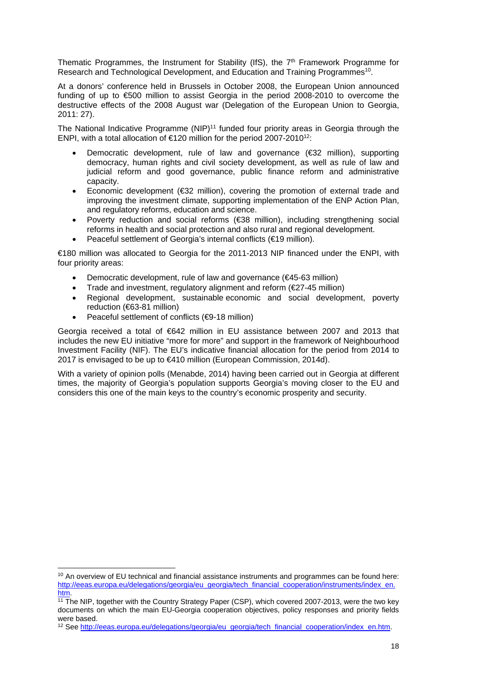Thematic Programmes, the Instrument for Stability (IfS), the 7<sup>th</sup> Framework Programme for Research and Technological Development, and Education and Training Programmes<sup>10</sup>.

At a donors' conference held in Brussels in October 2008, the European Union announced funding of up to €500 million to assist Georgia in the period 2008-2010 to overcome the destructive effects of the 2008 August war (Delegation of the European Union to Georgia, 2011: 27).

The National Indicative Programme (NIP)<sup>11</sup> funded four priority areas in Georgia through the ENPI, with a total allocation of €120 million for the period 2007-2010<sup>12</sup>:

- Democratic development, rule of law and governance (€32 million), supporting democracy, human rights and civil society development, as well as rule of law and judicial reform and good governance, public finance reform and administrative capacity.
- Economic development (€32 million), covering the promotion of external trade and improving the investment climate, supporting implementation of the ENP Action Plan, and regulatory reforms, education and science.
- Poverty reduction and social reforms (€38 million), including strengthening social reforms in health and social protection and also rural and regional development.
- Peaceful settlement of Georgia's internal conflicts (€19 million).

€180 million was allocated to Georgia for the 2011-2013 NIP financed under the ENPI, with four priority areas:

- Democratic development, rule of law and governance (€45-63 million)
- Trade and investment, regulatory alignment and reform (€27-45 million)
- Regional development, sustainable economic and social development, poverty reduction (€63-81 million)
- Peaceful settlement of conflicts (€9-18 million)

Georgia received a total of €642 million in EU assistance between 2007 and 2013 that includes the new EU initiative "more for more" and support in the framework of Neighbourhood Investment Facility (NIF). The EU's indicative financial allocation for the period from 2014 to 2017 is envisaged to be up to €410 million (European Commission, 2014d).

With a variety of opinion polls (Menabde, 2014) having been carried out in Georgia at different times, the majority of Georgia's population supports Georgia's moving closer to the EU and considers this one of the main keys to the country's economic prosperity and security.

<sup>1</sup>  $10$  An overview of EU technical and financial assistance instruments and programmes can be found here: http://eeas.europa.eu/delegations/georgia/eu\_georgia/tech\_financial\_cooperation/instruments/index\_en. htm.<br><sup>11</sup> The NIP, together with the Country Strategy Paper (CSP), which covered 2007-2013, were the two key

documents on which the main EU-Georgia cooperation objectives, policy responses and priority fields were based.

<sup>12</sup> See http://eeas.europa.eu/delegations/georgia/eu\_georgia/tech\_financial\_cooperation/index\_en.htm.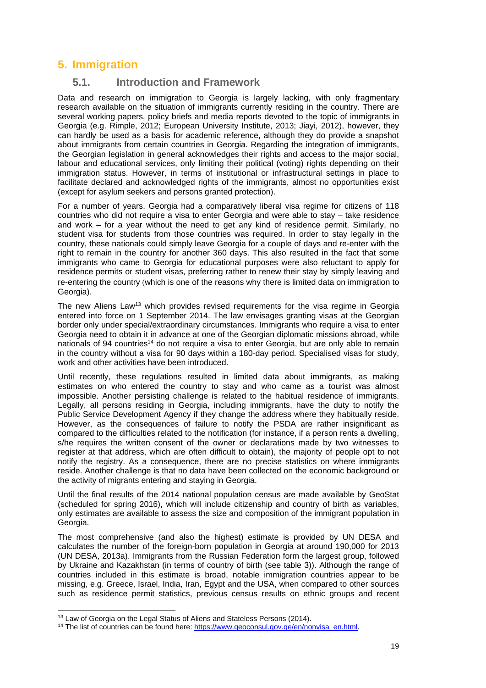# **5. Immigration**

## **5.1. Introduction and Framework**

Data and research on immigration to Georgia is largely lacking, with only fragmentary research available on the situation of immigrants currently residing in the country. There are several working papers, policy briefs and media reports devoted to the topic of immigrants in Georgia (e.g. Rimple, 2012; European University Institute, 2013; Jiayi, 2012), however, they can hardly be used as a basis for academic reference, although they do provide a snapshot about immigrants from certain countries in Georgia. Regarding the integration of immigrants, the Georgian legislation in general acknowledges their rights and access to the major social, labour and educational services, only limiting their political (voting) rights depending on their immigration status. However, in terms of institutional or infrastructural settings in place to facilitate declared and acknowledged rights of the immigrants, almost no opportunities exist (except for asylum seekers and persons granted protection).

For a number of years, Georgia had a comparatively liberal visa regime for citizens of 118 countries who did not require a visa to enter Georgia and were able to stay – take residence and work – for a year without the need to get any kind of residence permit. Similarly, no student visa for students from those countries was required. In order to stay legally in the country, these nationals could simply leave Georgia for a couple of days and re-enter with the right to remain in the country for another 360 days. This also resulted in the fact that some immigrants who came to Georgia for educational purposes were also reluctant to apply for residence permits or student visas, preferring rather to renew their stay by simply leaving and re-entering the country (which is one of the reasons why there is limited data on immigration to Georgia).

The new Aliens Law<sup>13</sup> which provides revised requirements for the visa regime in Georgia entered into force on 1 September 2014. The law envisages granting visas at the Georgian border only under special/extraordinary circumstances. Immigrants who require a visa to enter Georgia need to obtain it in advance at one of the Georgian diplomatic missions abroad, while nationals of 94 countries<sup>14</sup> do not require a visa to enter Georgia, but are only able to remain in the country without a visa for 90 days within a 180-day period. Specialised visas for study, work and other activities have been introduced.

Until recently, these regulations resulted in limited data about immigrants, as making estimates on who entered the country to stay and who came as a tourist was almost impossible. Another persisting challenge is related to the habitual residence of immigrants. Legally, all persons residing in Georgia, including immigrants, have the duty to notify the Public Service Development Agency if they change the address where they habitually reside. However, as the consequences of failure to notify the PSDA are rather insignificant as compared to the difficulties related to the notification (for instance, if a person rents a dwelling, s/he requires the written consent of the owner or declarations made by two witnesses to register at that address, which are often difficult to obtain), the majority of people opt to not notify the registry. As a consequence, there are no precise statistics on where immigrants reside. Another challenge is that no data have been collected on the economic background or the activity of migrants entering and staying in Georgia.

Until the final results of the 2014 national population census are made available by GeoStat (scheduled for spring 2016), which will include citizenship and country of birth as variables, only estimates are available to assess the size and composition of the immigrant population in Georgia.

The most comprehensive (and also the highest) estimate is provided by UN DESA and calculates the number of the foreign-born population in Georgia at around 190,000 for 2013 (UN DESA, 2013a). Immigrants from the Russian Federation form the largest group, followed by Ukraine and Kazakhstan (in terms of country of birth (see table 3)). Although the range of countries included in this estimate is broad, notable immigration countries appear to be missing, e.g. Greece, Israel, India, Iran, Egypt and the USA, when compared to other sources such as residence permit statistics, previous census results on ethnic groups and recent

<sup>1</sup> 

<sup>&</sup>lt;sup>13</sup> Law of Georgia on the Legal Status of Aliens and Stateless Persons (2014).<br><sup>14</sup> The list of countries can be found here: https://www.geoconsul.gov.ge/en/nonvisa\_en.html.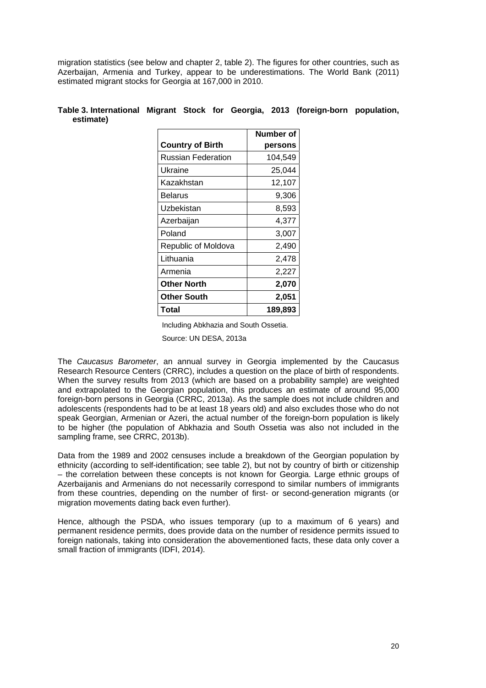migration statistics (see below and chapter 2, table 2). The figures for other countries, such as Azerbaijan, Armenia and Turkey, appear to be underestimations. The World Bank (2011) estimated migrant stocks for Georgia at 167,000 in 2010.

|                           | Number of |
|---------------------------|-----------|
| <b>Country of Birth</b>   | persons   |
| <b>Russian Federation</b> | 104,549   |
| Ukraine                   | 25,044    |
| Kazakhstan                | 12,107    |
| Belarus                   | 9,306     |
| Uzbekistan                | 8,593     |
| Azerbaijan                | 4,377     |
| Poland                    | 3,007     |
| Republic of Moldova       | 2,490     |
| Lithuania                 | 2,478     |
| Armenia                   | 2,227     |
| <b>Other North</b>        | 2,070     |
| <b>Other South</b>        | 2,051     |
| Total                     | 189.893   |

#### **Table 3. International Migrant Stock for Georgia, 2013 (foreign-born population, estimate)**

Including Abkhazia and South Ossetia.

Source: UN DESA, 2013a

The *Caucasus Barometer*, an annual survey in Georgia implemented by the Caucasus Research Resource Centers (CRRC), includes a question on the place of birth of respondents. When the survey results from 2013 (which are based on a probability sample) are weighted and extrapolated to the Georgian population, this produces an estimate of around 95,000 foreign-born persons in Georgia (CRRC, 2013a). As the sample does not include children and adolescents (respondents had to be at least 18 years old) and also excludes those who do not speak Georgian, Armenian or Azeri, the actual number of the foreign-born population is likely to be higher (the population of Abkhazia and South Ossetia was also not included in the sampling frame, see CRRC, 2013b).

Data from the 1989 and 2002 censuses include a breakdown of the Georgian population by ethnicity (according to self-identification; see table 2), but not by country of birth or citizenship – the correlation between these concepts is not known for Georgia. Large ethnic groups of Azerbaijanis and Armenians do not necessarily correspond to similar numbers of immigrants from these countries, depending on the number of first- or second-generation migrants (or migration movements dating back even further).

Hence, although the PSDA, who issues temporary (up to a maximum of 6 years) and permanent residence permits, does provide data on the number of residence permits issued to foreign nationals, taking into consideration the abovementioned facts, these data only cover a small fraction of immigrants (IDFI, 2014).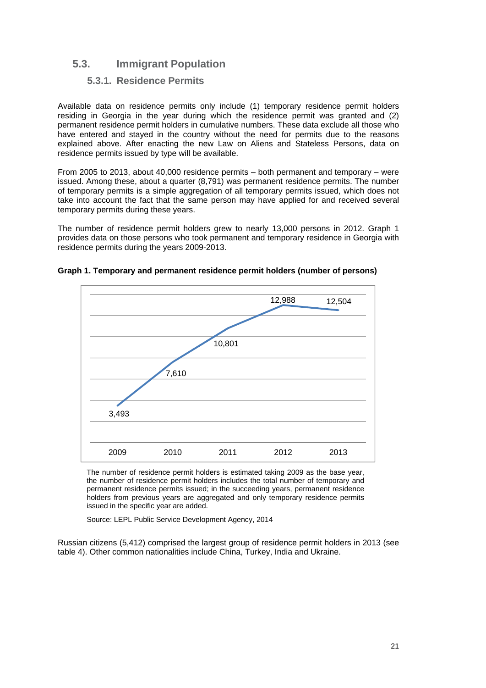## **5.3. Immigrant Population**

#### **5.3.1. Residence Permits**

Available data on residence permits only include (1) temporary residence permit holders residing in Georgia in the year during which the residence permit was granted and (2) permanent residence permit holders in cumulative numbers. These data exclude all those who have entered and stayed in the country without the need for permits due to the reasons explained above. After enacting the new Law on Aliens and Stateless Persons, data on residence permits issued by type will be available.

From 2005 to 2013, about 40,000 residence permits – both permanent and temporary – were issued. Among these, about a quarter (8,791) was permanent residence permits. The number of temporary permits is a simple aggregation of all temporary permits issued, which does not take into account the fact that the same person may have applied for and received several temporary permits during these years.

The number of residence permit holders grew to nearly 13,000 persons in 2012. Graph 1 provides data on those persons who took permanent and temporary residence in Georgia with residence permits during the years 2009-2013.



**Graph 1. Temporary and permanent residence permit holders (number of persons)** 

The number of residence permit holders is estimated taking 2009 as the base year, the number of residence permit holders includes the total number of temporary and permanent residence permits issued; in the succeeding years, permanent residence holders from previous years are aggregated and only temporary residence permits issued in the specific year are added.

Source: LEPL Public Service Development Agency, 2014

Russian citizens (5,412) comprised the largest group of residence permit holders in 2013 (see table 4). Other common nationalities include China, Turkey, India and Ukraine.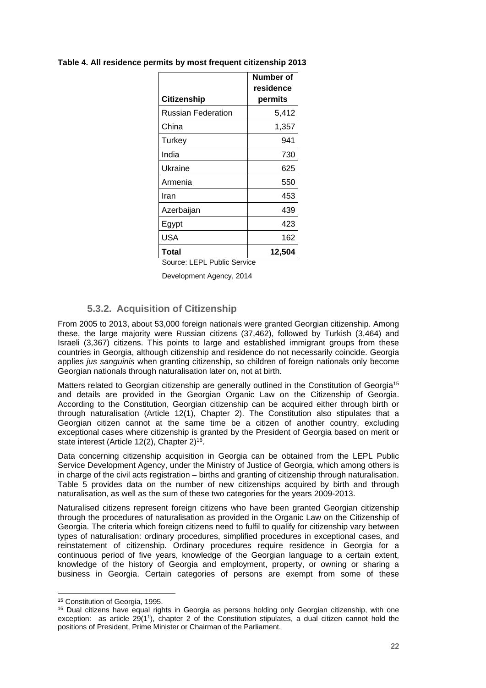| <b>Citizenship</b>          | Number of<br>residence<br>permits |
|-----------------------------|-----------------------------------|
| Russian Federation          | 5,412                             |
| China                       | 1,357                             |
| Turkey                      | 941                               |
| India                       | 730                               |
| Ukraine                     | 625                               |
| Armenia                     | 550                               |
| Iran                        | 453                               |
| Azerbaijan                  | 439                               |
| Egypt                       | 423                               |
| <b>USA</b>                  | 162                               |
| Total                       | 12,504                            |
| Source: LEPL Public Service |                                   |

**Table 4. All residence permits by most frequent citizenship 2013** 

Development Agency, 2014

## **5.3.2. Acquisition of Citizenship**

From 2005 to 2013, about 53,000 foreign nationals were granted Georgian citizenship. Among these, the large majority were Russian citizens (37,462), followed by Turkish (3,464) and Israeli (3,367) citizens. This points to large and established immigrant groups from these countries in Georgia, although citizenship and residence do not necessarily coincide. Georgia applies *jus sanguinis* when granting citizenship, so children of foreign nationals only become Georgian nationals through naturalisation later on, not at birth.

Matters related to Georgian citizenship are generally outlined in the Constitution of Georgia<sup>15</sup> and details are provided in the Georgian Organic Law on the Citizenship of Georgia. According to the Constitution, Georgian citizenship can be acquired either through birth or through naturalisation (Article 12(1), Chapter 2). The Constitution also stipulates that a Georgian citizen cannot at the same time be a citizen of another country, excluding exceptional cases where citizenship is granted by the President of Georgia based on merit or state interest (Article 12(2), Chapter 2)<sup>16</sup>.

Data concerning citizenship acquisition in Georgia can be obtained from the LEPL Public Service Development Agency, under the Ministry of Justice of Georgia, which among others is in charge of the civil acts registration – births and granting of citizenship through naturalisation. Table 5 provides data on the number of new citizenships acquired by birth and through naturalisation, as well as the sum of these two categories for the years 2009-2013.

Naturalised citizens represent foreign citizens who have been granted Georgian citizenship through the procedures of naturalisation as provided in the Organic Law on the Citizenship of Georgia. The criteria which foreign citizens need to fulfil to qualify for citizenship vary between types of naturalisation: ordinary procedures, simplified procedures in exceptional cases, and reinstatement of citizenship. Ordinary procedures require residence in Georgia for a continuous period of five years, knowledge of the Georgian language to a certain extent, knowledge of the history of Georgia and employment, property, or owning or sharing a business in Georgia. Certain categories of persons are exempt from some of these

<sup>1</sup> 15 Constitution of Georgia, 1995.

<sup>&</sup>lt;sup>16</sup> Dual citizens have equal rights in Georgia as persons holding only Georgian citizenship, with one exception: as article 29(11), chapter 2 of the Constitution stipulates, a dual citizen cannot hold the positions of President, Prime Minister or Chairman of the Parliament.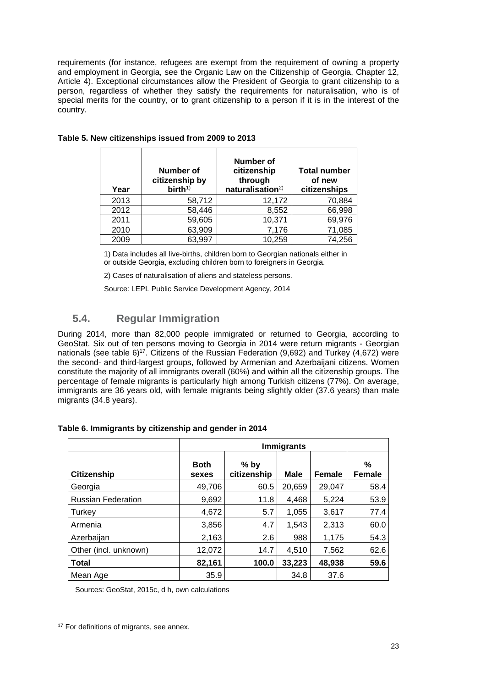requirements (for instance, refugees are exempt from the requirement of owning a property and employment in Georgia, see the Organic Law on the Citizenship of Georgia, Chapter 12, Article 4). Exceptional circumstances allow the President of Georgia to grant citizenship to a person, regardless of whether they satisfy the requirements for naturalisation, who is of special merits for the country, or to grant citizenship to a person if it is in the interest of the country.

| Year | Number of<br>citizenship by<br>$birth^{1)}$ | Number of<br>citizenship<br>through<br>naturalisation <sup>2)</sup> | <b>Total number</b><br>of new<br>citizenships |
|------|---------------------------------------------|---------------------------------------------------------------------|-----------------------------------------------|
| 2013 | 58,712                                      | 12,172                                                              | 70,884                                        |
| 2012 | 58,446                                      | 8,552                                                               | 66,998                                        |
| 2011 | 59,605                                      | 10,371                                                              | 69,976                                        |
| 2010 | 63,909                                      | 7,176                                                               | 71,085                                        |
| 2009 | 63,997                                      | 10,259                                                              | 74,256                                        |

#### **Table 5. New citizenships issued from 2009 to 2013**

1) Data includes all live-births, children born to Georgian nationals either in or outside Georgia, excluding children born to foreigners in Georgia.

2) Cases of naturalisation of aliens and stateless persons.

Source: LEPL Public Service Development Agency, 2014

## **5.4. Regular Immigration**

During 2014, more than 82,000 people immigrated or returned to Georgia, according to GeoStat. Six out of ten persons moving to Georgia in 2014 were return migrants - Georgian nationals (see table 6)<sup>17</sup>. Citizens of the Russian Federation (9,692) and Turkey (4,672) were the second- and third-largest groups, followed by Armenian and Azerbaijani citizens. Women constitute the majority of all immigrants overall (60%) and within all the citizenship groups. The percentage of female migrants is particularly high among Turkish citizens (77%). On average, immigrants are 36 years old, with female migrants being slightly older (37.6 years) than male migrants (34.8 years).

|                           |                      | <b>Immigrants</b>     |             |               |                    |  |  |
|---------------------------|----------------------|-----------------------|-------------|---------------|--------------------|--|--|
| <b>Citizenship</b>        | <b>Both</b><br>sexes | $%$ by<br>citizenship | <b>Male</b> | <b>Female</b> | %<br><b>Female</b> |  |  |
| Georgia                   | 49,706               | 60.5                  | 20,659      | 29.047        | 58.4               |  |  |
| <b>Russian Federation</b> | 9,692                | 11.8                  | 4,468       | 5,224         | 53.9               |  |  |
| Turkey                    | 4,672                | 5.7                   | 1,055       | 3,617         | 77.4               |  |  |
| Armenia                   | 3,856                | 4.7                   | 1,543       | 2,313         | 60.0               |  |  |
| Azerbaijan                | 2,163                | 2.6                   | 988         | 1,175         | 54.3               |  |  |
| Other (incl. unknown)     | 12,072               | 14.7                  | 4,510       | 7,562         | 62.6               |  |  |
| <b>Total</b>              | 82,161               | 100.0                 | 33,223      | 48,938        | 59.6               |  |  |
| Mean Age                  | 35.9                 |                       | 34.8        | 37.6          |                    |  |  |

#### **Table 6. Immigrants by citizenship and gender in 2014**

Sources: GeoStat, 2015c, d h, own calculations

<sup>-</sup><sup>17</sup> For definitions of migrants, see annex.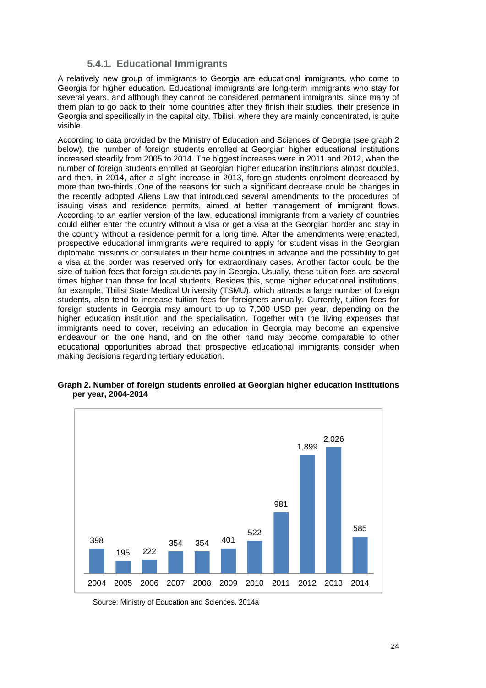#### **5.4.1. Educational Immigrants**

A relatively new group of immigrants to Georgia are educational immigrants, who come to Georgia for higher education. Educational immigrants are long-term immigrants who stay for several years, and although they cannot be considered permanent immigrants, since many of them plan to go back to their home countries after they finish their studies, their presence in Georgia and specifically in the capital city, Tbilisi, where they are mainly concentrated, is quite visible.

According to data provided by the Ministry of Education and Sciences of Georgia (see graph 2 below), the number of foreign students enrolled at Georgian higher educational institutions increased steadily from 2005 to 2014. The biggest increases were in 2011 and 2012, when the number of foreign students enrolled at Georgian higher education institutions almost doubled, and then, in 2014, after a slight increase in 2013, foreign students enrolment decreased by more than two-thirds. One of the reasons for such a significant decrease could be changes in the recently adopted Aliens Law that introduced several amendments to the procedures of issuing visas and residence permits, aimed at better management of immigrant flows. According to an earlier version of the law, educational immigrants from a variety of countries could either enter the country without a visa or get a visa at the Georgian border and stay in the country without a residence permit for a long time. After the amendments were enacted, prospective educational immigrants were required to apply for student visas in the Georgian diplomatic missions or consulates in their home countries in advance and the possibility to get a visa at the border was reserved only for extraordinary cases. Another factor could be the size of tuition fees that foreign students pay in Georgia. Usually, these tuition fees are several times higher than those for local students. Besides this, some higher educational institutions, for example, Tbilisi State Medical University (TSMU), which attracts a large number of foreign students, also tend to increase tuition fees for foreigners annually. Currently, tuition fees for foreign students in Georgia may amount to up to 7,000 USD per year, depending on the higher education institution and the specialisation. Together with the living expenses that immigrants need to cover, receiving an education in Georgia may become an expensive endeavour on the one hand, and on the other hand may become comparable to other educational opportunities abroad that prospective educational immigrants consider when making decisions regarding tertiary education.



#### **Graph 2. Number of foreign students enrolled at Georgian higher education institutions per year, 2004-2014**

Source: Ministry of Education and Sciences, 2014a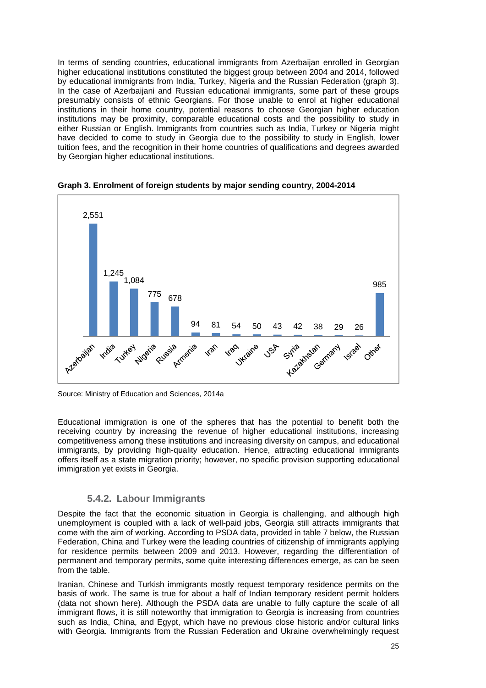In terms of sending countries, educational immigrants from Azerbaijan enrolled in Georgian higher educational institutions constituted the biggest group between 2004 and 2014, followed by educational immigrants from India, Turkey, Nigeria and the Russian Federation (graph 3). In the case of Azerbaijani and Russian educational immigrants, some part of these groups presumably consists of ethnic Georgians. For those unable to enrol at higher educational institutions in their home country, potential reasons to choose Georgian higher education institutions may be proximity, comparable educational costs and the possibility to study in either Russian or English. Immigrants from countries such as India, Turkey or Nigeria might have decided to come to study in Georgia due to the possibility to study in English, lower tuition fees, and the recognition in their home countries of qualifications and degrees awarded by Georgian higher educational institutions.





Educational immigration is one of the spheres that has the potential to benefit both the receiving country by increasing the revenue of higher educational institutions, increasing competitiveness among these institutions and increasing diversity on campus, and educational immigrants, by providing high-quality education. Hence, attracting educational immigrants offers itself as a state migration priority; however, no specific provision supporting educational immigration yet exists in Georgia.

#### **5.4.2. Labour Immigrants**

Despite the fact that the economic situation in Georgia is challenging, and although high unemployment is coupled with a lack of well-paid jobs, Georgia still attracts immigrants that come with the aim of working. According to PSDA data, provided in table 7 below, the Russian Federation, China and Turkey were the leading countries of citizenship of immigrants applying for residence permits between 2009 and 2013. However, regarding the differentiation of permanent and temporary permits, some quite interesting differences emerge, as can be seen from the table.

Iranian, Chinese and Turkish immigrants mostly request temporary residence permits on the basis of work. The same is true for about a half of Indian temporary resident permit holders (data not shown here). Although the PSDA data are unable to fully capture the scale of all immigrant flows, it is still noteworthy that immigration to Georgia is increasing from countries such as India, China, and Egypt, which have no previous close historic and/or cultural links with Georgia. Immigrants from the Russian Federation and Ukraine overwhelmingly request

Source: Ministry of Education and Sciences, 2014a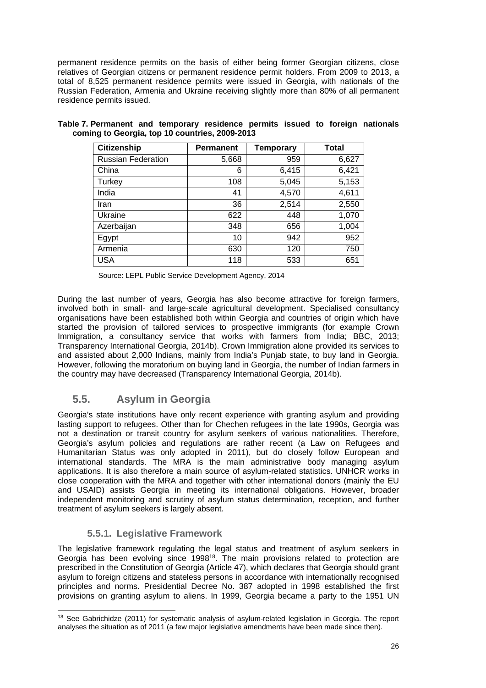permanent residence permits on the basis of either being former Georgian citizens, close relatives of Georgian citizens or permanent residence permit holders. From 2009 to 2013, a total of 8,525 permanent residence permits were issued in Georgia, with nationals of the Russian Federation, Armenia and Ukraine receiving slightly more than 80% of all permanent residence permits issued.

| <b>Citizenship</b>        | <b>Permanent</b> | <b>Temporary</b> | <b>Total</b> |
|---------------------------|------------------|------------------|--------------|
| <b>Russian Federation</b> | 5,668            | 959              | 6,627        |
| China                     | 6                | 6,415            | 6,421        |
| Turkey                    | 108              | 5,045            | 5,153        |
| India                     | 41               | 4,570            | 4,611        |
| Iran                      | 36               | 2,514            | 2,550        |
| Ukraine                   | 622              | 448              | 1,070        |
| Azerbaijan                | 348              | 656              | 1,004        |
| Egypt                     | 10               | 942              | 952          |
| Armenia                   | 630              | 120              | 750          |
| <b>USA</b>                | 118              | 533              | 651          |

| Table 7. Permanent and temporary residence permits issued to foreign nationals |  |  |  |  |
|--------------------------------------------------------------------------------|--|--|--|--|
| coming to Georgia, top 10 countries, 2009-2013                                 |  |  |  |  |

Source: LEPL Public Service Development Agency, 2014

During the last number of years, Georgia has also become attractive for foreign farmers, involved both in small- and large-scale agricultural development. Specialised consultancy organisations have been established both within Georgia and countries of origin which have started the provision of tailored services to prospective immigrants (for example Crown Immigration, a consultancy service that works with farmers from India; BBC, 2013; Transparency International Georgia, 2014b). Crown Immigration alone provided its services to and assisted about 2,000 Indians, mainly from India's Punjab state, to buy land in Georgia. However, following the moratorium on buying land in Georgia, the number of Indian farmers in the country may have decreased (Transparency International Georgia, 2014b).

### **5.5. Asylum in Georgia**

Georgia's state institutions have only recent experience with granting asylum and providing lasting support to refugees. Other than for Chechen refugees in the late 1990s, Georgia was not a destination or transit country for asylum seekers of various nationalities. Therefore, Georgia's asylum policies and regulations are rather recent (a Law on Refugees and Humanitarian Status was only adopted in 2011), but do closely follow European and international standards. The MRA is the main administrative body managing asylum applications. It is also therefore a main source of asylum-related statistics. UNHCR works in close cooperation with the MRA and together with other international donors (mainly the EU and USAID) assists Georgia in meeting its international obligations. However, broader independent monitoring and scrutiny of asylum status determination, reception, and further treatment of asylum seekers is largely absent.

### **5.5.1. Legislative Framework**

The legislative framework regulating the legal status and treatment of asylum seekers in Georgia has been evolving since 1998<sup>18</sup>. The main provisions related to protection are prescribed in the Constitution of Georgia (Article 47), which declares that Georgia should grant asylum to foreign citizens and stateless persons in accordance with internationally recognised principles and norms. Presidential Decree No. 387 adopted in 1998 established the first provisions on granting asylum to aliens. In 1999, Georgia became a party to the 1951 UN

<sup>1</sup> <sup>18</sup> See Gabrichidze (2011) for systematic analysis of asylum-related legislation in Georgia. The report analyses the situation as of 2011 (a few major legislative amendments have been made since then).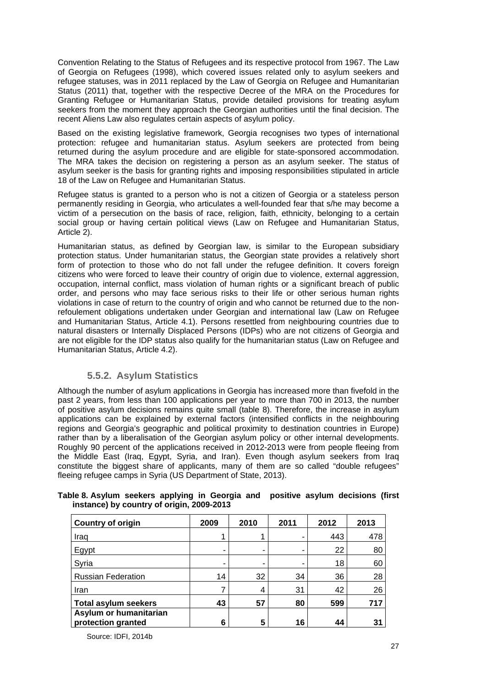Convention Relating to the Status of Refugees and its respective protocol from 1967. The Law of Georgia on Refugees (1998), which covered issues related only to asylum seekers and refugee statuses, was in 2011 replaced by the Law of Georgia on Refugee and Humanitarian Status (2011) that, together with the respective Decree of the MRA on the Procedures for Granting Refugee or Humanitarian Status, provide detailed provisions for treating asylum seekers from the moment they approach the Georgian authorities until the final decision. The recent Aliens Law also regulates certain aspects of asylum policy.

Based on the existing legislative framework, Georgia recognises two types of international protection: refugee and humanitarian status. Asylum seekers are protected from being returned during the asylum procedure and are eligible for state-sponsored accommodation. The MRA takes the decision on registering a person as an asylum seeker. The status of asylum seeker is the basis for granting rights and imposing responsibilities stipulated in article 18 of the Law on Refugee and Humanitarian Status.

Refugee status is granted to a person who is not a citizen of Georgia or a stateless person permanently residing in Georgia, who articulates a well-founded fear that s/he may become a victim of a persecution on the basis of race, religion, faith, ethnicity, belonging to a certain social group or having certain political views (Law on Refugee and Humanitarian Status, Article 2).

Humanitarian status, as defined by Georgian law, is similar to the European subsidiary protection status. Under humanitarian status, the Georgian state provides a relatively short form of protection to those who do not fall under the refugee definition. It covers foreign citizens who were forced to leave their country of origin due to violence, external aggression, occupation, internal conflict, mass violation of human rights or a significant breach of public order, and persons who may face serious risks to their life or other serious human rights violations in case of return to the country of origin and who cannot be returned due to the nonrefoulement obligations undertaken under Georgian and international law (Law on Refugee and Humanitarian Status, Article 4.1). Persons resettled from neighbouring countries due to natural disasters or Internally Displaced Persons (IDPs) who are not citizens of Georgia and are not eligible for the IDP status also qualify for the humanitarian status (Law on Refugee and Humanitarian Status, Article 4.2).

#### **5.5.2. Asylum Statistics**

Although the number of asylum applications in Georgia has increased more than fivefold in the past 2 years, from less than 100 applications per year to more than 700 in 2013, the number of positive asylum decisions remains quite small (table 8). Therefore, the increase in asylum applications can be explained by external factors (intensified conflicts in the neighbouring regions and Georgia's geographic and political proximity to destination countries in Europe) rather than by a liberalisation of the Georgian asylum policy or other internal developments. Roughly 90 percent of the applications received in 2012-2013 were from people fleeing from the Middle East (Iraq, Egypt, Syria, and Iran). Even though asylum seekers from Iraq constitute the biggest share of applicants, many of them are so called "double refugees" fleeing refugee camps in Syria (US Department of State, 2013).

| <b>Country of origin</b>                     | 2009 | 2010 | 2011 | 2012 | 2013 |
|----------------------------------------------|------|------|------|------|------|
| Iraq                                         |      |      |      | 443  | 478  |
| Egypt                                        | -    | -    |      | 22   | 80   |
| Syria                                        | ۰    | -    |      | 18   | 60   |
| <b>Russian Federation</b>                    | 14   | 32   | 34   | 36   | 28   |
| Iran                                         |      | 4    | 31   | 42   | 26   |
| <b>Total asylum seekers</b>                  | 43   | 57   | 80   | 599  | 717  |
| Asylum or humanitarian<br>protection granted | 6    | 5    | 16   | 44   | 31   |

#### **Table 8. Asylum seekers applying in Georgia and positive asylum decisions (first instance) by country of origin, 2009-2013**

Source: IDFI, 2014b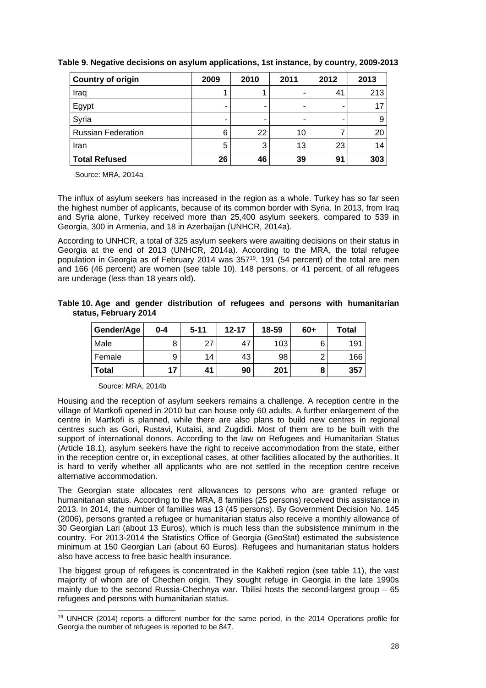| <b>Country of origin</b>  | 2009 | 2010 | 2011 | 2012 | 2013 |
|---------------------------|------|------|------|------|------|
| Iraq                      |      |      |      | 41   | 213  |
| Egypt                     | -    |      | -    | -    | 17   |
| Syria                     |      |      |      |      |      |
| <b>Russian Federation</b> | 6    | 22   | 10   |      | 20   |
| Iran                      | 5    | 3    | 13   | 23   | 14   |
| <b>Total Refused</b>      | 26   | 46   | 39   | 91   | 303  |

**Table 9. Negative decisions on asylum applications, 1st instance, by country, 2009-2013** 

Source: MRA, 2014a

The influx of asylum seekers has increased in the region as a whole. Turkey has so far seen the highest number of applicants, because of its common border with Syria. In 2013, from Iraq and Syria alone, Turkey received more than 25,400 asylum seekers, compared to 539 in Georgia, 300 in Armenia, and 18 in Azerbaijan (UNHCR, 2014a).

According to UNHCR, a total of 325 asylum seekers were awaiting decisions on their status in Georgia at the end of 2013 (UNHCR, 2014a). According to the MRA, the total refugee population in Georgia as of February 2014 was 35719. 191 (54 percent) of the total are men and 166 (46 percent) are women (see table 10). 148 persons, or 41 percent, of all refugees are underage (less than 18 years old).

**Table 10. Age and gender distribution of refugees and persons with humanitarian status, February 2014** 

| Gender/Age   | 0-4 | $5 - 11$ | $12 - 17$ | 18-59 | 60+ | Total |
|--------------|-----|----------|-----------|-------|-----|-------|
| Male         | 8   | 27       | 47        | 103   |     | 191   |
| Female       | 9   | 14       | 43        | 98    |     | 166   |
| <b>Total</b> | 17  | 41       | 90        | 201   | О   | 357   |

Source: MRA, 2014b

1

Housing and the reception of asylum seekers remains a challenge. A reception centre in the village of Martkofi opened in 2010 but can house only 60 adults. A further enlargement of the centre in Martkofi is planned, while there are also plans to build new centres in regional centres such as Gori, Rustavi, Kutaisi, and Zugdidi. Most of them are to be built with the support of international donors. According to the law on Refugees and Humanitarian Status (Article 18.1), asylum seekers have the right to receive accommodation from the state, either in the reception centre or, in exceptional cases, at other facilities allocated by the authorities. It is hard to verify whether all applicants who are not settled in the reception centre receive alternative accommodation.

The Georgian state allocates rent allowances to persons who are granted refuge or humanitarian status. According to the MRA, 8 families (25 persons) received this assistance in 2013. In 2014, the number of families was 13 (45 persons). By Government Decision No. 145 (2006), persons granted a refugee or humanitarian status also receive a monthly allowance of 30 Georgian Lari (about 13 Euros), which is much less than the subsistence minimum in the country. For 2013-2014 the Statistics Office of Georgia (GeoStat) estimated the subsistence minimum at 150 Georgian Lari (about 60 Euros). Refugees and humanitarian status holders also have access to free basic health insurance.

The biggest group of refugees is concentrated in the Kakheti region (see table 11), the vast majority of whom are of Chechen origin. They sought refuge in Georgia in the late 1990s mainly due to the second Russia-Chechnya war. Thilisi hosts the second-largest group  $-65$ refugees and persons with humanitarian status.

<sup>19</sup> UNHCR (2014) reports a different number for the same period, in the 2014 Operations profile for Georgia the number of refugees is reported to be 847.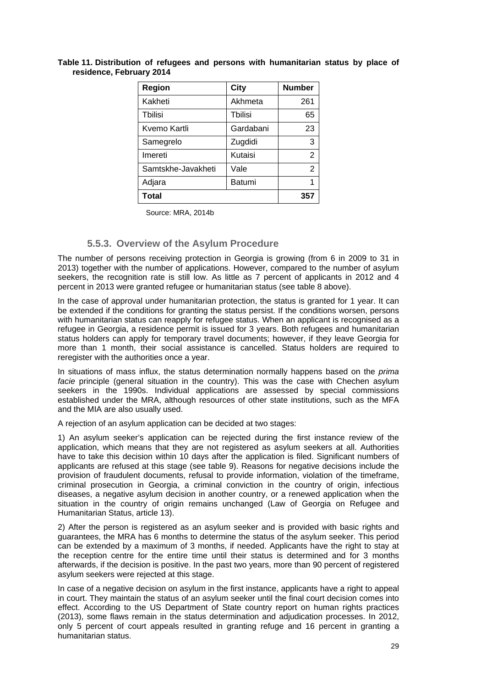| Table 11. Distribution of refugees and persons with humanitarian status by place of |  |  |  |  |  |
|-------------------------------------------------------------------------------------|--|--|--|--|--|
| residence, February 2014                                                            |  |  |  |  |  |

| Region             | City      | <b>Number</b> |
|--------------------|-----------|---------------|
| Kakheti            | Akhmeta   | 261           |
| Tbilisi            | Tbilisi   | 65            |
| Kvemo Kartli       | Gardabani | 23            |
| Samegrelo          | Zugdidi   | 3             |
| Imereti            | Kutaisi   | 2             |
| Samtskhe-Javakheti | Vale      | $\mathcal{P}$ |
| Adjara             | Batumi    | 1             |
| Total              |           | 357           |

Source: MRA, 2014b

#### **5.5.3. Overview of the Asylum Procedure**

The number of persons receiving protection in Georgia is growing (from 6 in 2009 to 31 in 2013) together with the number of applications. However, compared to the number of asylum seekers, the recognition rate is still low. As little as 7 percent of applicants in 2012 and 4 percent in 2013 were granted refugee or humanitarian status (see table 8 above).

In the case of approval under humanitarian protection, the status is granted for 1 year. It can be extended if the conditions for granting the status persist. If the conditions worsen, persons with humanitarian status can reapply for refugee status. When an applicant is recognised as a refugee in Georgia, a residence permit is issued for 3 years. Both refugees and humanitarian status holders can apply for temporary travel documents; however, if they leave Georgia for more than 1 month, their social assistance is cancelled. Status holders are required to reregister with the authorities once a year.

In situations of mass influx, the status determination normally happens based on the *prima facie* principle (general situation in the country). This was the case with Chechen asylum seekers in the 1990s. Individual applications are assessed by special commissions established under the MRA, although resources of other state institutions, such as the MFA and the MIA are also usually used.

A rejection of an asylum application can be decided at two stages:

1) An asylum seeker's application can be rejected during the first instance review of the application, which means that they are not registered as asylum seekers at all. Authorities have to take this decision within 10 days after the application is filed. Significant numbers of applicants are refused at this stage (see table 9). Reasons for negative decisions include the provision of fraudulent documents, refusal to provide information, violation of the timeframe, criminal prosecution in Georgia, a criminal conviction in the country of origin, infectious diseases, a negative asylum decision in another country, or a renewed application when the situation in the country of origin remains unchanged (Law of Georgia on Refugee and Humanitarian Status, article 13).

2) After the person is registered as an asylum seeker and is provided with basic rights and guarantees, the MRA has 6 months to determine the status of the asylum seeker. This period can be extended by a maximum of 3 months, if needed. Applicants have the right to stay at the reception centre for the entire time until their status is determined and for 3 months afterwards, if the decision is positive. In the past two years, more than 90 percent of registered asylum seekers were rejected at this stage.

In case of a negative decision on asylum in the first instance, applicants have a right to appeal in court. They maintain the status of an asylum seeker until the final court decision comes into effect. According to the US Department of State country report on human rights practices (2013), some flaws remain in the status determination and adjudication processes. In 2012, only 5 percent of court appeals resulted in granting refuge and 16 percent in granting a humanitarian status.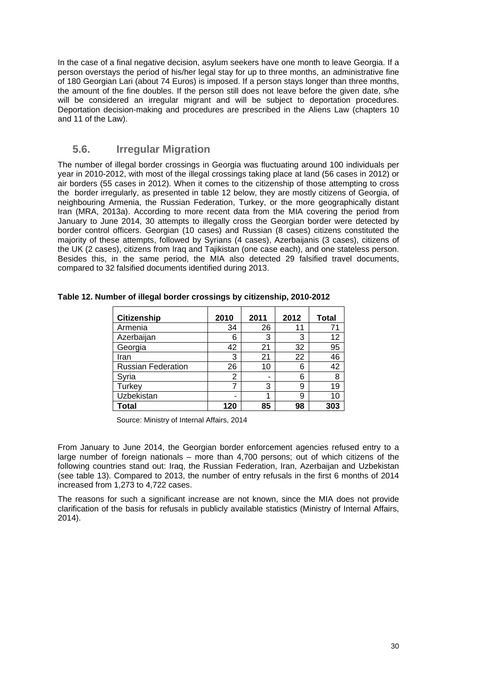In the case of a final negative decision, asylum seekers have one month to leave Georgia. If a person overstays the period of his/her legal stay for up to three months, an administrative fine of 180 Georgian Lari (about 74 Euros) is imposed. If a person stays longer than three months, the amount of the fine doubles. If the person still does not leave before the given date, s/he will be considered an irregular migrant and will be subject to deportation procedures. Deportation decision-making and procedures are prescribed in the Aliens Law (chapters 10 and 11 of the Law).

#### **5.6. Irregular Migration**

The number of illegal border crossings in Georgia was fluctuating around 100 individuals per year in 2010-2012, with most of the illegal crossings taking place at land (56 cases in 2012) or air borders (55 cases in 2012). When it comes to the citizenship of those attempting to cross the border irregularly, as presented in table 12 below, they are mostly citizens of Georgia, of neighbouring Armenia, the Russian Federation, Turkey, or the more geographically distant Iran (MRA, 2013a). According to more recent data from the MIA covering the period from January to June 2014, 30 attempts to illegally cross the Georgian border were detected by border control officers. Georgian (10 cases) and Russian (8 cases) citizens constituted the majority of these attempts, followed by Syrians (4 cases), Azerbaijanis (3 cases), citizens of the UK (2 cases), citizens from Iraq and Tajikistan (one case each), and one stateless person. Besides this, in the same period, the MIA also detected 29 falsified travel documents, compared to 32 falsified documents identified during 2013.

| <b>Citizenship</b>        | 2010 | 2011 | 2012 | <b>Total</b> |
|---------------------------|------|------|------|--------------|
| Armenia                   | 34   | 26   | 11   | 71           |
| Azerbaijan                | 6    | 3    | 3    | 12           |
| Georgia                   | 42   | 21   | 32   | 95           |
| Iran                      | 3    | 21   | 22   | 46           |
| <b>Russian Federation</b> | 26   | 10   | 6    | 42           |
| Syria                     | 2    |      | 6    | 8            |
| Turkey                    | 7    | 3    | 9    | 19           |
| Uzbekistan                | -    |      | 9    | 10           |
| Total                     | 120  | 85   | 98   | 303          |

**Table 12. Number of illegal border crossings by citizenship, 2010-2012** 

Source: Ministry of Internal Affairs, 2014

From January to June 2014, the Georgian border enforcement agencies refused entry to a large number of foreign nationals – more than 4,700 persons; out of which citizens of the following countries stand out: Iraq, the Russian Federation, Iran, Azerbaijan and Uzbekistan (see table 13). Compared to 2013, the number of entry refusals in the first 6 months of 2014 increased from 1,273 to 4,722 cases.

The reasons for such a significant increase are not known, since the MIA does not provide clarification of the basis for refusals in publicly available statistics (Ministry of Internal Affairs, 2014).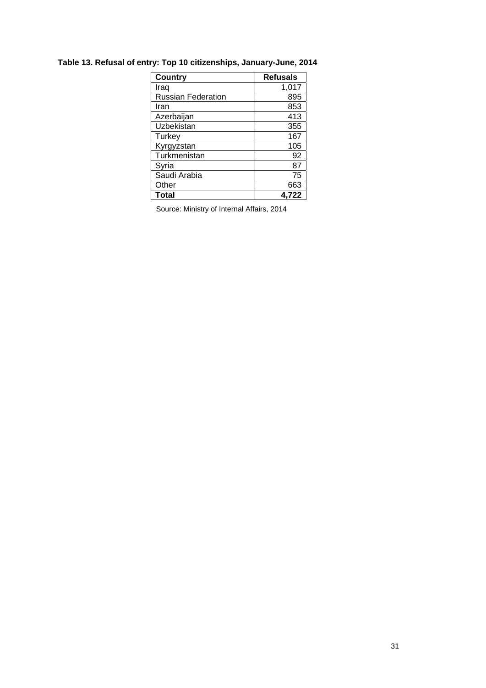| <b>Country</b>            | <b>Refusals</b> |
|---------------------------|-----------------|
| Iraq                      | 1,017           |
| <b>Russian Federation</b> | 895             |
| Iran                      | 853             |
| Azerbaijan                | 413             |
| Uzbekistan                | 355             |
| Turkey                    | 167             |
| Kyrgyzstan                | 105             |
| Turkmenistan              | 92              |
| Syria                     | 87              |
| Saudi Arabia              | 75              |
| Other                     | 663             |
| Total                     | 4.722           |

## **Table 13. Refusal of entry: Top 10 citizenships, January-June, 2014**

Source: Ministry of Internal Affairs, 2014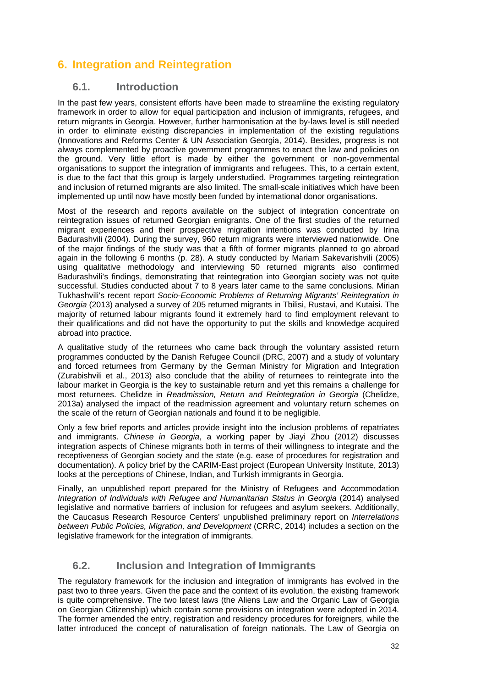# **6. Integration and Reintegration**

#### **6.1. Introduction**

In the past few years, consistent efforts have been made to streamline the existing regulatory framework in order to allow for equal participation and inclusion of immigrants, refugees, and return migrants in Georgia. However, further harmonisation at the by-laws level is still needed in order to eliminate existing discrepancies in implementation of the existing regulations (Innovations and Reforms Center & UN Association Georgia, 2014). Besides, progress is not always complemented by proactive government programmes to enact the law and policies on the ground. Very little effort is made by either the government or non-governmental organisations to support the integration of immigrants and refugees. This, to a certain extent, is due to the fact that this group is largely understudied. Programmes targeting reintegration and inclusion of returned migrants are also limited. The small-scale initiatives which have been implemented up until now have mostly been funded by international donor organisations.

Most of the research and reports available on the subject of integration concentrate on reintegration issues of returned Georgian emigrants. One of the first studies of the returned migrant experiences and their prospective migration intentions was conducted by Irina Badurashvili (2004). During the survey, 960 return migrants were interviewed nationwide. One of the major findings of the study was that a fifth of former migrants planned to go abroad again in the following 6 months (p. 28). A study conducted by Mariam Sakevarishvili (2005) using qualitative methodology and interviewing 50 returned migrants also confirmed Badurashvili's findings, demonstrating that reintegration into Georgian society was not quite successful. Studies conducted about 7 to 8 years later came to the same conclusions. Mirian Tukhashvili's recent report *Socio-Economic Problems of Returning Migrants' Reintegration in Georgia* (2013) analysed a survey of 205 returned migrants in Tbilisi, Rustavi, and Kutaisi. The majority of returned labour migrants found it extremely hard to find employment relevant to their qualifications and did not have the opportunity to put the skills and knowledge acquired abroad into practice.

A qualitative study of the returnees who came back through the voluntary assisted return programmes conducted by the Danish Refugee Council (DRC, 2007) and a study of voluntary and forced returnees from Germany by the German Ministry for Migration and Integration (Zurabishvili et al., 2013) also conclude that the ability of returnees to reintegrate into the labour market in Georgia is the key to sustainable return and yet this remains a challenge for most returnees. Chelidze in *Readmission, Return and Reintegration in Georgia* (Chelidze, 2013a) analysed the impact of the readmission agreement and voluntary return schemes on the scale of the return of Georgian nationals and found it to be negligible.

Only a few brief reports and articles provide insight into the inclusion problems of repatriates and immigrants. *Chinese in Georgia*, a working paper by Jiayi Zhou (2012) discusses integration aspects of Chinese migrants both in terms of their willingness to integrate and the receptiveness of Georgian society and the state (e.g. ease of procedures for registration and documentation). A policy brief by the CARIM-East project (European University Institute, 2013) looks at the perceptions of Chinese, Indian, and Turkish immigrants in Georgia.

Finally, an unpublished report prepared for the Ministry of Refugees and Accommodation *Integration of Individuals with Refugee and Humanitarian Status in Georgia* (2014) analysed legislative and normative barriers of inclusion for refugees and asylum seekers. Additionally, the Caucasus Research Resource Centers' unpublished preliminary report on *Interrelations between Public Policies, Migration, and Development* (CRRC, 2014) includes a section on the legislative framework for the integration of immigrants.

## **6.2. Inclusion and Integration of Immigrants**

The regulatory framework for the inclusion and integration of immigrants has evolved in the past two to three years. Given the pace and the context of its evolution, the existing framework is quite comprehensive. The two latest laws (the Aliens Law and the Organic Law of Georgia on Georgian Citizenship) which contain some provisions on integration were adopted in 2014. The former amended the entry, registration and residency procedures for foreigners, while the latter introduced the concept of naturalisation of foreign nationals. The Law of Georgia on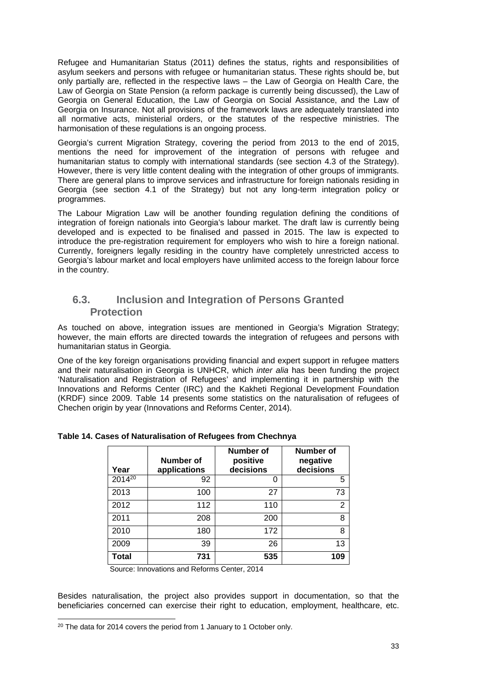Refugee and Humanitarian Status (2011) defines the status, rights and responsibilities of asylum seekers and persons with refugee or humanitarian status. These rights should be, but only partially are, reflected in the respective laws – the Law of Georgia on Health Care, the Law of Georgia on State Pension (a reform package is currently being discussed), the Law of Georgia on General Education, the Law of Georgia on Social Assistance, and the Law of Georgia on Insurance. Not all provisions of the framework laws are adequately translated into all normative acts, ministerial orders, or the statutes of the respective ministries. The harmonisation of these regulations is an ongoing process.

Georgia's current Migration Strategy, covering the period from 2013 to the end of 2015, mentions the need for improvement of the integration of persons with refugee and humanitarian status to comply with international standards (see section 4.3 of the Strategy). However, there is very little content dealing with the integration of other groups of immigrants. There are general plans to improve services and infrastructure for foreign nationals residing in Georgia (see section 4.1 of the Strategy) but not any long-term integration policy or programmes.

The Labour Migration Law will be another founding regulation defining the conditions of integration of foreign nationals into Georgia's labour market. The draft law is currently being developed and is expected to be finalised and passed in 2015. The law is expected to introduce the pre-registration requirement for employers who wish to hire a foreign national. Currently, foreigners legally residing in the country have completely unrestricted access to Georgia's labour market and local employers have unlimited access to the foreign labour force in the country.

### **6.3. Inclusion and Integration of Persons Granted Protection**

As touched on above, integration issues are mentioned in Georgia's Migration Strategy; however, the main efforts are directed towards the integration of refugees and persons with humanitarian status in Georgia.

One of the key foreign organisations providing financial and expert support in refugee matters and their naturalisation in Georgia is UNHCR, which *inter alia* has been funding the project 'Naturalisation and Registration of Refugees' and implementing it in partnership with the Innovations and Reforms Center (IRC) and the Kakheti Regional Development Foundation (KRDF) since 2009. Table 14 presents some statistics on the naturalisation of refugees of Chechen origin by year (Innovations and Reforms Center, 2014).

| Year               | Number of<br>applications | <b>Number of</b><br>positive<br>decisions | Number of<br>negative<br>decisions |
|--------------------|---------------------------|-------------------------------------------|------------------------------------|
| 2014 <sup>20</sup> | 92                        | 0                                         | 5                                  |
| 2013               | 100                       | 27                                        | 73                                 |
| 2012               | 112                       | 110                                       | $\overline{2}$                     |
| 2011               | 208                       | 200                                       | 8                                  |
| 2010               | 180                       | 172                                       | 8                                  |
| 2009               | 39                        | 26                                        | 13                                 |
| <b>Total</b>       | 731                       | 535                                       | 109                                |

|  |  | Table 14. Cases of Naturalisation of Refugees from Chechnya |  |  |
|--|--|-------------------------------------------------------------|--|--|
|--|--|-------------------------------------------------------------|--|--|

Source: Innovations and Reforms Center, 2014

Besides naturalisation, the project also provides support in documentation, so that the beneficiaries concerned can exercise their right to education, employment, healthcare, etc.

-

<sup>&</sup>lt;sup>20</sup> The data for 2014 covers the period from 1 January to 1 October only.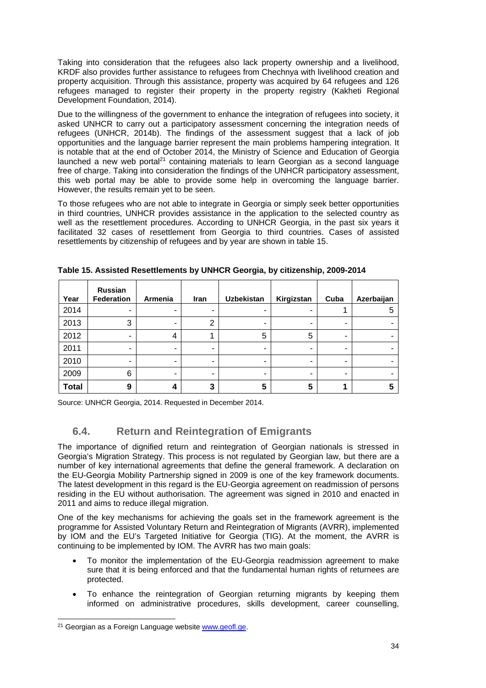Taking into consideration that the refugees also lack property ownership and a livelihood, KRDF also provides further assistance to refugees from Chechnya with livelihood creation and property acquisition. Through this assistance, property was acquired by 64 refugees and 126 refugees managed to register their property in the property registry (Kakheti Regional Development Foundation, 2014).

Due to the willingness of the government to enhance the integration of refugees into society, it asked UNHCR to carry out a participatory assessment concerning the integration needs of refugees (UNHCR, 2014b). The findings of the assessment suggest that a lack of job opportunities and the language barrier represent the main problems hampering integration. It is notable that at the end of October 2014, the Ministry of Science and Education of Georgia launched a new web portal<sup>21</sup> containing materials to learn Georgian as a second language free of charge. Taking into consideration the findings of the UNHCR participatory assessment, this web portal may be able to provide some help in overcoming the language barrier. However, the results remain yet to be seen.

To those refugees who are not able to integrate in Georgia or simply seek better opportunities in third countries, UNHCR provides assistance in the application to the selected country as well as the resettlement procedures. According to UNHCR Georgia, in the past six years it facilitated 32 cases of resettlement from Georgia to third countries. Cases of assisted resettlements by citizenship of refugees and by year are shown in table 15.

| Year         | <b>Russian</b><br><b>Federation</b> | Armenia | Iran | <b>Uzbekistan</b>        | Kirgizstan | Cuba | Azerbaijan |
|--------------|-------------------------------------|---------|------|--------------------------|------------|------|------------|
| 2014         | -                                   |         | -    | $\overline{\phantom{0}}$ |            |      | 5          |
| 2013         | 3                                   |         | 2    | $\overline{\phantom{0}}$ | -          | -    |            |
| 2012         | ۰                                   | 4       |      | 5                        | 5          | -    | -          |
| 2011         | -                                   |         |      | -                        | -          | -    |            |
| 2010         | -                                   | -       | -    | -                        | -          | -    |            |
| 2009         | 6                                   |         | -    | -                        | -          | -    |            |
| <b>Total</b> | 9                                   | 4       | 3    | 5                        | 5          |      |            |

**Table 15. Assisted Resettlements by UNHCR Georgia, by citizenship, 2009-2014** 

Source: UNHCR Georgia, 2014. Requested in December 2014.

## **6.4. Return and Reintegration of Emigrants**

The importance of dignified return and reintegration of Georgian nationals is stressed in Georgia's Migration Strategy. This process is not regulated by Georgian law, but there are a number of key international agreements that define the general framework. A declaration on the EU-Georgia Mobility Partnership signed in 2009 is one of the key framework documents. The latest development in this regard is the EU-Georgia agreement on readmission of persons residing in the EU without authorisation. The agreement was signed in 2010 and enacted in 2011 and aims to reduce illegal migration.

One of the key mechanisms for achieving the goals set in the framework agreement is the programme for Assisted Voluntary Return and Reintegration of Migrants (AVRR), implemented by IOM and the EU's Targeted Initiative for Georgia (TIG). At the moment, the AVRR is continuing to be implemented by IOM. The AVRR has two main goals:

- To monitor the implementation of the EU-Georgia readmission agreement to make sure that it is being enforced and that the fundamental human rights of returnees are protected.
- To enhance the reintegration of Georgian returning migrants by keeping them informed on administrative procedures, skills development, career counselling,

<sup>-</sup><sup>21</sup> Georgian as a Foreign Language website www.geofl.ge.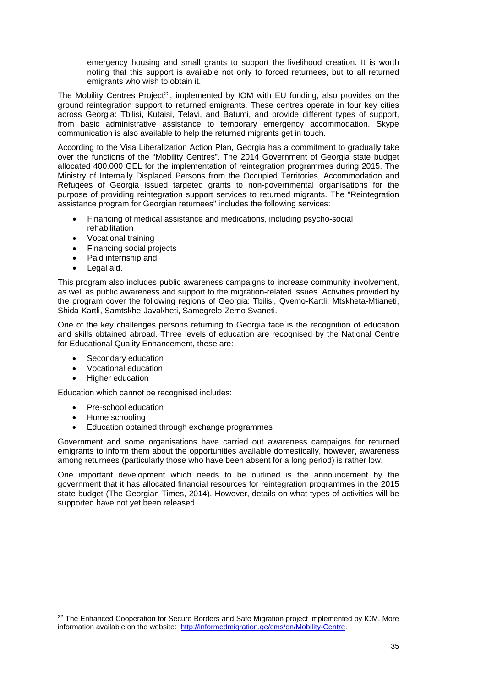emergency housing and small grants to support the livelihood creation. It is worth noting that this support is available not only to forced returnees, but to all returned emigrants who wish to obtain it.

The Mobility Centres Project<sup>22</sup>, implemented by IOM with EU funding, also provides on the ground reintegration support to returned emigrants. These centres operate in four key cities across Georgia: Tbilisi, Kutaisi, Telavi, and Batumi, and provide different types of support, from basic administrative assistance to temporary emergency accommodation. Skype communication is also available to help the returned migrants get in touch.

According to the Visa Liberalization Action Plan, Georgia has a commitment to gradually take over the functions of the "Mobility Centres". The 2014 Government of Georgia state budget allocated 400.000 GEL for the implementation of reintegration programmes during 2015. The Ministry of Internally Displaced Persons from the Occupied Territories, Accommodation and Refugees of Georgia issued targeted grants to non-governmental organisations for the purpose of providing reintegration support services to returned migrants. The "Reintegration assistance program for Georgian returnees" includes the following services:

- Financing of medical assistance and medications, including psycho-social rehabilitation
- Vocational training
- Financing social projects
- Paid internship and
- Legal aid.

This program also includes public awareness campaigns to increase community involvement, as well as public awareness and support to the migration-related issues. Activities provided by the program cover the following regions of Georgia: Tbilisi, Qvemo-Kartli, Mtskheta-Mtianeti, Shida-Kartli, Samtskhe-Javakheti, Samegrelo-Zemo Svaneti.

One of the key challenges persons returning to Georgia face is the recognition of education and skills obtained abroad. Three levels of education are recognised by the National Centre for Educational Quality Enhancement, these are:

- Secondary education
- Vocational education
- Higher education

Education which cannot be recognised includes:

- Pre-school education
- Home schooling

1

Education obtained through exchange programmes

Government and some organisations have carried out awareness campaigns for returned emigrants to inform them about the opportunities available domestically, however, awareness among returnees (particularly those who have been absent for a long period) is rather low.

One important development which needs to be outlined is the announcement by the government that it has allocated financial resources for reintegration programmes in the 2015 state budget (The Georgian Times, 2014). However, details on what types of activities will be supported have not yet been released.

<sup>&</sup>lt;sup>22</sup> The Enhanced Cooperation for Secure Borders and Safe Migration project implemented by IOM. More information available on the website: http://informedmigration.ge/cms/en/Mobility-Centre.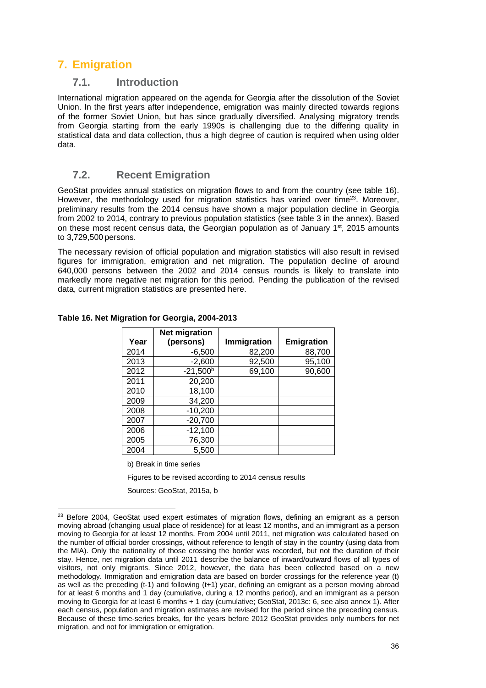# **7. Emigration**

### **7.1. Introduction**

International migration appeared on the agenda for Georgia after the dissolution of the Soviet Union. In the first years after independence, emigration was mainly directed towards regions of the former Soviet Union, but has since gradually diversified. Analysing migratory trends from Georgia starting from the early 1990s is challenging due to the differing quality in statistical data and data collection, thus a high degree of caution is required when using older data.

### **7.2. Recent Emigration**

GeoStat provides annual statistics on migration flows to and from the country (see table 16). However, the methodology used for migration statistics has varied over time<sup>23</sup>. Moreover, preliminary results from the 2014 census have shown a major population decline in Georgia from 2002 to 2014, contrary to previous population statistics (see table 3 in the annex). Based on these most recent census data, the Georgian population as of January 1<sup>st</sup>, 2015 amounts to 3,729,500 persons.

The necessary revision of official population and migration statistics will also result in revised figures for immigration, emigration and net migration. The population decline of around 640,000 persons between the 2002 and 2014 census rounds is likely to translate into markedly more negative net migration for this period. Pending the publication of the revised data, current migration statistics are presented here.

| Year | <b>Net migration</b><br>(persons) | Immigration | Emigration |
|------|-----------------------------------|-------------|------------|
| 2014 | $-6,500$                          | 82,200      | 88,700     |
| 2013 | $-2,600$                          | 92,500      | 95,100     |
| 2012 | $-21,500^{\rm b}$                 | 69,100      | 90,600     |
| 2011 | 20,200                            |             |            |
| 2010 | 18,100                            |             |            |
| 2009 | 34,200                            |             |            |
| 2008 | $-10,200$                         |             |            |
| 2007 | $-20,700$                         |             |            |
| 2006 | $-12,100$                         |             |            |
| 2005 | 76,300                            |             |            |
| 2004 | 5,500                             |             |            |

**Table 16. Net Migration for Georgia, 2004-2013** 

b) Break in time series

-

Figures to be revised according to 2014 census results

Sources: GeoStat, 2015a, b

<sup>&</sup>lt;sup>23</sup> Before 2004, GeoStat used expert estimates of migration flows, defining an emigrant as a person moving abroad (changing usual place of residence) for at least 12 months, and an immigrant as a person moving to Georgia for at least 12 months. From 2004 until 2011, net migration was calculated based on the number of official border crossings, without reference to length of stay in the country (using data from the MIA). Only the nationality of those crossing the border was recorded, but not the duration of their stay. Hence, net migration data until 2011 describe the balance of inward/outward flows of all types of visitors, not only migrants. Since 2012, however, the data has been collected based on a new methodology. Immigration and emigration data are based on border crossings for the reference year (t) as well as the preceding (t-1) and following (t+1) year, defining an emigrant as a person moving abroad for at least 6 months and 1 day (cumulative, during a 12 months period), and an immigrant as a person moving to Georgia for at least 6 months + 1 day (cumulative; GeoStat, 2013c: 6, see also annex 1). After each census, population and migration estimates are revised for the period since the preceding census. Because of these time-series breaks, for the years before 2012 GeoStat provides only numbers for net migration, and not for immigration or emigration.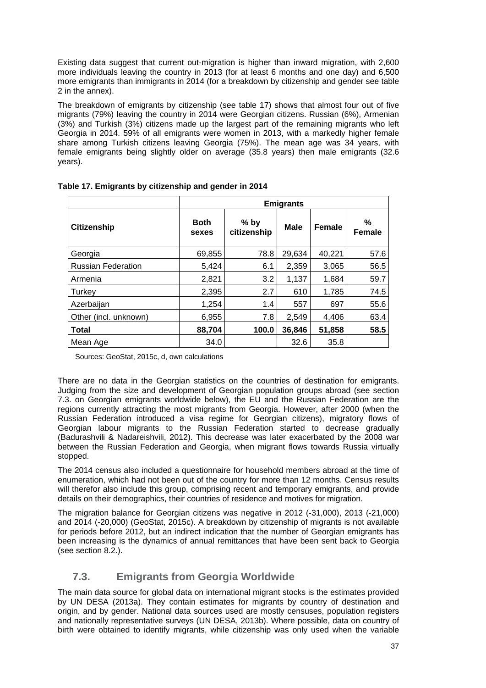Existing data suggest that current out-migration is higher than inward migration, with 2,600 more individuals leaving the country in 2013 (for at least 6 months and one day) and 6,500 more emigrants than immigrants in 2014 (for a breakdown by citizenship and gender see table 2 in the annex).

The breakdown of emigrants by citizenship (see table 17) shows that almost four out of five migrants (79%) leaving the country in 2014 were Georgian citizens. Russian (6%), Armenian (3%) and Turkish (3%) citizens made up the largest part of the remaining migrants who left Georgia in 2014. 59% of all emigrants were women in 2013, with a markedly higher female share among Turkish citizens leaving Georgia (75%). The mean age was 34 years, with female emigrants being slightly older on average (35.8 years) then male emigrants (32.6 years).

|                           |                      |                       | <b>Emigrants</b> |        |                    |
|---------------------------|----------------------|-----------------------|------------------|--------|--------------------|
| <b>Citizenship</b>        | <b>Both</b><br>sexes | $%$ by<br>citizenship | <b>Male</b>      | Female | %<br><b>Female</b> |
| Georgia                   | 69,855               | 78.8                  | 29,634           | 40,221 | 57.6               |
| <b>Russian Federation</b> | 5,424                | 6.1                   | 2,359            | 3,065  | 56.5               |
| Armenia                   | 2,821                | 3.2                   | 1,137            | 1,684  | 59.7               |
| Turkey                    | 2,395                | 2.7                   | 610              | 1,785  | 74.5               |
| Azerbaijan                | 1,254                | 1.4                   | 557              | 697    | 55.6               |
| Other (incl. unknown)     | 6,955                | 7.8                   | 2,549            | 4,406  | 63.4               |
| <b>Total</b>              | 88,704               | 100.0                 | 36,846           | 51,858 | 58.5               |
| Mean Age                  | 34.0                 |                       | 32.6             | 35.8   |                    |

|  |  | Table 17. Emigrants by citizenship and gender in 2014 |  |  |
|--|--|-------------------------------------------------------|--|--|
|--|--|-------------------------------------------------------|--|--|

Sources: GeoStat, 2015c, d, own calculations

There are no data in the Georgian statistics on the countries of destination for emigrants. Judging from the size and development of Georgian population groups abroad (see section 7.3. on Georgian emigrants worldwide below), the EU and the Russian Federation are the regions currently attracting the most migrants from Georgia. However, after 2000 (when the Russian Federation introduced a visa regime for Georgian citizens), migratory flows of Georgian labour migrants to the Russian Federation started to decrease gradually (Badurashvili & Nadareishvili, 2012). This decrease was later exacerbated by the 2008 war between the Russian Federation and Georgia, when migrant flows towards Russia virtually stopped.

The 2014 census also included a questionnaire for household members abroad at the time of enumeration, which had not been out of the country for more than 12 months. Census results will therefor also include this group, comprising recent and temporary emigrants, and provide details on their demographics, their countries of residence and motives for migration.

The migration balance for Georgian citizens was negative in 2012 (-31,000), 2013 (-21,000) and 2014 (-20,000) (GeoStat, 2015c). A breakdown by citizenship of migrants is not available for periods before 2012, but an indirect indication that the number of Georgian emigrants has been increasing is the dynamics of annual remittances that have been sent back to Georgia (see section 8.2.).

### **7.3. Emigrants from Georgia Worldwide**

The main data source for global data on international migrant stocks is the estimates provided by UN DESA (2013a). They contain estimates for migrants by country of destination and origin, and by gender. National data sources used are mostly censuses, population registers and nationally representative surveys (UN DESA, 2013b). Where possible, data on country of birth were obtained to identify migrants, while citizenship was only used when the variable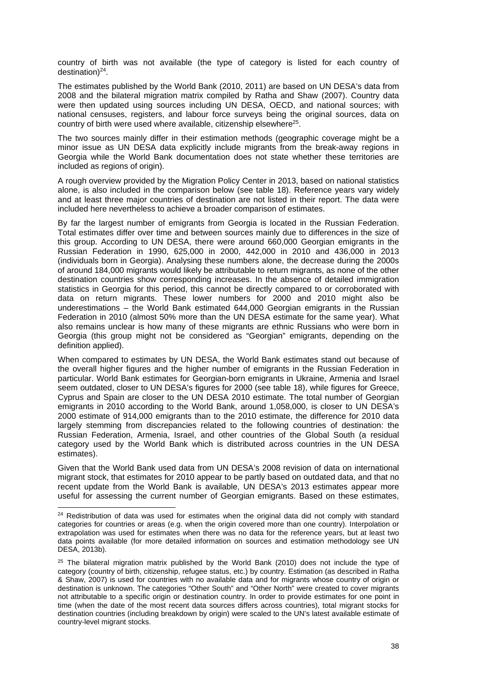country of birth was not available (the type of category is listed for each country of destination) $^{24}$ .

The estimates published by the World Bank (2010, 2011) are based on UN DESA's data from 2008 and the bilateral migration matrix compiled by Ratha and Shaw (2007). Country data were then updated using sources including UN DESA, OECD, and national sources; with national censuses, registers, and labour force surveys being the original sources, data on country of birth were used where available, citizenship elsewhere<sup>25</sup>.

The two sources mainly differ in their estimation methods (geographic coverage might be a minor issue as UN DESA data explicitly include migrants from the break-away regions in Georgia while the World Bank documentation does not state whether these territories are included as regions of origin).

A rough overview provided by the Migration Policy Center in 2013, based on national statistics alone, is also included in the comparison below (see table 18). Reference years vary widely and at least three major countries of destination are not listed in their report. The data were included here nevertheless to achieve a broader comparison of estimates.

By far the largest number of emigrants from Georgia is located in the Russian Federation. Total estimates differ over time and between sources mainly due to differences in the size of this group. According to UN DESA, there were around 660,000 Georgian emigrants in the Russian Federation in 1990, 625,000 in 2000, 442,000 in 2010 and 436,000 in 2013 (individuals born in Georgia). Analysing these numbers alone, the decrease during the 2000s of around 184,000 migrants would likely be attributable to return migrants, as none of the other destination countries show corresponding increases. In the absence of detailed immigration statistics in Georgia for this period, this cannot be directly compared to or corroborated with data on return migrants. These lower numbers for 2000 and 2010 might also be underestimations – the World Bank estimated 644,000 Georgian emigrants in the Russian Federation in 2010 (almost 50% more than the UN DESA estimate for the same year). What also remains unclear is how many of these migrants are ethnic Russians who were born in Georgia (this group might not be considered as "Georgian" emigrants, depending on the definition applied).

When compared to estimates by UN DESA, the World Bank estimates stand out because of the overall higher figures and the higher number of emigrants in the Russian Federation in particular. World Bank estimates for Georgian-born emigrants in Ukraine, Armenia and Israel seem outdated, closer to UN DESA's figures for 2000 (see table 18), while figures for Greece, Cyprus and Spain are closer to the UN DESA 2010 estimate. The total number of Georgian emigrants in 2010 according to the World Bank, around 1,058,000, is closer to UN DESA's 2000 estimate of 914,000 emigrants than to the 2010 estimate, the difference for 2010 data largely stemming from discrepancies related to the following countries of destination: the Russian Federation, Armenia, Israel, and other countries of the Global South (a residual category used by the World Bank which is distributed across countries in the UN DESA estimates).

Given that the World Bank used data from UN DESA's 2008 revision of data on international migrant stock, that estimates for 2010 appear to be partly based on outdated data, and that no recent update from the World Bank is available, UN DESA's 2013 estimates appear more useful for assessing the current number of Georgian emigrants. Based on these estimates,

 $\overline{a}$ 

<sup>&</sup>lt;sup>24</sup> Redistribution of data was used for estimates when the original data did not comply with standard categories for countries or areas (e.g. when the origin covered more than one country). Interpolation or extrapolation was used for estimates when there was no data for the reference years, but at least two data points available (for more detailed information on sources and estimation methodology see UN DESA, 2013b).

<sup>&</sup>lt;sup>25</sup> The bilateral migration matrix published by the World Bank (2010) does not include the type of category (country of birth, citizenship, refugee status, etc.) by country. Estimation (as described in Ratha & Shaw, 2007) is used for countries with no available data and for migrants whose country of origin or destination is unknown. The categories "Other South" and "Other North" were created to cover migrants not attributable to a specific origin or destination country. In order to provide estimates for one point in time (when the date of the most recent data sources differs across countries), total migrant stocks for destination countries (including breakdown by origin) were scaled to the UN's latest available estimate of country-level migrant stocks.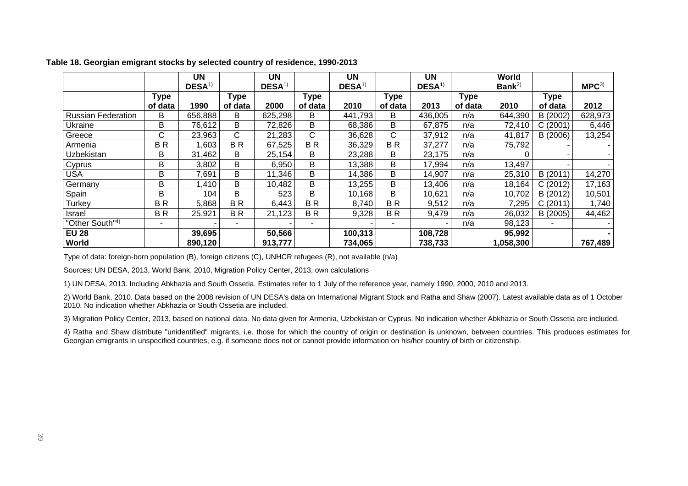|                             |                | <b>UN</b>         |                          | UN         |                | <b>UN</b>          |                | <b>UN</b>         |             | World             |             |                  |
|-----------------------------|----------------|-------------------|--------------------------|------------|----------------|--------------------|----------------|-------------------|-------------|-------------------|-------------|------------------|
|                             |                | DESA <sup>1</sup> |                          | $DESA^{1}$ |                | DESA <sup>1)</sup> |                | DESA <sup>1</sup> |             | Bank <sup>2</sup> |             | MPC <sup>3</sup> |
|                             | Type           |                   | Type                     |            | Type           |                    | <b>Type</b>    |                   | <b>Type</b> |                   | <b>Type</b> |                  |
|                             | of data        | 1990              | of data                  | 2000       | of data        | 2010               | of data        | 2013              | of data     | 2010              | of data     | 2012             |
| <b>Russian Federation</b>   | B              | 656,888           | B                        | 625,298    | В              | 441,793            | B              | 436,005           | n/a         | 644,390           | B (2002)    | 628,973          |
| Ukraine                     | B              | 76,612            | B                        | 72,826     | В              | 68,386             | B              | 67,875            | n/a         | 72,410            | C(2001)     | 6,446            |
| Greece                      | C              | 23,963            | $\mathsf{C}$             | 21,283     | C              | 36,628             | C.             | 37,912            | n/a         | 41,817            | B (2006)    | 13,254           |
| Armenia                     | <b>BR</b>      | ,603              | BR                       | 67,525     | <b>BR</b>      | 36,329             | BR             | 37,277            | n/a         | 75,792            |             |                  |
| Uzbekistan                  | В              | 31,462            | B                        | 25,154     | В              | 23,288             | B              | 23,175            | n/a         |                   |             |                  |
| Cyprus                      | В              | 3,802             | В                        | 6,950      | B              | 13,388             | B              | 17,994            | n/a         | 13,497            |             |                  |
| <b>USA</b>                  | В              | 7,691             | В                        | 11,346     | В              | 14,386             | B              | 14,907            | n/a         | 25,310            | B (2011)    | 14,270           |
| Germany                     | В              | ,410              | В                        | 10,482     | В              | 13,255             | B              | 13,406            | n/a         | 18,164            | C(2012)     | 17,163           |
| Spain                       | В              | 104               | В                        | 523        | B              | 10,168             | B              | 10,621            | n/a         | 10,702            | B (2012)    | 10,501           |
| <b>Turkey</b>               | <b>BR</b>      | 5,868             | BR                       | 6,443      | <b>BR</b>      | 8,740              | BR             | 9,512             | n/a         | 7,295             | C(2011)     | 1,740            |
| Israel                      | BR             | 25,921            | BR                       | 21,123     | <b>BR</b>      | 9,328              | B <sub>R</sub> | 9,479             | n/a         | 26,032            | B (2005)    | 44,462           |
| "Other South" <sup>4)</sup> | $\blacksquare$ |                   | $\overline{\phantom{0}}$ |            | $\blacksquare$ | ۰                  |                |                   | n/a         | 98,123            |             |                  |
| <b>EU 28</b>                |                | 39,695            |                          | 50,566     |                | 100,313            |                | 108,728           |             | 95,992            |             |                  |
| World                       |                | 890,120           |                          | 913,777    |                | 734,065            |                | 738,733           |             | 1,058,300         |             | 767,489          |

#### **Table 18. Georgian emigrant stocks by selected country of residence, 1990-2013**

Type of data: foreign-born population (B), foreign citizens (C), UNHCR refugees (R), not available (n/a)

Sources: UN DESA, 2013, World Bank, 2010, Migration Policy Center, 2013, own calculations

1) UN DESA, 2013. Including Abkhazia and South Ossetia. Estimates refer to 1 July of the reference year, namely 1990, 2000, 2010 and 2013.

2) World Bank, 2010. Data based on the 2008 revision of UN DESA's data on International Migrant Stock and Ratha and Shaw (2007). Latest available data as of 1 October 2010. No indication whether Abkhazia or South Ossetia are included.

3) Migration Policy Center, 2013, based on national data. No data given for Armenia, Uzbekistan or Cyprus. No indication whether Abkhazia or South Ossetia are included.

4) Ratha and Shaw distribute "unidentified" migrants, i.e. those for which the country of origin or destination is unknown, between countries. This produces estimates for Georgian emigrants in unspecified countries, e.g. if someone does not or cannot provide information on his/her country of birth or citizenship.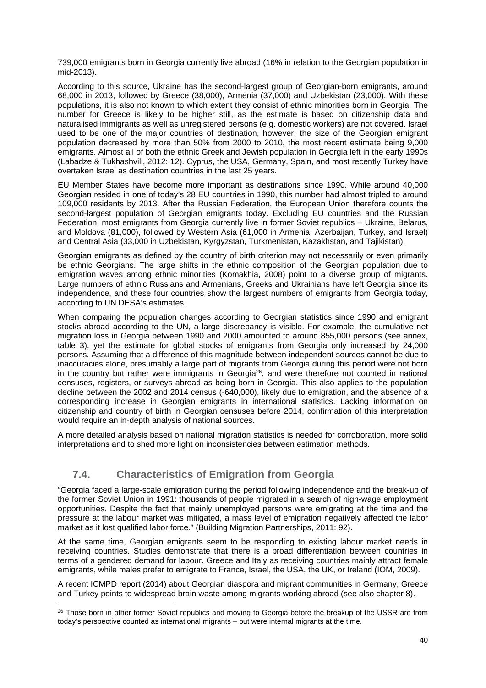739,000 emigrants born in Georgia currently live abroad (16% in relation to the Georgian population in mid-2013).

According to this source, Ukraine has the second-largest group of Georgian-born emigrants, around 68,000 in 2013, followed by Greece (38,000), Armenia (37,000) and Uzbekistan (23,000). With these populations, it is also not known to which extent they consist of ethnic minorities born in Georgia. The number for Greece is likely to be higher still, as the estimate is based on citizenship data and naturalised immigrants as well as unregistered persons (e.g. domestic workers) are not covered. Israel used to be one of the major countries of destination, however, the size of the Georgian emigrant population decreased by more than 50% from 2000 to 2010, the most recent estimate being 9,000 emigrants. Almost all of both the ethnic Greek and Jewish population in Georgia left in the early 1990s (Labadze & Tukhashvili, 2012: 12). Cyprus, the USA, Germany, Spain, and most recently Turkey have overtaken Israel as destination countries in the last 25 years.

EU Member States have become more important as destinations since 1990. While around 40,000 Georgian resided in one of today's 28 EU countries in 1990, this number had almost tripled to around 109,000 residents by 2013. After the Russian Federation, the European Union therefore counts the second-largest population of Georgian emigrants today. Excluding EU countries and the Russian Federation, most emigrants from Georgia currently live in former Soviet republics – Ukraine, Belarus, and Moldova (81,000), followed by Western Asia (61,000 in Armenia, Azerbaijan, Turkey, and Israel) and Central Asia (33,000 in Uzbekistan, Kyrgyzstan, Turkmenistan, Kazakhstan, and Tajikistan).

Georgian emigrants as defined by the country of birth criterion may not necessarily or even primarily be ethnic Georgians. The large shifts in the ethnic composition of the Georgian population due to emigration waves among ethnic minorities (Komakhia, 2008) point to a diverse group of migrants. Large numbers of ethnic Russians and Armenians, Greeks and Ukrainians have left Georgia since its independence, and these four countries show the largest numbers of emigrants from Georgia today, according to UN DESA's estimates.

When comparing the population changes according to Georgian statistics since 1990 and emigrant stocks abroad according to the UN, a large discrepancy is visible. For example, the cumulative net migration loss in Georgia between 1990 and 2000 amounted to around 855,000 persons (see annex, table 3), yet the estimate for global stocks of emigrants from Georgia only increased by 24,000 persons. Assuming that a difference of this magnitude between independent sources cannot be due to inaccuracies alone, presumably a large part of migrants from Georgia during this period were not born in the country but rather were immigrants in Georgia<sup>26</sup>, and were therefore not counted in national censuses, registers, or surveys abroad as being born in Georgia. This also applies to the population decline between the 2002 and 2014 census (-640,000), likely due to emigration, and the absence of a corresponding increase in Georgian emigrants in international statistics. Lacking information on citizenship and country of birth in Georgian censuses before 2014, confirmation of this interpretation would require an in-depth analysis of national sources.

A more detailed analysis based on national migration statistics is needed for corroboration, more solid interpretations and to shed more light on inconsistencies between estimation methods.

### **7.4. Characteristics of Emigration from Georgia**

"Georgia faced a large-scale emigration during the period following independence and the break-up of the former Soviet Union in 1991: thousands of people migrated in a search of high-wage employment opportunities. Despite the fact that mainly unemployed persons were emigrating at the time and the pressure at the labour market was mitigated, a mass level of emigration negatively affected the labor market as it lost qualified labor force." (Building Migration Partnerships, 2011: 92).

At the same time, Georgian emigrants seem to be responding to existing labour market needs in receiving countries. Studies demonstrate that there is a broad differentiation between countries in terms of a gendered demand for labour. Greece and Italy as receiving countries mainly attract female emigrants, while males prefer to emigrate to France, Israel, the USA, the UK, or Ireland (IOM, 2009).

A recent ICMPD report (2014) about Georgian diaspora and migrant communities in Germany, Greece and Turkey points to widespread brain waste among migrants working abroad (see also chapter 8).

<sup>-</sup><sup>26</sup> Those born in other former Soviet republics and moving to Georgia before the breakup of the USSR are from today's perspective counted as international migrants – but were internal migrants at the time.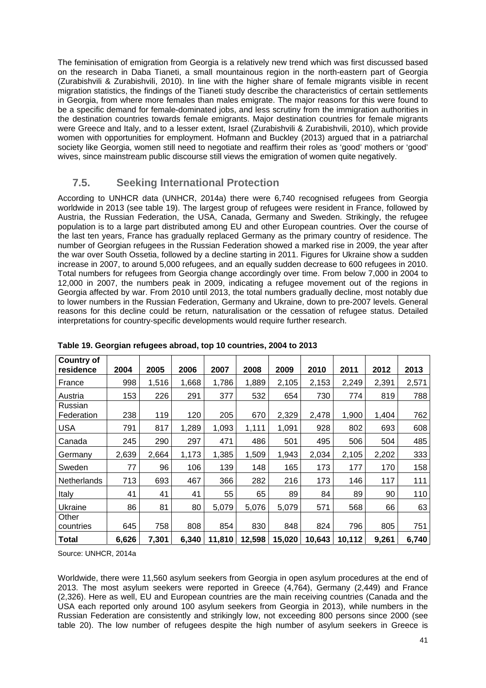The feminisation of emigration from Georgia is a relatively new trend which was first discussed based on the research in Daba Tianeti, a small mountainous region in the north-eastern part of Georgia (Zurabishvili & Zurabishvili, 2010). In line with the higher share of female migrants visible in recent migration statistics, the findings of the Tianeti study describe the characteristics of certain settlements in Georgia, from where more females than males emigrate. The major reasons for this were found to be a specific demand for female-dominated jobs, and less scrutiny from the immigration authorities in the destination countries towards female emigrants. Major destination countries for female migrants were Greece and Italy, and to a lesser extent, Israel (Zurabishvili & Zurabishvili, 2010), which provide women with opportunities for employment. Hofmann and Buckley (2013) argued that in a patriarchal society like Georgia, women still need to negotiate and reaffirm their roles as 'good' mothers or 'good' wives, since mainstream public discourse still views the emigration of women quite negatively.

### **7.5. Seeking International Protection**

According to UNHCR data (UNHCR, 2014a) there were 6,740 recognised refugees from Georgia worldwide in 2013 (see table 19). The largest group of refugees were resident in France, followed by Austria, the Russian Federation, the USA, Canada, Germany and Sweden. Strikingly, the refugee population is to a large part distributed among EU and other European countries. Over the course of the last ten years, France has gradually replaced Germany as the primary country of residence. The number of Georgian refugees in the Russian Federation showed a marked rise in 2009, the year after the war over South Ossetia, followed by a decline starting in 2011. Figures for Ukraine show a sudden increase in 2007, to around 5,000 refugees, and an equally sudden decrease to 600 refugees in 2010. Total numbers for refugees from Georgia change accordingly over time. From below 7,000 in 2004 to 12,000 in 2007, the numbers peak in 2009, indicating a refugee movement out of the regions in Georgia affected by war. From 2010 until 2013, the total numbers gradually decline, most notably due to lower numbers in the Russian Federation, Germany and Ukraine, down to pre-2007 levels. General reasons for this decline could be return, naturalisation or the cessation of refugee status. Detailed interpretations for country-specific developments would require further research.

| <b>Country of</b><br>residence | 2004  | 2005  | 2006  | 2007   | 2008   | 2009   | 2010   | 2011   | 2012  | 2013  |
|--------------------------------|-------|-------|-------|--------|--------|--------|--------|--------|-------|-------|
| France                         | 998   | 1,516 | 1,668 | 1,786  | 1,889  | 2,105  | 2,153  | 2,249  | 2,391 | 2,571 |
| Austria                        | 153   | 226   | 291   | 377    | 532    | 654    | 730    | 774    | 819   | 788   |
| Russian<br>Federation          | 238   | 119   | 120   | 205    | 670    | 2,329  | 2,478  | 1,900  | 1,404 | 762   |
| <b>USA</b>                     | 791   | 817   | 1,289 | 1,093  | 1,111  | 1,091  | 928    | 802    | 693   | 608   |
| Canada                         | 245   | 290   | 297   | 471    | 486    | 501    | 495    | 506    | 504   | 485   |
| Germany                        | 2,639 | 2,664 | 1,173 | 1,385  | 1,509  | 1,943  | 2,034  | 2,105  | 2,202 | 333   |
| Sweden                         | 77    | 96    | 106   | 139    | 148    | 165    | 173    | 177    | 170   | 158   |
| <b>Netherlands</b>             | 713   | 693   | 467   | 366    | 282    | 216    | 173    | 146    | 117   | 111   |
| Italy                          | 41    | 41    | 41    | 55     | 65     | 89     | 84     | 89     | 90    | 110   |
| Ukraine                        | 86    | 81    | 80    | 5,079  | 5,076  | 5,079  | 571    | 568    | 66    | 63    |
| Other<br>countries             | 645   | 758   | 808   | 854    | 830    | 848    | 824    | 796    | 805   | 751   |
| Total                          | 6,626 | 7,301 | 6.340 | 11,810 | 12,598 | 15,020 | 10,643 | 10,112 | 9,261 | 6,740 |

**Table 19. Georgian refugees abroad, top 10 countries, 2004 to 2013** 

Source: UNHCR, 2014a

Worldwide, there were 11,560 asylum seekers from Georgia in open asylum procedures at the end of 2013. The most asylum seekers were reported in Greece (4,764), Germany (2,449) and France (2,326). Here as well, EU and European countries are the main receiving countries (Canada and the USA each reported only around 100 asylum seekers from Georgia in 2013), while numbers in the Russian Federation are consistently and strikingly low, not exceeding 800 persons since 2000 (see table 20). The low number of refugees despite the high number of asylum seekers in Greece is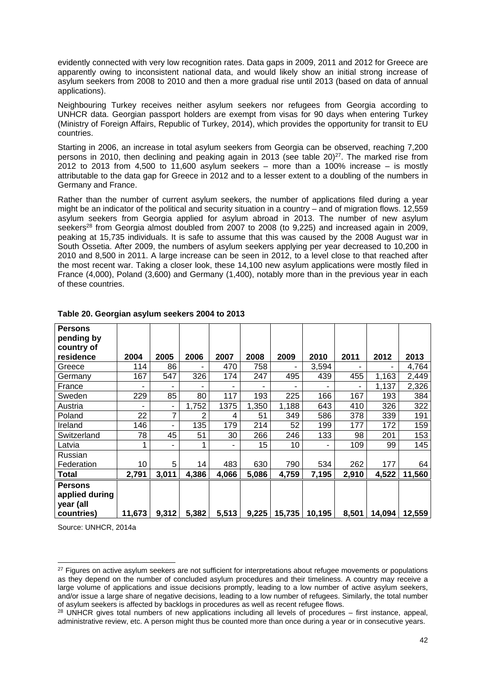evidently connected with very low recognition rates. Data gaps in 2009, 2011 and 2012 for Greece are apparently owing to inconsistent national data, and would likely show an initial strong increase of asylum seekers from 2008 to 2010 and then a more gradual rise until 2013 (based on data of annual applications).

Neighbouring Turkey receives neither asylum seekers nor refugees from Georgia according to UNHCR data. Georgian passport holders are exempt from visas for 90 days when entering Turkey (Ministry of Foreign Affairs, Republic of Turkey, 2014), which provides the opportunity for transit to EU countries.

Starting in 2006, an increase in total asylum seekers from Georgia can be observed, reaching 7,200 persons in 2010, then declining and peaking again in 2013 (see table  $20$ )<sup>27</sup>. The marked rise from 2012 to 2013 from 4,500 to  $\overline{11,600}$  asylum seekers – more than a 100% increase – is mostly attributable to the data gap for Greece in 2012 and to a lesser extent to a doubling of the numbers in Germany and France.

Rather than the number of current asylum seekers, the number of applications filed during a year might be an indicator of the political and security situation in a country – and of migration flows. 12,559 asylum seekers from Georgia applied for asylum abroad in 2013. The number of new asylum seekers<sup>28</sup> from Georgia almost doubled from 2007 to 2008 (to 9,225) and increased again in 2009, peaking at 15,735 individuals. It is safe to assume that this was caused by the 2008 August war in South Ossetia. After 2009, the numbers of asylum seekers applying per year decreased to 10,200 in 2010 and 8,500 in 2011. A large increase can be seen in 2012, to a level close to that reached after the most recent war. Taking a closer look, these 14,100 new asylum applications were mostly filed in France (4,000), Poland (3,600) and Germany (1,400), notably more than in the previous year in each of these countries.

| <b>Persons</b><br>pending by<br>country of |        |       |       |       |       |        |        |       |        |        |
|--------------------------------------------|--------|-------|-------|-------|-------|--------|--------|-------|--------|--------|
| residence                                  | 2004   | 2005  | 2006  | 2007  | 2008  | 2009   | 2010   | 2011  | 2012   | 2013   |
| Greece                                     | 114    | 86    |       | 470   | 758   |        | 3,594  |       |        | 4,764  |
| Germany                                    | 167    | 547   | 326   | 174   | 247   | 495    | 439    | 455   | 1,163  | 2,449  |
| France                                     | ۰      | ۰     | ۰     | ٠     | ۰     |        | ۰      |       | 1,137  | 2,326  |
| Sweden                                     | 229    | 85    | 80    | 117   | 193   | 225    | 166    | 167   | 193    | 384    |
| Austria                                    |        | ٠     | 1,752 | 1375  | 1,350 | 1,188  | 643    | 410   | 326    | 322    |
| Poland                                     | 22     | 7     | 2     | 4     | 51    | 349    | 586    | 378   | 339    | 191    |
| Ireland                                    | 146    | ۰     | 135   | 179   | 214   | 52     | 199    | 177   | 172    | 159    |
| Switzerland                                | 78     | 45    | 51    | 30    | 266   | 246    | 133    | 98    | 201    | 153    |
| Latvia                                     |        | ۰     | 1     | ۳     | 15    | 10     | ۰      | 109   | 99     | 145    |
| Russian                                    |        |       |       |       |       |        |        |       |        |        |
| Federation                                 | 10     | 5     | 14    | 483   | 630   | 790    | 534    | 262   | 177    | 64     |
| Total                                      | 2,791  | 3,011 | 4,386 | 4,066 | 5,086 | 4,759  | 7,195  | 2,910 | 4,522  | 11,560 |
| <b>Persons</b><br>applied during           |        |       |       |       |       |        |        |       |        |        |
| year (all                                  |        |       |       |       |       |        |        |       |        |        |
| countries)                                 | 11,673 | 9,312 | 5,382 | 5,513 | 9,225 | 15,735 | 10,195 | 8,501 | 14,094 | 12,559 |

**Table 20. Georgian asylum seekers 2004 to 2013** 

Source: UNHCR, 2014a

-

 $27$  Figures on active asylum seekers are not sufficient for interpretations about refugee movements or populations as they depend on the number of concluded asylum procedures and their timeliness. A country may receive a large volume of applications and issue decisions promptly, leading to a low number of active asylum seekers, and/or issue a large share of negative decisions, leading to a low number of refugees. Similarly, the total number of asylum seekers is affected by backlogs in procedures as well as recent refugee flows.

 $28$  UNHCR gives total numbers of new applications including all levels of procedures – first instance, appeal, administrative review, etc. A person might thus be counted more than once during a year or in consecutive years.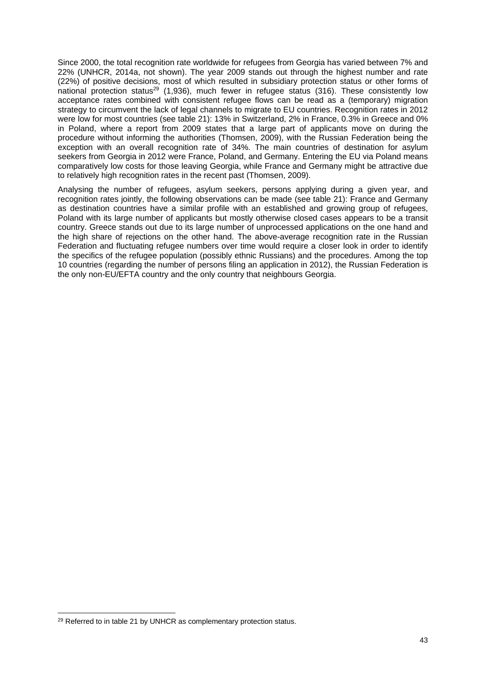Since 2000, the total recognition rate worldwide for refugees from Georgia has varied between 7% and 22% (UNHCR, 2014a, not shown). The year 2009 stands out through the highest number and rate (22%) of positive decisions, most of which resulted in subsidiary protection status or other forms of national protection status<sup>29</sup> (1,936), much fewer in refugee status (316). These consistently low acceptance rates combined with consistent refugee flows can be read as a (temporary) migration strategy to circumvent the lack of legal channels to migrate to EU countries. Recognition rates in 2012 were low for most countries (see table 21): 13% in Switzerland, 2% in France, 0.3% in Greece and 0% in Poland, where a report from 2009 states that a large part of applicants move on during the procedure without informing the authorities (Thomsen, 2009), with the Russian Federation being the exception with an overall recognition rate of 34%. The main countries of destination for asylum seekers from Georgia in 2012 were France, Poland, and Germany. Entering the EU via Poland means comparatively low costs for those leaving Georgia, while France and Germany might be attractive due to relatively high recognition rates in the recent past (Thomsen, 2009).

Analysing the number of refugees, asylum seekers, persons applying during a given year, and recognition rates jointly, the following observations can be made (see table 21): France and Germany as destination countries have a similar profile with an established and growing group of refugees, Poland with its large number of applicants but mostly otherwise closed cases appears to be a transit country. Greece stands out due to its large number of unprocessed applications on the one hand and the high share of rejections on the other hand. The above-average recognition rate in the Russian Federation and fluctuating refugee numbers over time would require a closer look in order to identify the specifics of the refugee population (possibly ethnic Russians) and the procedures. Among the top 10 countries (regarding the number of persons filing an application in 2012), the Russian Federation is the only non-EU/EFTA country and the only country that neighbours Georgia.

1

<sup>&</sup>lt;sup>29</sup> Referred to in table 21 by UNHCR as complementary protection status.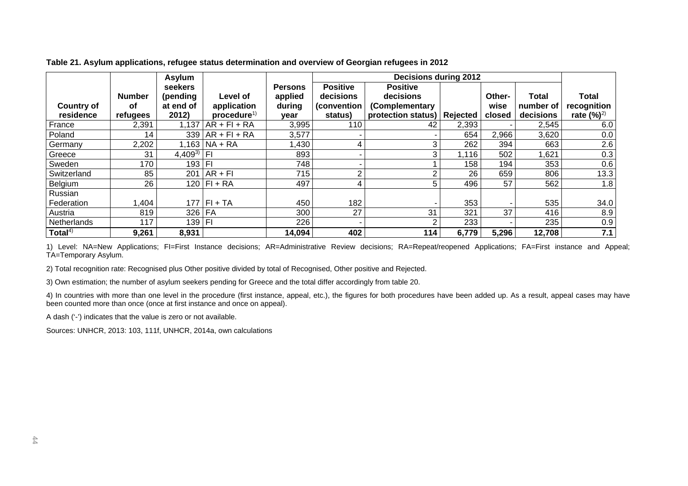|                   |               | Asylum         |                        |                |                 | <b>Decisions during 2012</b>  |       |        |           |               |
|-------------------|---------------|----------------|------------------------|----------------|-----------------|-------------------------------|-------|--------|-----------|---------------|
|                   |               | seekers        |                        | <b>Persons</b> | <b>Positive</b> | <b>Positive</b>               |       |        |           |               |
|                   | <b>Number</b> | (pending       | Level of               | applied        | decisions       | decisions                     |       | Other- | Total     | <b>Total</b>  |
| <b>Country of</b> | <b>of</b>     | at end of      | application            | during         | (convention     | (Complementary                |       | wise   | number of | recognition   |
| residence         | refugees      | 2012)          | procedure <sup>1</sup> | year           | status)         | protection status)   Rejected |       | closed | decisions | rate $(\%)^2$ |
| France            | 2,391         | 1,137          | $AR + FI + RA$         | 3,995          | 110             | 42                            | 2,393 |        | 2,545     | 6.0           |
| Poland            | 14            | 339            | $AR + FI + RA$         | 3,577          |                 |                               | 654   | 2,966  | 3,620     | 0.0           |
| Germany           | 2,202         | l.163 l        | $NA + RA$              | ,430           |                 |                               | 262   | 394    | 663       | 2.6           |
| Greece            | 31            | $4,409^{3}$ FI |                        | 893            |                 | 3                             | 1,116 | 502    | 1,621     | 0.3           |
| Sweden            | 170           | 193 FI         |                        | 748            |                 |                               | 158   | 194    | 353       | 0.6           |
| Switzerland       | 85            | 201            | $AR + FI$              | 715            |                 |                               | 26    | 659    | 806       | 13.3          |
| Belgium           | 26            |                | $120$   FI + RA        | 497            |                 |                               | 496   | 57     | 562       | 1.8           |
| Russian           |               |                |                        |                |                 |                               |       |        |           |               |
| Federation        | 1,404         |                | $177$   FI + TA        | 450            | 182             |                               | 353   |        | 535       | 34.0          |
| Austria           | 819           | $326$ FA       |                        | 300            | 27              | 31                            | 321   | 37     | 416       | 8.9           |
| Netherlands       | 117           | 139 FI         |                        | 226            |                 |                               | 233   |        | 235       | 0.9           |
| Total $4$ )       | 9,261         | 8,931          |                        | 14,094         | 402             | 114                           | 6,779 | 5,296  | 12,708    | 7.1           |

**Table 21. Asylum applications, refugee status determination and overview of Georgian refugees in 2012** 

1) Level: NA=New Applications; FI=First Instance decisions; AR=Administrative Review decisions; RA=Repeat/reopened Applications; FA=First instance and Appeal; TA=Temporary Asylum.

2) Total recognition rate: Recognised plus Other positive divided by total of Recognised, Other positive and Rejected.

3) Own estimation; the number of asylum seekers pending for Greece and the total differ accordingly from table 20.

4) In countries with more than one level in the procedure (first instance, appeal, etc.), the figures for both procedures have been added up. As a result, appeal cases may have been counted more than once (once at first instance and once on appeal).

A dash ('-') indicates that the value is zero or not available.

Sources: UNHCR, 2013: 103, 111f, UNHCR, 2014a, own calculations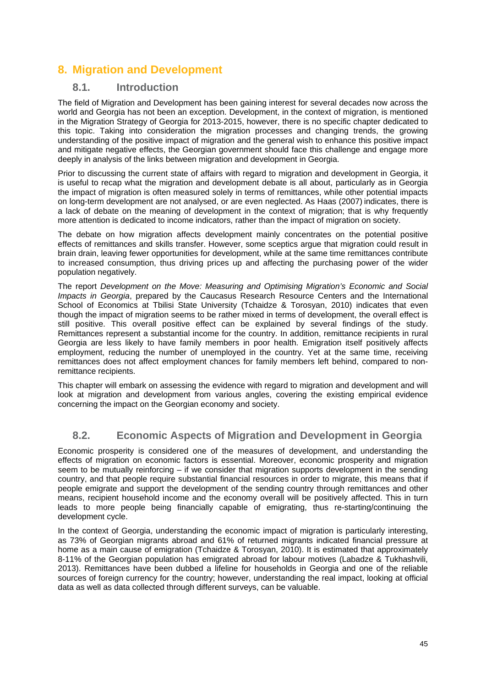# **8. Migration and Development**

### **8.1. Introduction**

The field of Migration and Development has been gaining interest for several decades now across the world and Georgia has not been an exception. Development, in the context of migration, is mentioned in the Migration Strategy of Georgia for 2013-2015, however, there is no specific chapter dedicated to this topic. Taking into consideration the migration processes and changing trends, the growing understanding of the positive impact of migration and the general wish to enhance this positive impact and mitigate negative effects, the Georgian government should face this challenge and engage more deeply in analysis of the links between migration and development in Georgia.

Prior to discussing the current state of affairs with regard to migration and development in Georgia, it is useful to recap what the migration and development debate is all about, particularly as in Georgia the impact of migration is often measured solely in terms of remittances, while other potential impacts on long-term development are not analysed, or are even neglected. As Haas (2007) indicates, there is a lack of debate on the meaning of development in the context of migration; that is why frequently more attention is dedicated to income indicators, rather than the impact of migration on society.

The debate on how migration affects development mainly concentrates on the potential positive effects of remittances and skills transfer. However, some sceptics argue that migration could result in brain drain, leaving fewer opportunities for development, while at the same time remittances contribute to increased consumption, thus driving prices up and affecting the purchasing power of the wider population negatively.

The report *Development on the Move: Measuring and Optimising Migration's Economic and Social Impacts in Georgia*, prepared by the Caucasus Research Resource Centers and the International School of Economics at Tbilisi State University (Tchaidze & Torosyan, 2010) indicates that even though the impact of migration seems to be rather mixed in terms of development, the overall effect is still positive. This overall positive effect can be explained by several findings of the study. Remittances represent a substantial income for the country. In addition, remittance recipients in rural Georgia are less likely to have family members in poor health. Emigration itself positively affects employment, reducing the number of unemployed in the country. Yet at the same time, receiving remittances does not affect employment chances for family members left behind, compared to nonremittance recipients.

This chapter will embark on assessing the evidence with regard to migration and development and will look at migration and development from various angles, covering the existing empirical evidence concerning the impact on the Georgian economy and society.

### **8.2. Economic Aspects of Migration and Development in Georgia**

Economic prosperity is considered one of the measures of development, and understanding the effects of migration on economic factors is essential. Moreover, economic prosperity and migration seem to be mutually reinforcing – if we consider that migration supports development in the sending country, and that people require substantial financial resources in order to migrate, this means that if people emigrate and support the development of the sending country through remittances and other means, recipient household income and the economy overall will be positively affected. This in turn leads to more people being financially capable of emigrating, thus re-starting/continuing the development cycle.

In the context of Georgia, understanding the economic impact of migration is particularly interesting, as 73% of Georgian migrants abroad and 61% of returned migrants indicated financial pressure at home as a main cause of emigration (Tchaidze & Torosyan, 2010). It is estimated that approximately 8-11% of the Georgian population has emigrated abroad for labour motives (Labadze & Tukhashvili, 2013). Remittances have been dubbed a lifeline for households in Georgia and one of the reliable sources of foreign currency for the country; however, understanding the real impact, looking at official data as well as data collected through different surveys, can be valuable.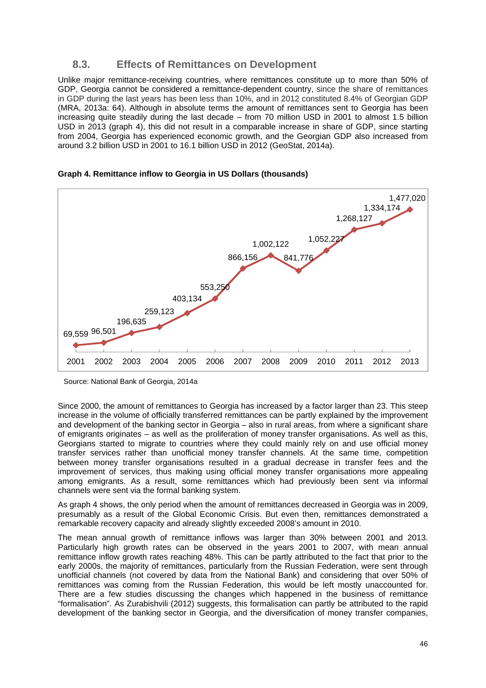### **8.3. Effects of Remittances on Development**

Unlike major remittance-receiving countries, where remittances constitute up to more than 50% of GDP, Georgia cannot be considered a remittance-dependent country, since the share of remittances in GDP during the last years has been less than 10%, and in 2012 constituted 8.4% of Georgian GDP (MRA, 2013a: 64). Although in absolute terms the amount of remittances sent to Georgia has been increasing quite steadily during the last decade – from 70 million USD in 2001 to almost 1.5 billion USD in 2013 (graph 4), this did not result in a comparable increase in share of GDP, since starting from 2004, Georgia has experienced economic growth, and the Georgian GDP also increased from around 3.2 billion USD in 2001 to 16.1 billion USD in 2012 (GeoStat, 2014a).



#### **Graph 4. Remittance inflow to Georgia in US Dollars (thousands)**

Since 2000, the amount of remittances to Georgia has increased by a factor larger than 23. This steep increase in the volume of officially transferred remittances can be partly explained by the improvement and development of the banking sector in Georgia – also in rural areas, from where a significant share of emigrants originates – as well as the proliferation of money transfer organisations. As well as this, Georgians started to migrate to countries where they could mainly rely on and use official money transfer services rather than unofficial money transfer channels. At the same time, competition between money transfer organisations resulted in a gradual decrease in transfer fees and the improvement of services, thus making using official money transfer organisations more appealing among emigrants. As a result, some remittances which had previously been sent via informal channels were sent via the formal banking system.

As graph 4 shows, the only period when the amount of remittances decreased in Georgia was in 2009, presumably as a result of the Global Economic Crisis. But even then, remittances demonstrated a remarkable recovery capacity and already slightly exceeded 2008's amount in 2010.

The mean annual growth of remittance inflows was larger than 30% between 2001 and 2013. Particularly high growth rates can be observed in the years 2001 to 2007, with mean annual remittance inflow growth rates reaching 48%. This can be partly attributed to the fact that prior to the early 2000s, the majority of remittances, particularly from the Russian Federation, were sent through unofficial channels (not covered by data from the National Bank) and considering that over 50% of remittances was coming from the Russian Federation, this would be left mostly unaccounted for. There are a few studies discussing the changes which happened in the business of remittance "formalisation". As Zurabishvili (2012) suggests, this formalisation can partly be attributed to the rapid development of the banking sector in Georgia, and the diversification of money transfer companies,

Source: National Bank of Georgia, 2014a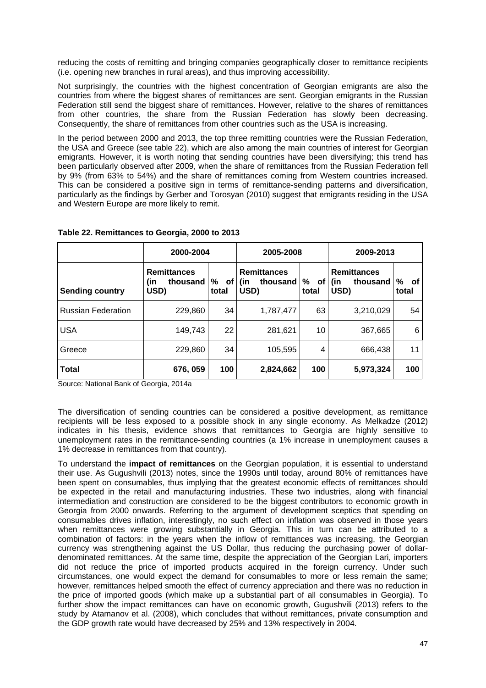reducing the costs of remitting and bringing companies geographically closer to remittance recipients (i.e. opening new branches in rural areas), and thus improving accessibility.

Not surprisingly, the countries with the highest concentration of Georgian emigrants are also the countries from where the biggest shares of remittances are sent. Georgian emigrants in the Russian Federation still send the biggest share of remittances. However, relative to the shares of remittances from other countries, the share from the Russian Federation has slowly been decreasing. Consequently, the share of remittances from other countries such as the USA is increasing.

In the period between 2000 and 2013, the top three remitting countries were the Russian Federation, the USA and Greece (see table 22), which are also among the main countries of interest for Georgian emigrants. However, it is worth noting that sending countries have been diversifying; this trend has been particularly observed after 2009, when the share of remittances from the Russian Federation fell by 9% (from 63% to 54%) and the share of remittances coming from Western countries increased. This can be considered a positive sign in terms of remittance-sending patterns and diversification, particularly as the findings by Gerber and Torosyan (2010) suggest that emigrants residing in the USA and Western Europe are more likely to remit.

|                           | 2000-2004                                     |                    | 2005-2008                                     |                  | 2009-2013                                     |                  |  |
|---------------------------|-----------------------------------------------|--------------------|-----------------------------------------------|------------------|-----------------------------------------------|------------------|--|
| <b>Sending country</b>    | <b>Remittances</b><br>thousand<br>(in<br>USD) | %<br>. of<br>total | <b>Remittances</b><br>thousand<br>(in<br>USD) | %<br>of<br>total | <b>Remittances</b><br>thousand<br>(in<br>USD) | %<br>оf<br>total |  |
| <b>Russian Federation</b> | 229,860                                       | 34                 | 1,787,477                                     | 63               | 3,210,029                                     | 54               |  |
| <b>USA</b>                | 149,743                                       | 22                 | 281,621                                       | 10               | 367,665                                       | 6                |  |
| Greece                    | 229,860                                       | 34                 | 105,595                                       | 4                | 666,438                                       | 11               |  |
| <b>Total</b>              | 676, 059                                      | 100                | 2,824,662                                     | 100              | 5,973,324                                     | 100              |  |

**Table 22. Remittances to Georgia, 2000 to 2013** 

Source: National Bank of Georgia, 2014a

The diversification of sending countries can be considered a positive development, as remittance recipients will be less exposed to a possible shock in any single economy. As Melkadze (2012) indicates in his thesis, evidence shows that remittances to Georgia are highly sensitive to unemployment rates in the remittance-sending countries (a 1% increase in unemployment causes a 1% decrease in remittances from that country).

To understand the **impact of remittances** on the Georgian population, it is essential to understand their use. As Gugushvili (2013) notes, since the 1990s until today, around 80% of remittances have been spent on consumables, thus implying that the greatest economic effects of remittances should be expected in the retail and manufacturing industries. These two industries, along with financial intermediation and construction are considered to be the biggest contributors to economic growth in Georgia from 2000 onwards. Referring to the argument of development sceptics that spending on consumables drives inflation, interestingly, no such effect on inflation was observed in those years when remittances were growing substantially in Georgia. This in turn can be attributed to a combination of factors: in the years when the inflow of remittances was increasing, the Georgian currency was strengthening against the US Dollar, thus reducing the purchasing power of dollardenominated remittances. At the same time, despite the appreciation of the Georgian Lari, importers did not reduce the price of imported products acquired in the foreign currency. Under such circumstances, one would expect the demand for consumables to more or less remain the same; however, remittances helped smooth the effect of currency appreciation and there was no reduction in the price of imported goods (which make up a substantial part of all consumables in Georgia). To further show the impact remittances can have on economic growth, Gugushvili (2013) refers to the study by Atamanov et al. (2008), which concludes that without remittances, private consumption and the GDP growth rate would have decreased by 25% and 13% respectively in 2004.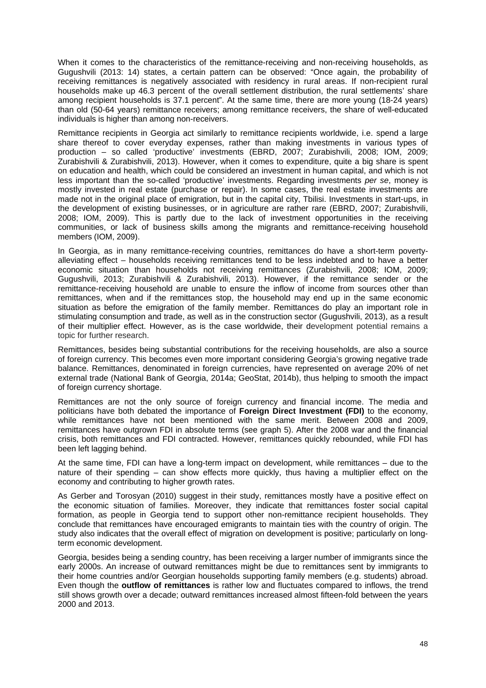When it comes to the characteristics of the remittance-receiving and non-receiving households, as Gugushvili (2013: 14) states, a certain pattern can be observed: "Once again, the probability of receiving remittances is negatively associated with residency in rural areas. If non-recipient rural households make up 46.3 percent of the overall settlement distribution, the rural settlements' share among recipient households is 37.1 percent". At the same time, there are more young (18-24 years) than old (50-64 years) remittance receivers; among remittance receivers, the share of well-educated individuals is higher than among non-receivers.

Remittance recipients in Georgia act similarly to remittance recipients worldwide, i.e. spend a large share thereof to cover everyday expenses, rather than making investments in various types of production – so called 'productive' investments (EBRD, 2007; Zurabishvili, 2008; IOM, 2009; Zurabishvili & Zurabishvili, 2013). However, when it comes to expenditure, quite a big share is spent on education and health, which could be considered an investment in human capital, and which is not less important than the so-called 'productive' investments. Regarding investments *per se*, money is mostly invested in real estate (purchase or repair). In some cases, the real estate investments are made not in the original place of emigration, but in the capital city, Tbilisi. Investments in start-ups, in the development of existing businesses, or in agriculture are rather rare (EBRD, 2007; Zurabishvili, 2008; IOM, 2009). This is partly due to the lack of investment opportunities in the receiving communities, or lack of business skills among the migrants and remittance-receiving household members (IOM, 2009).

In Georgia, as in many remittance-receiving countries, remittances do have a short-term povertyalleviating effect – households receiving remittances tend to be less indebted and to have a better economic situation than households not receiving remittances (Zurabishvili, 2008; IOM, 2009; Gugushvili, 2013; Zurabishvili & Zurabishvili, 2013). However, if the remittance sender or the remittance-receiving household are unable to ensure the inflow of income from sources other than remittances, when and if the remittances stop, the household may end up in the same economic situation as before the emigration of the family member. Remittances do play an important role in stimulating consumption and trade, as well as in the construction sector (Gugushvili, 2013), as a result of their multiplier effect. However, as is the case worldwide, their development potential remains a topic for further research.

Remittances, besides being substantial contributions for the receiving households, are also a source of foreign currency. This becomes even more important considering Georgia's growing negative trade balance. Remittances, denominated in foreign currencies, have represented on average 20% of net external trade (National Bank of Georgia, 2014a; GeoStat, 2014b), thus helping to smooth the impact of foreign currency shortage.

Remittances are not the only source of foreign currency and financial income. The media and politicians have both debated the importance of **Foreign Direct Investment (FDI)** to the economy, while remittances have not been mentioned with the same merit. Between 2008 and 2009, remittances have outgrown FDI in absolute terms (see graph 5). After the 2008 war and the financial crisis, both remittances and FDI contracted. However, remittances quickly rebounded, while FDI has been left lagging behind.

At the same time, FDI can have a long-term impact on development, while remittances – due to the nature of their spending – can show effects more quickly, thus having a multiplier effect on the economy and contributing to higher growth rates.

As Gerber and Torosyan (2010) suggest in their study, remittances mostly have a positive effect on the economic situation of families. Moreover, they indicate that remittances foster social capital formation, as people in Georgia tend to support other non-remittance recipient households. They conclude that remittances have encouraged emigrants to maintain ties with the country of origin. The study also indicates that the overall effect of migration on development is positive; particularly on longterm economic development.

Georgia, besides being a sending country, has been receiving a larger number of immigrants since the early 2000s. An increase of outward remittances might be due to remittances sent by immigrants to their home countries and/or Georgian households supporting family members (e.g. students) abroad. Even though the **outflow of remittances** is rather low and fluctuates compared to inflows, the trend still shows growth over a decade; outward remittances increased almost fifteen-fold between the years 2000 and 2013.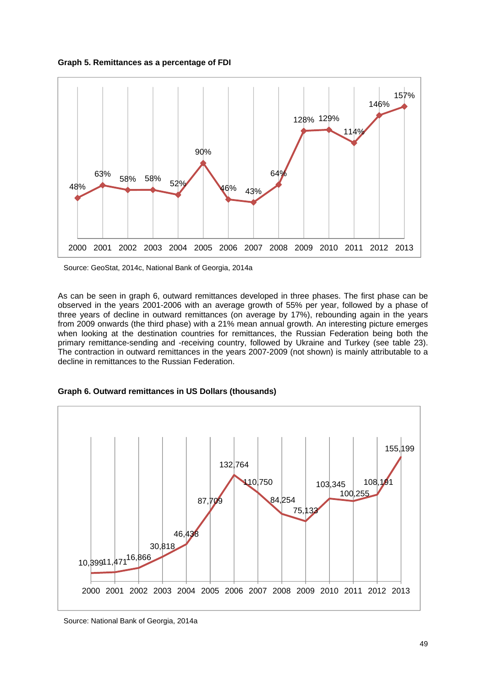



Source: GeoStat, 2014c, National Bank of Georgia, 2014a

As can be seen in graph 6, outward remittances developed in three phases. The first phase can be observed in the years 2001-2006 with an average growth of 55% per year, followed by a phase of three years of decline in outward remittances (on average by 17%), rebounding again in the years from 2009 onwards (the third phase) with a 21% mean annual growth. An interesting picture emerges when looking at the destination countries for remittances, the Russian Federation being both the primary remittance-sending and -receiving country, followed by Ukraine and Turkey (see table 23). The contraction in outward remittances in the years 2007-2009 (not shown) is mainly attributable to a decline in remittances to the Russian Federation.





Source: National Bank of Georgia, 2014a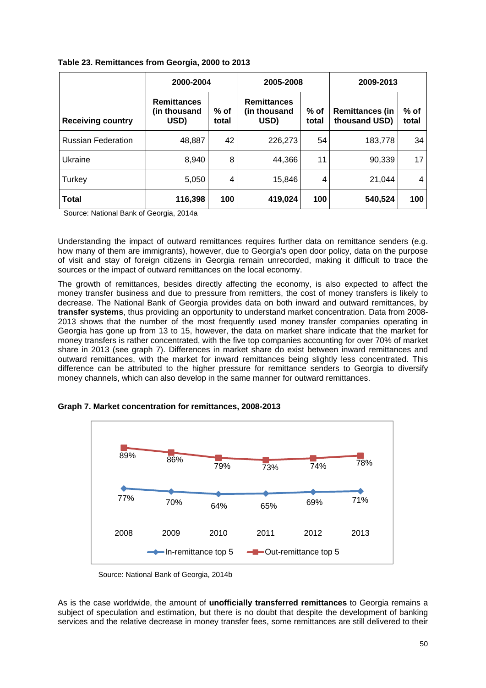|                           | 2000-2004                                  |               | 2005-2008                                  |                 | 2009-2013                               |               |  |
|---------------------------|--------------------------------------------|---------------|--------------------------------------------|-----------------|-----------------------------------------|---------------|--|
| <b>Receiving country</b>  | <b>Remittances</b><br>(in thousand<br>USD) | % of<br>total | <b>Remittances</b><br>(in thousand<br>USD) | $%$ of<br>total | <b>Remittances (in</b><br>thousand USD) | % of<br>total |  |
| <b>Russian Federation</b> | 48,887                                     | 42            | 226,273                                    | 54              | 183.778                                 | 34            |  |
| Ukraine                   | 8,940                                      | 8             | 44,366                                     | 11              | 90,339                                  | 17            |  |
| Turkey                    | 5,050                                      | 4             | 15,846                                     | 4               | 21.044                                  | 4             |  |
| Total                     | 116,398                                    | 100           | 419,024                                    | 100             | 540,524                                 | 100           |  |

Source: National Bank of Georgia, 2014a

Understanding the impact of outward remittances requires further data on remittance senders (e.g. how many of them are immigrants), however, due to Georgia's open door policy, data on the purpose of visit and stay of foreign citizens in Georgia remain unrecorded, making it difficult to trace the sources or the impact of outward remittances on the local economy.

The growth of remittances, besides directly affecting the economy, is also expected to affect the money transfer business and due to pressure from remitters, the cost of money transfers is likely to decrease. The National Bank of Georgia provides data on both inward and outward remittances, by **transfer systems**, thus providing an opportunity to understand market concentration. Data from 2008- 2013 shows that the number of the most frequently used money transfer companies operating in Georgia has gone up from 13 to 15, however, the data on market share indicate that the market for money transfers is rather concentrated, with the five top companies accounting for over 70% of market share in 2013 (see graph 7). Differences in market share do exist between inward remittances and outward remittances, with the market for inward remittances being slightly less concentrated. This difference can be attributed to the higher pressure for remittance senders to Georgia to diversify money channels, which can also develop in the same manner for outward remittances.



**Graph 7. Market concentration for remittances, 2008-2013** 

Source: National Bank of Georgia, 2014b

As is the case worldwide, the amount of **unofficially transferred remittances** to Georgia remains a subject of speculation and estimation, but there is no doubt that despite the development of banking services and the relative decrease in money transfer fees, some remittances are still delivered to their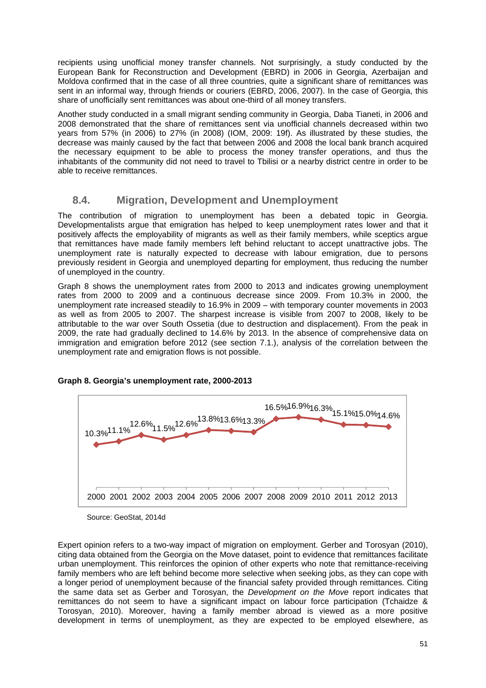recipients using unofficial money transfer channels. Not surprisingly, a study conducted by the European Bank for Reconstruction and Development (EBRD) in 2006 in Georgia, Azerbaijan and Moldova confirmed that in the case of all three countries, quite a significant share of remittances was sent in an informal way, through friends or couriers (EBRD, 2006, 2007). In the case of Georgia, this share of unofficially sent remittances was about one-third of all money transfers.

Another study conducted in a small migrant sending community in Georgia, Daba Tianeti, in 2006 and 2008 demonstrated that the share of remittances sent via unofficial channels decreased within two years from 57% (in 2006) to 27% (in 2008) (IOM, 2009: 19f). As illustrated by these studies, the decrease was mainly caused by the fact that between 2006 and 2008 the local bank branch acquired the necessary equipment to be able to process the money transfer operations, and thus the inhabitants of the community did not need to travel to Tbilisi or a nearby district centre in order to be able to receive remittances.

### **8.4. Migration, Development and Unemployment**

The contribution of migration to unemployment has been a debated topic in Georgia. Developmentalists argue that emigration has helped to keep unemployment rates lower and that it positively affects the employability of migrants as well as their family members, while sceptics argue that remittances have made family members left behind reluctant to accept unattractive jobs. The unemployment rate is naturally expected to decrease with labour emigration, due to persons previously resident in Georgia and unemployed departing for employment, thus reducing the number of unemployed in the country.

Graph 8 shows the unemployment rates from 2000 to 2013 and indicates growing unemployment rates from 2000 to 2009 and a continuous decrease since 2009. From 10.3% in 2000, the unemployment rate increased steadily to 16.9% in 2009 – with temporary counter movements in 2003 as well as from 2005 to 2007. The sharpest increase is visible from 2007 to 2008, likely to be attributable to the war over South Ossetia (due to destruction and displacement). From the peak in 2009, the rate had gradually declined to 14.6% by 2013. In the absence of comprehensive data on immigration and emigration before 2012 (see section 7.1.), analysis of the correlation between the unemployment rate and emigration flows is not possible.



#### **Graph 8. Georgia's unemployment rate, 2000-2013**

Expert opinion refers to a two-way impact of migration on employment. Gerber and Torosyan (2010), citing data obtained from the Georgia on the Move dataset, point to evidence that remittances facilitate urban unemployment. This reinforces the opinion of other experts who note that remittance-receiving family members who are left behind become more selective when seeking jobs, as they can cope with a longer period of unemployment because of the financial safety provided through remittances. Citing the same data set as Gerber and Torosyan, the *Development on the Move* report indicates that remittances do not seem to have a significant impact on labour force participation (Tchaidze & Torosyan, 2010). Moreover, having a family member abroad is viewed as a more positive development in terms of unemployment, as they are expected to be employed elsewhere, as

Source: GeoStat, 2014d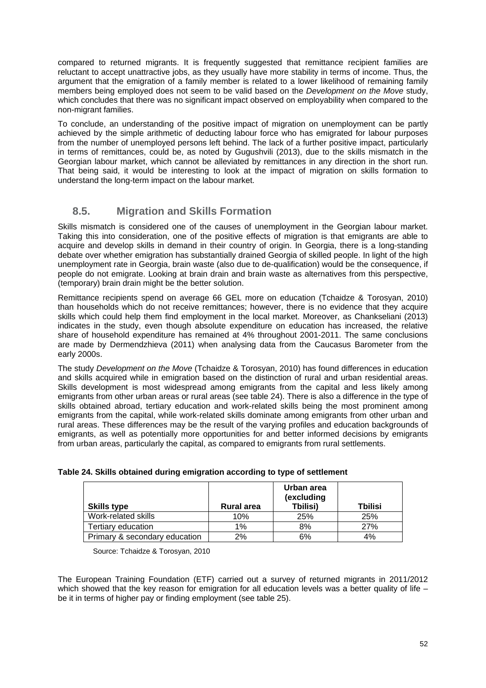compared to returned migrants. It is frequently suggested that remittance recipient families are reluctant to accept unattractive jobs, as they usually have more stability in terms of income. Thus, the argument that the emigration of a family member is related to a lower likelihood of remaining family members being employed does not seem to be valid based on the *Development on the Move* study, which concludes that there was no significant impact observed on employability when compared to the non-migrant families.

To conclude, an understanding of the positive impact of migration on unemployment can be partly achieved by the simple arithmetic of deducting labour force who has emigrated for labour purposes from the number of unemployed persons left behind. The lack of a further positive impact, particularly in terms of remittances, could be, as noted by Gugushvili (2013), due to the skills mismatch in the Georgian labour market, which cannot be alleviated by remittances in any direction in the short run. That being said, it would be interesting to look at the impact of migration on skills formation to understand the long-term impact on the labour market.

## **8.5. Migration and Skills Formation**

Skills mismatch is considered one of the causes of unemployment in the Georgian labour market. Taking this into consideration, one of the positive effects of migration is that emigrants are able to acquire and develop skills in demand in their country of origin. In Georgia, there is a long-standing debate over whether emigration has substantially drained Georgia of skilled people. In light of the high unemployment rate in Georgia, brain waste (also due to de-qualification) would be the consequence, if people do not emigrate. Looking at brain drain and brain waste as alternatives from this perspective, (temporary) brain drain might be the better solution.

Remittance recipients spend on average 66 GEL more on education (Tchaidze & Torosyan, 2010) than households which do not receive remittances; however, there is no evidence that they acquire skills which could help them find employment in the local market. Moreover, as Chankseliani (2013) indicates in the study, even though absolute expenditure on education has increased, the relative share of household expenditure has remained at 4% throughout 2001-2011. The same conclusions are made by Dermendzhieva (2011) when analysing data from the Caucasus Barometer from the early 2000s.

The study *Development on the Move* (Tchaidze & Torosyan, 2010) has found differences in education and skills acquired while in emigration based on the distinction of rural and urban residential areas. Skills development is most widespread among emigrants from the capital and less likely among emigrants from other urban areas or rural areas (see table 24). There is also a difference in the type of skills obtained abroad, tertiary education and work-related skills being the most prominent among emigrants from the capital, while work-related skills dominate among emigrants from other urban and rural areas. These differences may be the result of the varying profiles and education backgrounds of emigrants, as well as potentially more opportunities for and better informed decisions by emigrants from urban areas, particularly the capital, as compared to emigrants from rural settlements.

| <b>Skills type</b>            | <b>Rural area</b> | Urban area<br>(excluding<br>Tbilisi) | Tbilisi |
|-------------------------------|-------------------|--------------------------------------|---------|
| Work-related skills           | 10%               | 25%                                  | 25%     |
| Tertiary education            | 1%                | 8%                                   | 27%     |
| Primary & secondary education | 2%                | 6%                                   | 4%      |

#### **Table 24. Skills obtained during emigration according to type of settlement**

Source: Tchaidze & Torosyan, 2010

The European Training Foundation (ETF) carried out a survey of returned migrants in 2011/2012 which showed that the key reason for emigration for all education levels was a better quality of life  $$ be it in terms of higher pay or finding employment (see table 25).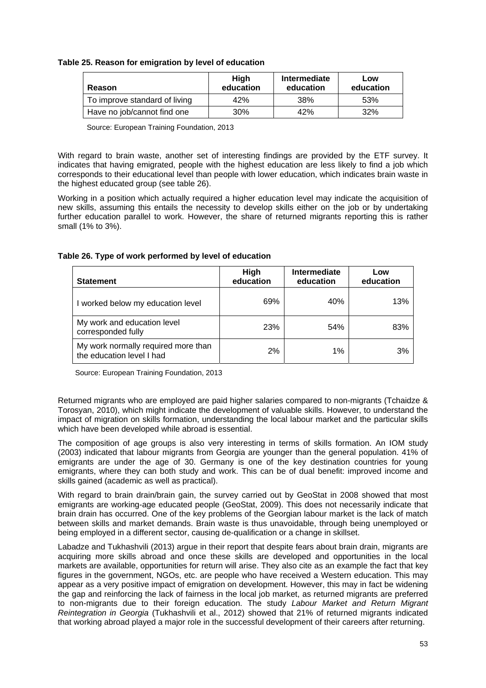| Table 25. Reason for emigration by level of education |
|-------------------------------------------------------|
|-------------------------------------------------------|

| Reason                        | <b>High</b><br>education | <b>Intermediate</b><br>education | Low<br>education |
|-------------------------------|--------------------------|----------------------------------|------------------|
| To improve standard of living | 42%                      | 38%                              | 53%              |
| Have no job/cannot find one   | 30%                      | 42%                              | 32%              |

Source: European Training Foundation, 2013

With regard to brain waste, another set of interesting findings are provided by the ETF survey. It indicates that having emigrated, people with the highest education are less likely to find a job which corresponds to their educational level than people with lower education, which indicates brain waste in the highest educated group (see table 26).

Working in a position which actually required a higher education level may indicate the acquisition of new skills, assuming this entails the necessity to develop skills either on the job or by undertaking further education parallel to work. However, the share of returned migrants reporting this is rather small (1% to 3%).

**Table 26. Type of work performed by level of education** 

| <b>Statement</b>                                                 | High<br>education | Intermediate<br>education | Low<br>education |
|------------------------------------------------------------------|-------------------|---------------------------|------------------|
| I worked below my education level                                | 69%               | 40%                       | 13%              |
| My work and education level<br>corresponded fully                | <b>23%</b>        | 54%                       | 83%              |
| My work normally required more than<br>the education level I had | 2%                | 1%                        | 3%               |

Source: European Training Foundation, 2013

Returned migrants who are employed are paid higher salaries compared to non-migrants (Tchaidze & Torosyan, 2010), which might indicate the development of valuable skills. However, to understand the impact of migration on skills formation, understanding the local labour market and the particular skills which have been developed while abroad is essential.

The composition of age groups is also very interesting in terms of skills formation. An IOM study (2003) indicated that labour migrants from Georgia are younger than the general population. 41% of emigrants are under the age of 30. Germany is one of the key destination countries for young emigrants, where they can both study and work. This can be of dual benefit: improved income and skills gained (academic as well as practical).

With regard to brain drain/brain gain, the survey carried out by GeoStat in 2008 showed that most emigrants are working-age educated people (GeoStat, 2009). This does not necessarily indicate that brain drain has occurred. One of the key problems of the Georgian labour market is the lack of match between skills and market demands. Brain waste is thus unavoidable, through being unemployed or being employed in a different sector, causing de-qualification or a change in skillset.

Labadze and Tukhashvili (2013) argue in their report that despite fears about brain drain, migrants are acquiring more skills abroad and once these skills are developed and opportunities in the local markets are available, opportunities for return will arise. They also cite as an example the fact that key figures in the government, NGOs, etc. are people who have received a Western education. This may appear as a very positive impact of emigration on development. However, this may in fact be widening the gap and reinforcing the lack of fairness in the local job market, as returned migrants are preferred to non-migrants due to their foreign education. The study *Labour Market and Return Migrant Reintegration in Georgia* (Tukhashvili et al., 2012) showed that 21% of returned migrants indicated that working abroad played a major role in the successful development of their careers after returning.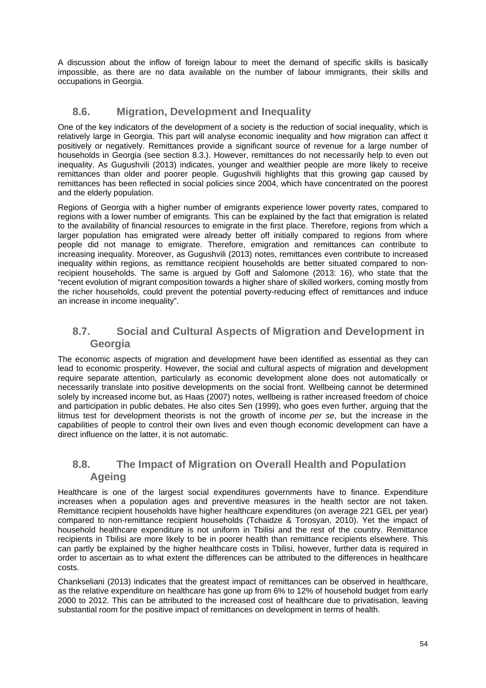A discussion about the inflow of foreign labour to meet the demand of specific skills is basically impossible, as there are no data available on the number of labour immigrants, their skills and occupations in Georgia.

### **8.6. Migration, Development and Inequality**

One of the key indicators of the development of a society is the reduction of social inequality, which is relatively large in Georgia. This part will analyse economic inequality and how migration can affect it positively or negatively. Remittances provide a significant source of revenue for a large number of households in Georgia (see section 8.3.). However, remittances do not necessarily help to even out inequality. As Gugushvili (2013) indicates, younger and wealthier people are more likely to receive remittances than older and poorer people. Gugushvili highlights that this growing gap caused by remittances has been reflected in social policies since 2004, which have concentrated on the poorest and the elderly population.

Regions of Georgia with a higher number of emigrants experience lower poverty rates, compared to regions with a lower number of emigrants. This can be explained by the fact that emigration is related to the availability of financial resources to emigrate in the first place. Therefore, regions from which a larger population has emigrated were already better off initially compared to regions from where people did not manage to emigrate. Therefore, emigration and remittances can contribute to increasing inequality. Moreover, as Gugushvili (2013) notes, remittances even contribute to increased inequality within regions, as remittance recipient households are better situated compared to nonrecipient households. The same is argued by Goff and Salomone (2013: 16), who state that the "recent evolution of migrant composition towards a higher share of skilled workers, coming mostly from the richer households, could prevent the potential poverty-reducing effect of remittances and induce an increase in income inequality".

### **8.7. Social and Cultural Aspects of Migration and Development in Georgia**

The economic aspects of migration and development have been identified as essential as they can lead to economic prosperity. However, the social and cultural aspects of migration and development require separate attention, particularly as economic development alone does not automatically or necessarily translate into positive developments on the social front. Wellbeing cannot be determined solely by increased income but, as Haas (2007) notes, wellbeing is rather increased freedom of choice and participation in public debates. He also cites Sen (1999), who goes even further, arguing that the litmus test for development theorists is not the growth of income *per se*, but the increase in the capabilities of people to control their own lives and even though economic development can have a direct influence on the latter, it is not automatic.

### **8.8. The Impact of Migration on Overall Health and Population Ageing**

Healthcare is one of the largest social expenditures governments have to finance. Expenditure increases when a population ages and preventive measures in the health sector are not taken. Remittance recipient households have higher healthcare expenditures (on average 221 GEL per year) compared to non-remittance recipient households (Tchaidze & Torosyan, 2010). Yet the impact of household healthcare expenditure is not uniform in Tbilisi and the rest of the country. Remittance recipients in Tbilisi are more likely to be in poorer health than remittance recipients elsewhere. This can partly be explained by the higher healthcare costs in Tbilisi, however, further data is required in order to ascertain as to what extent the differences can be attributed to the differences in healthcare costs.

Chankseliani (2013) indicates that the greatest impact of remittances can be observed in healthcare, as the relative expenditure on healthcare has gone up from 6% to 12% of household budget from early 2000 to 2012. This can be attributed to the increased cost of healthcare due to privatisation, leaving substantial room for the positive impact of remittances on development in terms of health.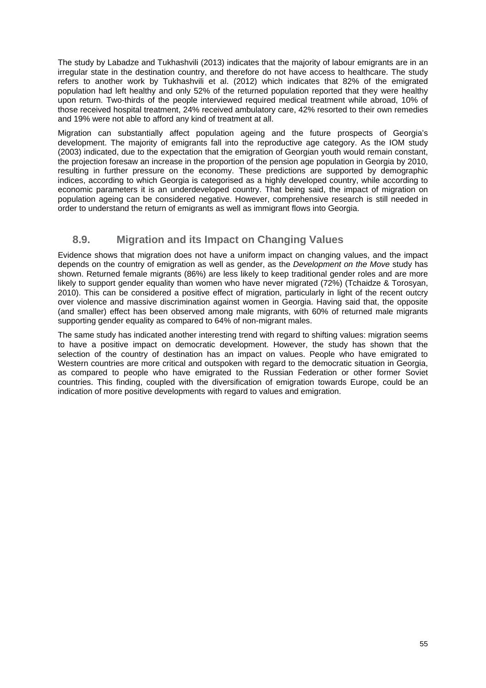The study by Labadze and Tukhashvili (2013) indicates that the majority of labour emigrants are in an irregular state in the destination country, and therefore do not have access to healthcare. The study refers to another work by Tukhashvili et al. (2012) which indicates that 82% of the emigrated population had left healthy and only 52% of the returned population reported that they were healthy upon return. Two-thirds of the people interviewed required medical treatment while abroad, 10% of those received hospital treatment, 24% received ambulatory care, 42% resorted to their own remedies and 19% were not able to afford any kind of treatment at all.

Migration can substantially affect population ageing and the future prospects of Georgia's development. The majority of emigrants fall into the reproductive age category. As the IOM study (2003) indicated, due to the expectation that the emigration of Georgian youth would remain constant, the projection foresaw an increase in the proportion of the pension age population in Georgia by 2010, resulting in further pressure on the economy. These predictions are supported by demographic indices, according to which Georgia is categorised as a highly developed country, while according to economic parameters it is an underdeveloped country. That being said, the impact of migration on population ageing can be considered negative. However, comprehensive research is still needed in order to understand the return of emigrants as well as immigrant flows into Georgia.

## **8.9. Migration and its Impact on Changing Values**

Evidence shows that migration does not have a uniform impact on changing values, and the impact depends on the country of emigration as well as gender, as the *Development on the Move* study has shown. Returned female migrants (86%) are less likely to keep traditional gender roles and are more likely to support gender equality than women who have never migrated (72%) (Tchaidze & Torosyan, 2010). This can be considered a positive effect of migration, particularly in light of the recent outcry over violence and massive discrimination against women in Georgia. Having said that, the opposite (and smaller) effect has been observed among male migrants, with 60% of returned male migrants supporting gender equality as compared to 64% of non-migrant males.

The same study has indicated another interesting trend with regard to shifting values: migration seems to have a positive impact on democratic development. However, the study has shown that the selection of the country of destination has an impact on values. People who have emigrated to Western countries are more critical and outspoken with regard to the democratic situation in Georgia, as compared to people who have emigrated to the Russian Federation or other former Soviet countries. This finding, coupled with the diversification of emigration towards Europe, could be an indication of more positive developments with regard to values and emigration.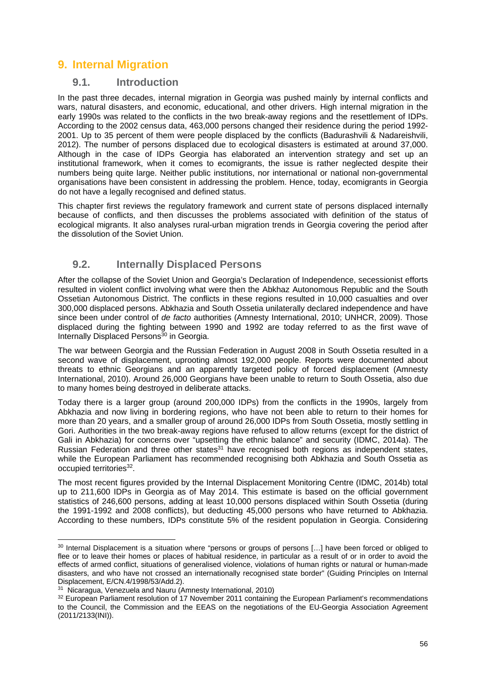## **9. Internal Migration**

### **9.1. Introduction**

In the past three decades, internal migration in Georgia was pushed mainly by internal conflicts and wars, natural disasters, and economic, educational, and other drivers. High internal migration in the early 1990s was related to the conflicts in the two break-away regions and the resettlement of IDPs. According to the 2002 census data, 463,000 persons changed their residence during the period 1992- 2001. Up to 35 percent of them were people displaced by the conflicts (Badurashvili & Nadareishvili, 2012). The number of persons displaced due to ecological disasters is estimated at around 37,000. Although in the case of IDPs Georgia has elaborated an intervention strategy and set up an institutional framework, when it comes to ecomigrants, the issue is rather neglected despite their numbers being quite large. Neither public institutions, nor international or national non-governmental organisations have been consistent in addressing the problem. Hence, today, ecomigrants in Georgia do not have a legally recognised and defined status.

This chapter first reviews the regulatory framework and current state of persons displaced internally because of conflicts, and then discusses the problems associated with definition of the status of ecological migrants. It also analyses rural-urban migration trends in Georgia covering the period after the dissolution of the Soviet Union.

### **9.2. Internally Displaced Persons**

After the collapse of the Soviet Union and Georgia's Declaration of Independence, secessionist efforts resulted in violent conflict involving what were then the Abkhaz Autonomous Republic and the South Ossetian Autonomous District. The conflicts in these regions resulted in 10,000 casualties and over 300,000 displaced persons. Abkhazia and South Ossetia unilaterally declared independence and have since been under control of *de facto* authorities (Amnesty International, 2010; UNHCR, 2009). Those displaced during the fighting between 1990 and 1992 are today referred to as the first wave of Internally Displaced Persons<sup>30</sup> in Georgia.

The war between Georgia and the Russian Federation in August 2008 in South Ossetia resulted in a second wave of displacement, uprooting almost 192,000 people. Reports were documented about threats to ethnic Georgians and an apparently targeted policy of forced displacement (Amnesty International, 2010). Around 26,000 Georgians have been unable to return to South Ossetia, also due to many homes being destroyed in deliberate attacks.

Today there is a larger group (around 200,000 IDPs) from the conflicts in the 1990s, largely from Abkhazia and now living in bordering regions, who have not been able to return to their homes for more than 20 years, and a smaller group of around 26,000 IDPs from South Ossetia, mostly settling in Gori. Authorities in the two break-away regions have refused to allow returns (except for the district of Gali in Abkhazia) for concerns over "upsetting the ethnic balance" and security (IDMC, 2014a). The Russian Federation and three other states $31$  have recognised both regions as independent states, while the European Parliament has recommended recognising both Abkhazia and South Ossetia as occupied territories<sup>32</sup>.

The most recent figures provided by the Internal Displacement Monitoring Centre (IDMC, 2014b) total up to 211,600 IDPs in Georgia as of May 2014. This estimate is based on the official government statistics of 246,600 persons, adding at least 10,000 persons displaced within South Ossetia (during the 1991-1992 and 2008 conflicts), but deducting 45,000 persons who have returned to Abkhazia. According to these numbers, IDPs constitute 5% of the resident population in Georgia. Considering

-

<sup>&</sup>lt;sup>30</sup> Internal Displacement is a situation where "persons or groups of persons [...] have been forced or obliged to flee or to leave their homes or places of habitual residence, in particular as a result of or in order to avoid the effects of armed conflict, situations of generalised violence, violations of human rights or natural or human-made disasters, and who have not crossed an internationally recognised state border" (Guiding Principles on Internal Displacement, E/CN.4/1998/53/Add.2).

<sup>31</sup> Nicaragua, Venezuela and Nauru (Amnesty International, 2010)

<sup>&</sup>lt;sup>32</sup> European Parliament resolution of 17 November 2011 containing the European Parliament's recommendations to the Council, the Commission and the EEAS on the negotiations of the EU-Georgia Association Agreement (2011/2133(INI)).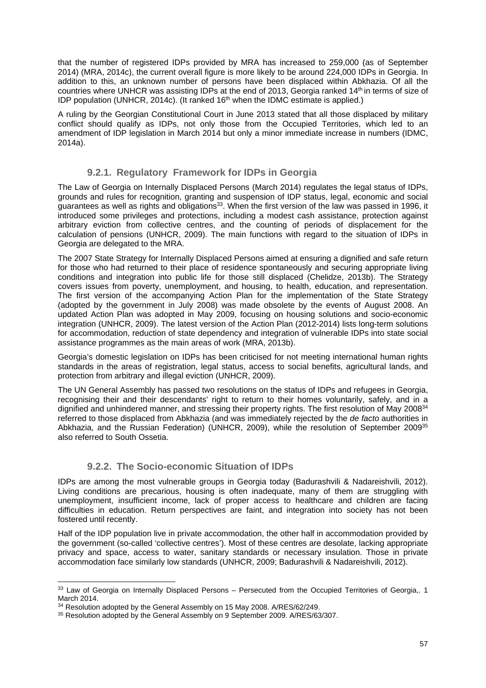that the number of registered IDPs provided by MRA has increased to 259,000 (as of September 2014) (MRA, 2014c), the current overall figure is more likely to be around 224,000 IDPs in Georgia. In addition to this, an unknown number of persons have been displaced within Abkhazia. Of all the countries where UNHCR was assisting IDPs at the end of 2013, Georgia ranked 14th in terms of size of IDP population (UNHCR, 2014c). (It ranked 16<sup>th</sup> when the IDMC estimate is applied.)

A ruling by the Georgian Constitutional Court in June 2013 stated that all those displaced by military conflict should qualify as IDPs, not only those from the Occupied Territories, which led to an amendment of IDP legislation in March 2014 but only a minor immediate increase in numbers (IDMC, 2014a).

#### **9.2.1. Regulatory Framework for IDPs in Georgia**

The Law of Georgia on Internally Displaced Persons (March 2014) regulates the legal status of IDPs, grounds and rules for recognition, granting and suspension of IDP status, legal, economic and social guarantees as well as rights and obligations<sup>33</sup>. When the first version of the law was passed in 1996, it introduced some privileges and protections, including a modest cash assistance, protection against arbitrary eviction from collective centres, and the counting of periods of displacement for the calculation of pensions (UNHCR, 2009). The main functions with regard to the situation of IDPs in Georgia are delegated to the MRA.

The 2007 State Strategy for Internally Displaced Persons aimed at ensuring a dignified and safe return for those who had returned to their place of residence spontaneously and securing appropriate living conditions and integration into public life for those still displaced (Chelidze, 2013b). The Strategy covers issues from poverty, unemployment, and housing, to health, education, and representation. The first version of the accompanying Action Plan for the implementation of the State Strategy (adopted by the government in July 2008) was made obsolete by the events of August 2008. An updated Action Plan was adopted in May 2009, focusing on housing solutions and socio-economic integration (UNHCR, 2009). The latest version of the Action Plan (2012-2014) lists long-term solutions for accommodation, reduction of state dependency and integration of vulnerable IDPs into state social assistance programmes as the main areas of work (MRA, 2013b).

Georgia's domestic legislation on IDPs has been criticised for not meeting international human rights standards in the areas of registration, legal status, access to social benefits, agricultural lands, and protection from arbitrary and illegal eviction (UNHCR, 2009).

The UN General Assembly has passed two resolutions on the status of IDPs and refugees in Georgia, recognising their and their descendants' right to return to their homes voluntarily, safely, and in a dignified and unhindered manner, and stressing their property rights. The first resolution of May 2008<sup>34</sup> referred to those displaced from Abkhazia (and was immediately rejected by the *de facto* authorities in Abkhazia, and the Russian Federation) (UNHCR, 2009), while the resolution of September 200935 also referred to South Ossetia.

#### **9.2.2. The Socio-economic Situation of IDPs**

IDPs are among the most vulnerable groups in Georgia today (Badurashvili & Nadareishvili, 2012). Living conditions are precarious, housing is often inadequate, many of them are struggling with unemployment, insufficient income, lack of proper access to healthcare and children are facing difficulties in education. Return perspectives are faint, and integration into society has not been fostered until recently.

Half of the IDP population live in private accommodation, the other half in accommodation provided by the government (so-called 'collective centres'). Most of these centres are desolate, lacking appropriate privacy and space, access to water, sanitary standards or necessary insulation. Those in private accommodation face similarly low standards (UNHCR, 2009; Badurashvili & Nadareishvili, 2012).

-

<sup>&</sup>lt;sup>33</sup> Law of Georgia on Internally Displaced Persons – Persecuted from the Occupied Territories of Georgia.. 1 March 2014.<br><sup>34</sup> Resolution adopted by the General Assembly on 15 May 2008. A/RES/62/249.

<sup>&</sup>lt;sup>35</sup> Resolution adopted by the General Assembly on 9 September 2009. A/RES/63/307.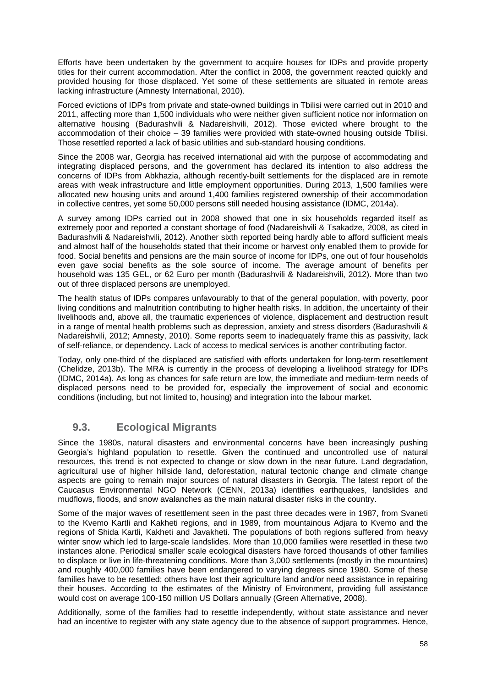Efforts have been undertaken by the government to acquire houses for IDPs and provide property titles for their current accommodation. After the conflict in 2008, the government reacted quickly and provided housing for those displaced. Yet some of these settlements are situated in remote areas lacking infrastructure (Amnesty International, 2010).

Forced evictions of IDPs from private and state-owned buildings in Tbilisi were carried out in 2010 and 2011, affecting more than 1,500 individuals who were neither given sufficient notice nor information on alternative housing (Badurashvili & Nadareishvili, 2012). Those evicted where brought to the accommodation of their choice – 39 families were provided with state-owned housing outside Tbilisi. Those resettled reported a lack of basic utilities and sub-standard housing conditions.

Since the 2008 war, Georgia has received international aid with the purpose of accommodating and integrating displaced persons, and the government has declared its intention to also address the concerns of IDPs from Abkhazia, although recently-built settlements for the displaced are in remote areas with weak infrastructure and little employment opportunities. During 2013, 1,500 families were allocated new housing units and around 1,400 families registered ownership of their accommodation in collective centres, yet some 50,000 persons still needed housing assistance (IDMC, 2014a).

A survey among IDPs carried out in 2008 showed that one in six households regarded itself as extremely poor and reported a constant shortage of food (Nadareishvili & Tsakadze, 2008, as cited in Badurashvili & Nadareishvili, 2012). Another sixth reported being hardly able to afford sufficient meals and almost half of the households stated that their income or harvest only enabled them to provide for food. Social benefits and pensions are the main source of income for IDPs, one out of four households even gave social benefits as the sole source of income. The average amount of benefits per household was 135 GEL, or 62 Euro per month (Badurashvili & Nadareishvili, 2012). More than two out of three displaced persons are unemployed.

The health status of IDPs compares unfavourably to that of the general population, with poverty, poor living conditions and malnutrition contributing to higher health risks. In addition, the uncertainty of their livelihoods and, above all, the traumatic experiences of violence, displacement and destruction result in a range of mental health problems such as depression, anxiety and stress disorders (Badurashvili & Nadareishvili, 2012; Amnesty, 2010). Some reports seem to inadequately frame this as passivity, lack of self-reliance, or dependency. Lack of access to medical services is another contributing factor.

Today, only one-third of the displaced are satisfied with efforts undertaken for long-term resettlement (Chelidze, 2013b). The MRA is currently in the process of developing a livelihood strategy for IDPs (IDMC, 2014a). As long as chances for safe return are low, the immediate and medium-term needs of displaced persons need to be provided for, especially the improvement of social and economic conditions (including, but not limited to, housing) and integration into the labour market.

### **9.3. Ecological Migrants**

Since the 1980s, natural disasters and environmental concerns have been increasingly pushing Georgia's highland population to resettle. Given the continued and uncontrolled use of natural resources, this trend is not expected to change or slow down in the near future. Land degradation, agricultural use of higher hillside land, deforestation, natural tectonic change and climate change aspects are going to remain major sources of natural disasters in Georgia. The latest report of the Caucasus Environmental NGO Network (CENN, 2013a) identifies earthquakes, landslides and mudflows, floods, and snow avalanches as the main natural disaster risks in the country.

Some of the major waves of resettlement seen in the past three decades were in 1987, from Svaneti to the Kvemo Kartli and Kakheti regions, and in 1989, from mountainous Adjara to Kvemo and the regions of Shida Kartli, Kakheti and Javakheti. The populations of both regions suffered from heavy winter snow which led to large-scale landslides. More than 10,000 families were resettled in these two instances alone. Periodical smaller scale ecological disasters have forced thousands of other families to displace or live in life-threatening conditions. More than 3,000 settlements (mostly in the mountains) and roughly 400,000 families have been endangered to varying degrees since 1980. Some of these families have to be resettled; others have lost their agriculture land and/or need assistance in repairing their houses. According to the estimates of the Ministry of Environment, providing full assistance would cost on average 100-150 million US Dollars annually (Green Alternative, 2008).

Additionally, some of the families had to resettle independently, without state assistance and never had an incentive to register with any state agency due to the absence of support programmes. Hence,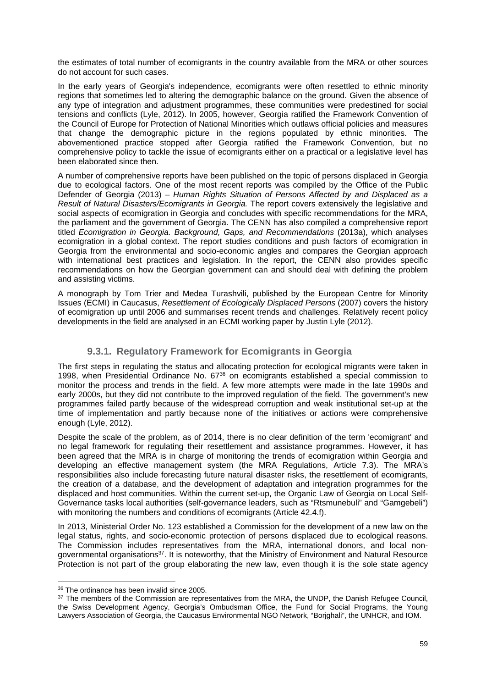the estimates of total number of ecomigrants in the country available from the MRA or other sources do not account for such cases.

In the early years of Georgia's independence, ecomigrants were often resettled to ethnic minority regions that sometimes led to altering the demographic balance on the ground. Given the absence of any type of integration and adjustment programmes, these communities were predestined for social tensions and conflicts (Lyle, 2012). In 2005, however, Georgia ratified the Framework Convention of the Council of Europe for Protection of National Minorities which outlaws official policies and measures that change the demographic picture in the regions populated by ethnic minorities. The abovementioned practice stopped after Georgia ratified the Framework Convention, but no comprehensive policy to tackle the issue of ecomigrants either on a practical or a legislative level has been elaborated since then.

A number of comprehensive reports have been published on the topic of persons displaced in Georgia due to ecological factors. One of the most recent reports was compiled by the Office of the Public Defender of Georgia (2013) – *Human Rights Situation of Persons Affected by and Displaced as a Result of Natural Disasters/Ecomigrants in Georgia.* The report covers extensively the legislative and social aspects of ecomigration in Georgia and concludes with specific recommendations for the MRA. the parliament and the government of Georgia. The CENN has also compiled a comprehensive report titled *Ecomigration in Georgia. Background, Gaps, and Recommendations* (2013a), which analyses ecomigration in a global context. The report studies conditions and push factors of ecomigration in Georgia from the environmental and socio-economic angles and compares the Georgian approach with international best practices and legislation. In the report, the CENN also provides specific recommendations on how the Georgian government can and should deal with defining the problem and assisting victims.

A monograph by Tom Trier and Medea Turashvili, published by the European Centre for Minority Issues (ECMI) in Caucasus, *Resettlement of Ecologically Displaced Persons* (2007) covers the history of ecomigration up until 2006 and summarises recent trends and challenges. Relatively recent policy developments in the field are analysed in an ECMI working paper by Justin Lyle (2012).

#### **9.3.1. Regulatory Framework for Ecomigrants in Georgia**

The first steps in regulating the status and allocating protection for ecological migrants were taken in 1998, when Presidential Ordinance No. 6736 on ecomigrants established a special commission to monitor the process and trends in the field. A few more attempts were made in the late 1990s and early 2000s, but they did not contribute to the improved regulation of the field. The government's new programmes failed partly because of the widespread corruption and weak institutional set-up at the time of implementation and partly because none of the initiatives or actions were comprehensive enough (Lyle, 2012).

Despite the scale of the problem, as of 2014, there is no clear definition of the term 'ecomigrant' and no legal framework for regulating their resettlement and assistance programmes. However, it has been agreed that the MRA is in charge of monitoring the trends of ecomigration within Georgia and developing an effective management system (the MRA Regulations, Article 7.3). The MRA's responsibilities also include forecasting future natural disaster risks, the resettlement of ecomigrants, the creation of a database, and the development of adaptation and integration programmes for the displaced and host communities. Within the current set-up, the Organic Law of Georgia on Local Self-Governance tasks local authorities (self-governance leaders, such as "Rtsmunebuli" and "Gamgebeli") with monitoring the numbers and conditions of ecomigrants (Article 42.4.f).

In 2013, Ministerial Order No. 123 established a Commission for the development of a new law on the legal status, rights, and socio-economic protection of persons displaced due to ecological reasons. The Commission includes representatives from the MRA, international donors, and local nongovernmental organisations<sup>37</sup>. It is noteworthy, that the Ministry of Environment and Natural Resource Protection is not part of the group elaborating the new law, even though it is the sole state agency

<sup>-</sup>36 The ordinance has been invalid since 2005.

<sup>&</sup>lt;sup>37</sup> The members of the Commission are representatives from the MRA, the UNDP, the Danish Refugee Council, the Swiss Development Agency, Georgia's Ombudsman Office, the Fund for Social Programs, the Young Lawyers Association of Georgia, the Caucasus Environmental NGO Network, "Borjghali", the UNHCR, and IOM.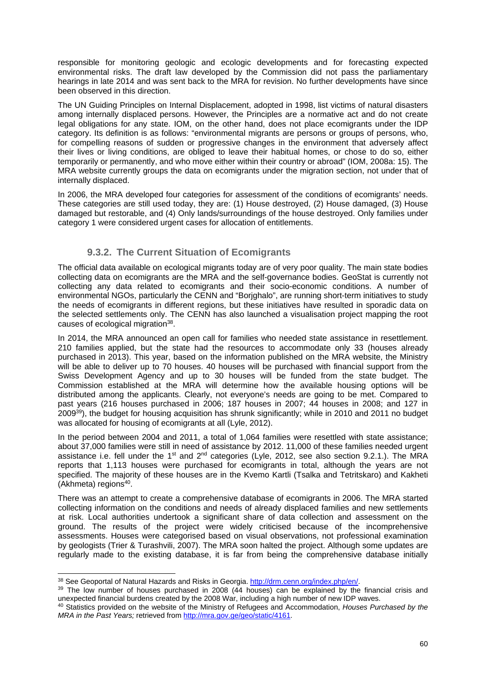responsible for monitoring geologic and ecologic developments and for forecasting expected environmental risks. The draft law developed by the Commission did not pass the parliamentary hearings in late 2014 and was sent back to the MRA for revision. No further developments have since been observed in this direction.

The UN Guiding Principles on Internal Displacement, adopted in 1998, list victims of natural disasters among internally displaced persons. However, the Principles are a normative act and do not create legal obligations for any state. IOM, on the other hand, does not place ecomigrants under the IDP category. Its definition is as follows: "environmental migrants are persons or groups of persons, who, for compelling reasons of sudden or progressive changes in the environment that adversely affect their lives or living conditions, are obliged to leave their habitual homes, or chose to do so, either temporarily or permanently, and who move either within their country or abroad" (IOM, 2008a: 15). The MRA website currently groups the data on ecomigrants under the migration section, not under that of internally displaced.

In 2006, the MRA developed four categories for assessment of the conditions of ecomigrants' needs. These categories are still used today, they are: (1) House destroyed, (2) House damaged, (3) House damaged but restorable, and (4) Only lands/surroundings of the house destroyed. Only families under category 1 were considered urgent cases for allocation of entitlements.

#### **9.3.2. The Current Situation of Ecomigrants**

The official data available on ecological migrants today are of very poor quality. The main state bodies collecting data on ecomigrants are the MRA and the self-governance bodies. GeoStat is currently not collecting any data related to ecomigrants and their socio-economic conditions. A number of environmental NGOs, particularly the CENN and "Borjghalo", are running short-term initiatives to study the needs of ecomigrants in different regions, but these initiatives have resulted in sporadic data on the selected settlements only. The CENN has also launched a visualisation project mapping the root causes of ecological migration<sup>38</sup>.

In 2014, the MRA announced an open call for families who needed state assistance in resettlement. 210 families applied, but the state had the resources to accommodate only 33 (houses already purchased in 2013). This year, based on the information published on the MRA website, the Ministry will be able to deliver up to 70 houses. 40 houses will be purchased with financial support from the Swiss Development Agency and up to 30 houses will be funded from the state budget. The Commission established at the MRA will determine how the available housing options will be distributed among the applicants. Clearly, not everyone's needs are going to be met. Compared to past years (216 houses purchased in 2006; 187 houses in 2007; 44 houses in 2008; and 127 in 200939), the budget for housing acquisition has shrunk significantly; while in 2010 and 2011 no budget was allocated for housing of ecomigrants at all (Lyle, 2012).

In the period between 2004 and 2011, a total of 1,064 families were resettled with state assistance; about 37,000 families were still in need of assistance by 2012. 11,000 of these families needed urgent assistance i.e. fell under the 1<sup>st</sup> and 2<sup>nd</sup> categories (Lyle, 2012, see also section 9.2.1.). The MRA reports that 1,113 houses were purchased for ecomigrants in total, although the years are not specified. The majority of these houses are in the Kvemo Kartli (Tsalka and Tetritskaro) and Kakheti  $(Akhmeta)$  regions<sup>40</sup>.

There was an attempt to create a comprehensive database of ecomigrants in 2006. The MRA started collecting information on the conditions and needs of already displaced families and new settlements at risk. Local authorities undertook a significant share of data collection and assessment on the ground. The results of the project were widely criticised because of the incomprehensive assessments. Houses were categorised based on visual observations, not professional examination by geologists (Trier & Turashvili, 2007). The MRA soon halted the project. Although some updates are regularly made to the existing database, it is far from being the comprehensive database initially

-

<sup>&</sup>lt;sup>38</sup> See Geoportal of Natural Hazards and Risks in Georgia. http://drm.cenn.org/index.php/en/.<br><sup>39</sup> The low number of houses purchased in 2008 (44 houses) can be explained by the financial crisis and unexpected financial burdens created by the 2008 War, including a high number of new IDP waves. 40 Statistics provided on the website of the Ministry of Refugees and Accommodation, *Houses Purchased by the* 

*MRA in the Past Years;* retrieved from http://mra.gov.ge/geo/static/4161.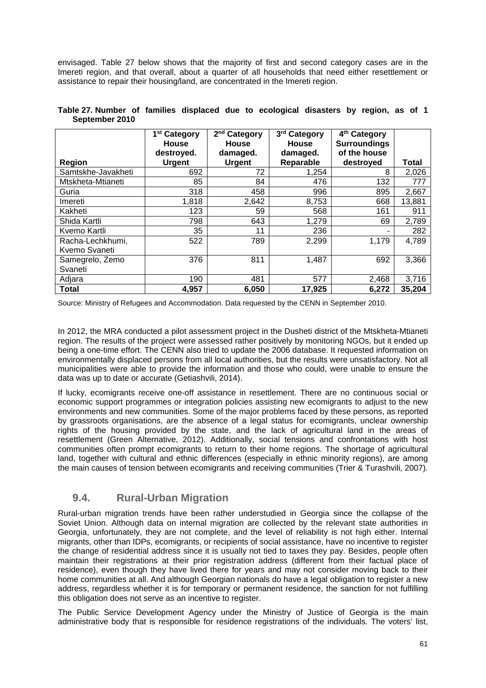envisaged. Table 27 below shows that the majority of first and second category cases are in the Imereti region, and that overall, about a quarter of all households that need either resettlement or assistance to repair their housing/land, are concentrated in the Imereti region.

| <b>Region</b>                     | 1 <sup>st</sup> Category<br>House<br>destroyed.<br><b>Urgent</b> | 2 <sup>nd</sup> Category<br><b>House</b><br>damaged.<br><b>Urgent</b> | 3rd Category<br><b>House</b><br>damaged.<br>Reparable | 4 <sup>th</sup> Category<br><b>Surroundings</b><br>of the house<br>destroyed | <b>Total</b> |
|-----------------------------------|------------------------------------------------------------------|-----------------------------------------------------------------------|-------------------------------------------------------|------------------------------------------------------------------------------|--------------|
| Samtskhe-Javakheti                | 692                                                              | 72                                                                    | 1,254                                                 | 8                                                                            | 2,026        |
| Mtskheta-Mtianeti                 | 85                                                               | 84                                                                    | 476                                                   | 132                                                                          | 777          |
| Guria                             | 318                                                              | 458                                                                   | 996                                                   | 895                                                                          | 2,667        |
| Imereti                           | 1,818                                                            | 2,642                                                                 | 8,753                                                 | 668                                                                          | 13,881       |
| Kakheti                           | 123                                                              | 59                                                                    | 568                                                   | 161                                                                          | 911          |
| Shida Kartli                      | 798                                                              | 643                                                                   | 1,279                                                 | 69                                                                           | 2,789        |
| Kvemo Kartli                      | 35                                                               | 11                                                                    | 236                                                   | ۰                                                                            | 282          |
| Racha-Lechkhumi,<br>Kvemo Svaneti | 522                                                              | 789                                                                   | 2,299                                                 | 1,179                                                                        | 4,789        |
| Samegrelo, Zemo<br>Svaneti        | 376                                                              | 811                                                                   | 1,487                                                 | 692                                                                          | 3,366        |
| Adjara                            | 190                                                              | 481                                                                   | 577                                                   | 2,468                                                                        | 3,716        |
| <b>Total</b>                      | 4,957                                                            | 6,050                                                                 | 17,925                                                | 6,272                                                                        | 35,204       |

| Table 27. Number of families displaced due to ecological disasters by region, as of 1 |  |  |  |  |  |  |
|---------------------------------------------------------------------------------------|--|--|--|--|--|--|
| September 2010                                                                        |  |  |  |  |  |  |

Source: Ministry of Refugees and Accommodation. Data requested by the CENN in September 2010.

In 2012, the MRA conducted a pilot assessment project in the Dusheti district of the Mtskheta-Mtianeti region. The results of the project were assessed rather positively by monitoring NGOs, but it ended up being a one-time effort. The CENN also tried to update the 2006 database. It requested information on environmentally displaced persons from all local authorities, but the results were unsatisfactory. Not all municipalities were able to provide the information and those who could, were unable to ensure the data was up to date or accurate (Getiashvili, 2014).

If lucky, ecomigrants receive one-off assistance in resettlement. There are no continuous social or economic support programmes or integration policies assisting new ecomigrants to adjust to the new environments and new communities. Some of the major problems faced by these persons, as reported by grassroots organisations, are the absence of a legal status for ecomigrants, unclear ownership rights of the housing provided by the state, and the lack of agricultural land in the areas of resettlement (Green Alternative, 2012). Additionally, social tensions and confrontations with host communities often prompt ecomigrants to return to their home regions. The shortage of agricultural land, together with cultural and ethnic differences (especially in ethnic minority regions), are among the main causes of tension between ecomigrants and receiving communities (Trier & Turashvili, 2007).

### **9.4. Rural-Urban Migration**

Rural-urban migration trends have been rather understudied in Georgia since the collapse of the Soviet Union. Although data on internal migration are collected by the relevant state authorities in Georgia, unfortunately, they are not complete, and the level of reliability is not high either. Internal migrants, other than IDPs, ecomigrants, or recipients of social assistance, have no incentive to register the change of residential address since it is usually not tied to taxes they pay. Besides, people often maintain their registrations at their prior registration address (different from their factual place of residence), even though they have lived there for years and may not consider moving back to their home communities at all. And although Georgian nationals do have a legal obligation to register a new address, regardless whether it is for temporary or permanent residence, the sanction for not fulfilling this obligation does not serve as an incentive to register.

The Public Service Development Agency under the Ministry of Justice of Georgia is the main administrative body that is responsible for residence registrations of the individuals. The voters' list,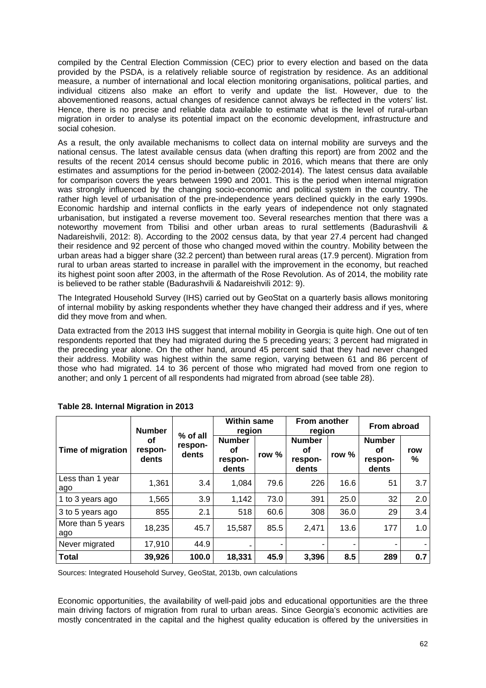compiled by the Central Election Commission (CEC) prior to every election and based on the data provided by the PSDA, is a relatively reliable source of registration by residence. As an additional measure, a number of international and local election monitoring organisations, political parties, and individual citizens also make an effort to verify and update the list. However, due to the abovementioned reasons, actual changes of residence cannot always be reflected in the voters' list. Hence, there is no precise and reliable data available to estimate what is the level of rural-urban migration in order to analyse its potential impact on the economic development, infrastructure and social cohesion.

As a result, the only available mechanisms to collect data on internal mobility are surveys and the national census. The latest available census data (when drafting this report) are from 2002 and the results of the recent 2014 census should become public in 2016, which means that there are only estimates and assumptions for the period in-between (2002-2014). The latest census data available for comparison covers the years between 1990 and 2001. This is the period when internal migration was strongly influenced by the changing socio-economic and political system in the country. The rather high level of urbanisation of the pre-independence years declined quickly in the early 1990s. Economic hardship and internal conflicts in the early years of independence not only stagnated urbanisation, but instigated a reverse movement too. Several researches mention that there was a noteworthy movement from Tbilisi and other urban areas to rural settlements (Badurashvili & Nadareishvili, 2012: 8). According to the 2002 census data, by that year 27.4 percent had changed their residence and 92 percent of those who changed moved within the country. Mobility between the urban areas had a bigger share (32.2 percent) than between rural areas (17.9 percent). Migration from rural to urban areas started to increase in parallel with the improvement in the economy, but reached its highest point soon after 2003, in the aftermath of the Rose Revolution. As of 2014, the mobility rate is believed to be rather stable (Badurashvili & Nadareishvili 2012: 9).

The Integrated Household Survey (IHS) carried out by GeoStat on a quarterly basis allows monitoring of internal mobility by asking respondents whether they have changed their address and if yes, where did they move from and when.

Data extracted from the 2013 IHS suggest that internal mobility in Georgia is quite high. One out of ten respondents reported that they had migrated during the 5 preceding years; 3 percent had migrated in the preceding year alone. On the other hand, around 45 percent said that they had never changed their address. Mobility was highest within the same region, varying between 61 and 86 percent of those who had migrated. 14 to 36 percent of those who migrated had moved from one region to another; and only 1 percent of all respondents had migrated from abroad (see table 28).

|                          | <b>Number</b>          | % of all         | <b>Within same</b><br>region            |       | From another<br>region                  |       | From abroad                             |          |
|--------------------------|------------------------|------------------|-----------------------------------------|-------|-----------------------------------------|-------|-----------------------------------------|----------|
| Time of migration        | οf<br>respon-<br>dents | respon-<br>dents | <b>Number</b><br>οf<br>respon-<br>dents | row % | <b>Number</b><br>οf<br>respon-<br>dents | row % | <b>Number</b><br>οf<br>respon-<br>dents | row<br>% |
| Less than 1 year<br>ago  | 1,361                  | 3.4              | 1,084                                   | 79.6  | 226                                     | 16.6  | 51                                      | 3.7      |
| 1 to 3 years ago         | 1,565                  | 3.9              | 1,142                                   | 73.0  | 391                                     | 25.0  | 32                                      | 2.0      |
| 3 to 5 years ago         | 855                    | 2.1              | 518                                     | 60.6  | 308                                     | 36.0  | 29                                      | 3.4      |
| More than 5 years<br>ago | 18,235                 | 45.7             | 15,587                                  | 85.5  | 2,471                                   | 13.6  | 177                                     | 1.0      |
| Never migrated           | 17,910                 | 44.9             |                                         |       |                                         |       |                                         |          |
| <b>Total</b>             | 39,926                 | 100.0            | 18,331                                  | 45.9  | 3,396                                   | 8.5   | 289                                     | 0.7      |

**Table 28. Internal Migration in 2013** 

Sources: Integrated Household Survey, GeoStat, 2013b, own calculations

Economic opportunities, the availability of well-paid jobs and educational opportunities are the three main driving factors of migration from rural to urban areas. Since Georgia's economic activities are mostly concentrated in the capital and the highest quality education is offered by the universities in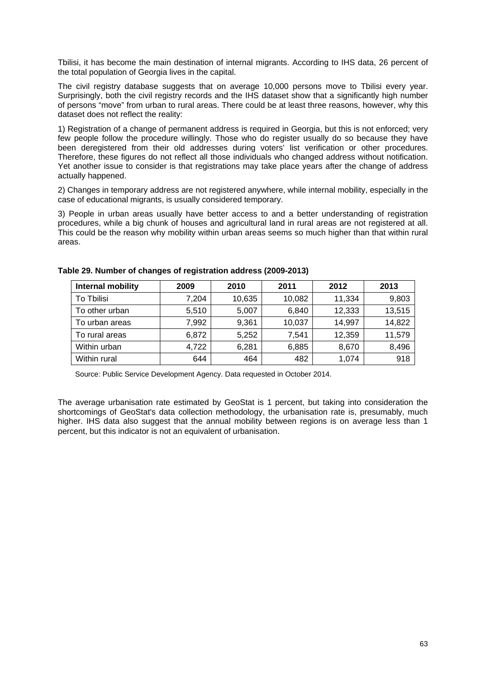Tbilisi, it has become the main destination of internal migrants. According to IHS data, 26 percent of the total population of Georgia lives in the capital.

The civil registry database suggests that on average 10,000 persons move to Tbilisi every year. Surprisingly, both the civil registry records and the IHS dataset show that a significantly high number of persons "move" from urban to rural areas. There could be at least three reasons, however, why this dataset does not reflect the reality:

1) Registration of a change of permanent address is required in Georgia, but this is not enforced; very few people follow the procedure willingly. Those who do register usually do so because they have been deregistered from their old addresses during voters' list verification or other procedures. Therefore, these figures do not reflect all those individuals who changed address without notification. Yet another issue to consider is that registrations may take place years after the change of address actually happened.

2) Changes in temporary address are not registered anywhere, while internal mobility, especially in the case of educational migrants, is usually considered temporary.

3) People in urban areas usually have better access to and a better understanding of registration procedures, while a big chunk of houses and agricultural land in rural areas are not registered at all. This could be the reason why mobility within urban areas seems so much higher than that within rural areas.

| Internal mobility | 2009  | 2010   | 2011   | 2012   | 2013   |
|-------------------|-------|--------|--------|--------|--------|
| To Tbilisi        | 7,204 | 10,635 | 10,082 | 11,334 | 9,803  |
| To other urban    | 5,510 | 5,007  | 6,840  | 12,333 | 13,515 |
| To urban areas    | 7,992 | 9,361  | 10,037 | 14,997 | 14,822 |
| To rural areas    | 6,872 | 5,252  | 7,541  | 12,359 | 11,579 |
| Within urban      | 4,722 | 6,281  | 6,885  | 8,670  | 8,496  |
| Within rural      | 644   | 464    | 482    | 1.074  | 918    |

#### **Table 29. Number of changes of registration address (2009-2013)**

Source: Public Service Development Agency. Data requested in October 2014.

The average urbanisation rate estimated by GeoStat is 1 percent, but taking into consideration the shortcomings of GeoStat's data collection methodology, the urbanisation rate is, presumably, much higher. IHS data also suggest that the annual mobility between regions is on average less than 1 percent, but this indicator is not an equivalent of urbanisation.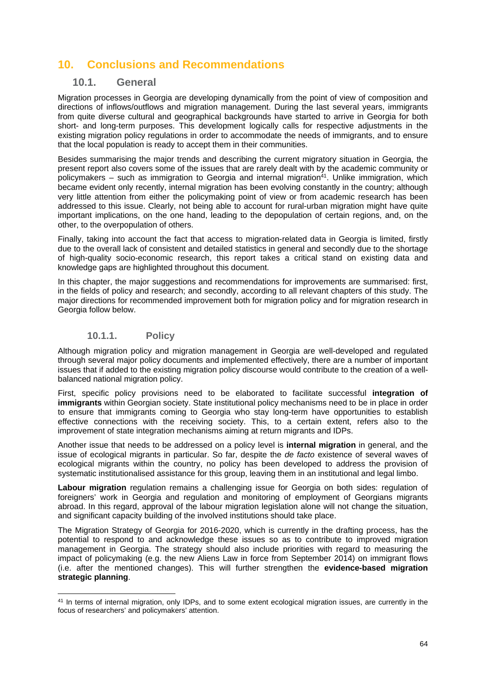# **10. Conclusions and Recommendations**

### **10.1. General**

Migration processes in Georgia are developing dynamically from the point of view of composition and directions of inflows/outflows and migration management. During the last several years, immigrants from quite diverse cultural and geographical backgrounds have started to arrive in Georgia for both short- and long-term purposes. This development logically calls for respective adjustments in the existing migration policy regulations in order to accommodate the needs of immigrants, and to ensure that the local population is ready to accept them in their communities.

Besides summarising the major trends and describing the current migratory situation in Georgia, the present report also covers some of the issues that are rarely dealt with by the academic community or policymakers – such as immigration to Georgia and internal migration<sup>41</sup>. Unlike immigration, which became evident only recently, internal migration has been evolving constantly in the country; although very little attention from either the policymaking point of view or from academic research has been addressed to this issue. Clearly, not being able to account for rural-urban migration might have quite important implications, on the one hand, leading to the depopulation of certain regions, and, on the other, to the overpopulation of others.

Finally, taking into account the fact that access to migration-related data in Georgia is limited, firstly due to the overall lack of consistent and detailed statistics in general and secondly due to the shortage of high-quality socio-economic research, this report takes a critical stand on existing data and knowledge gaps are highlighted throughout this document.

In this chapter, the major suggestions and recommendations for improvements are summarised: first, in the fields of policy and research; and secondly, according to all relevant chapters of this study. The major directions for recommended improvement both for migration policy and for migration research in Georgia follow below.

#### **10.1.1. Policy**

-

Although migration policy and migration management in Georgia are well-developed and regulated through several major policy documents and implemented effectively, there are a number of important issues that if added to the existing migration policy discourse would contribute to the creation of a wellbalanced national migration policy.

First, specific policy provisions need to be elaborated to facilitate successful **integration of immigrants** within Georgian society. State institutional policy mechanisms need to be in place in order to ensure that immigrants coming to Georgia who stay long-term have opportunities to establish effective connections with the receiving society. This, to a certain extent, refers also to the improvement of state integration mechanisms aiming at return migrants and IDPs.

Another issue that needs to be addressed on a policy level is **internal migration** in general, and the issue of ecological migrants in particular. So far, despite the *de facto* existence of several waves of ecological migrants within the country, no policy has been developed to address the provision of systematic institutionalised assistance for this group, leaving them in an institutional and legal limbo.

**Labour migration** regulation remains a challenging issue for Georgia on both sides: regulation of foreigners' work in Georgia and regulation and monitoring of employment of Georgians migrants abroad. In this regard, approval of the labour migration legislation alone will not change the situation, and significant capacity building of the involved institutions should take place.

The Migration Strategy of Georgia for 2016-2020, which is currently in the drafting process, has the potential to respond to and acknowledge these issues so as to contribute to improved migration management in Georgia. The strategy should also include priorities with regard to measuring the impact of policymaking (e.g. the new Aliens Law in force from September 2014) on immigrant flows (i.e. after the mentioned changes). This will further strengthen the **evidence-based migration strategic planning**.

<sup>41</sup> In terms of internal migration, only IDPs, and to some extent ecological migration issues, are currently in the focus of researchers' and policymakers' attention.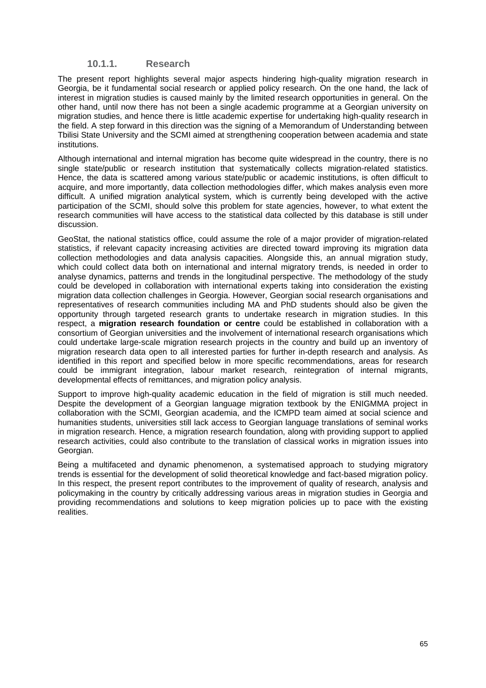#### **10.1.1. Research**

The present report highlights several major aspects hindering high-quality migration research in Georgia, be it fundamental social research or applied policy research. On the one hand, the lack of interest in migration studies is caused mainly by the limited research opportunities in general. On the other hand, until now there has not been a single academic programme at a Georgian university on migration studies, and hence there is little academic expertise for undertaking high-quality research in the field. A step forward in this direction was the signing of a Memorandum of Understanding between Tbilisi State University and the SCMI aimed at strengthening cooperation between academia and state institutions.

Although international and internal migration has become quite widespread in the country, there is no single state/public or research institution that systematically collects migration-related statistics. Hence, the data is scattered among various state/public or academic institutions, is often difficult to acquire, and more importantly, data collection methodologies differ, which makes analysis even more difficult. A unified migration analytical system, which is currently being developed with the active participation of the SCMI, should solve this problem for state agencies, however, to what extent the research communities will have access to the statistical data collected by this database is still under discussion.

GeoStat, the national statistics office, could assume the role of a major provider of migration-related statistics, if relevant capacity increasing activities are directed toward improving its migration data collection methodologies and data analysis capacities. Alongside this, an annual migration study, which could collect data both on international and internal migratory trends, is needed in order to analyse dynamics, patterns and trends in the longitudinal perspective. The methodology of the study could be developed in collaboration with international experts taking into consideration the existing migration data collection challenges in Georgia. However, Georgian social research organisations and representatives of research communities including MA and PhD students should also be given the opportunity through targeted research grants to undertake research in migration studies. In this respect, a **migration research foundation or centre** could be established in collaboration with a consortium of Georgian universities and the involvement of international research organisations which could undertake large-scale migration research projects in the country and build up an inventory of migration research data open to all interested parties for further in-depth research and analysis. As identified in this report and specified below in more specific recommendations, areas for research could be immigrant integration, labour market research, reintegration of internal migrants, developmental effects of remittances, and migration policy analysis.

Support to improve high-quality academic education in the field of migration is still much needed. Despite the development of a Georgian language migration textbook by the ENIGMMA project in collaboration with the SCMI, Georgian academia, and the ICMPD team aimed at social science and humanities students, universities still lack access to Georgian language translations of seminal works in migration research. Hence, a migration research foundation, along with providing support to applied research activities, could also contribute to the translation of classical works in migration issues into Georgian.

Being a multifaceted and dynamic phenomenon, a systematised approach to studying migratory trends is essential for the development of solid theoretical knowledge and fact-based migration policy. In this respect, the present report contributes to the improvement of quality of research, analysis and policymaking in the country by critically addressing various areas in migration studies in Georgia and providing recommendations and solutions to keep migration policies up to pace with the existing realities.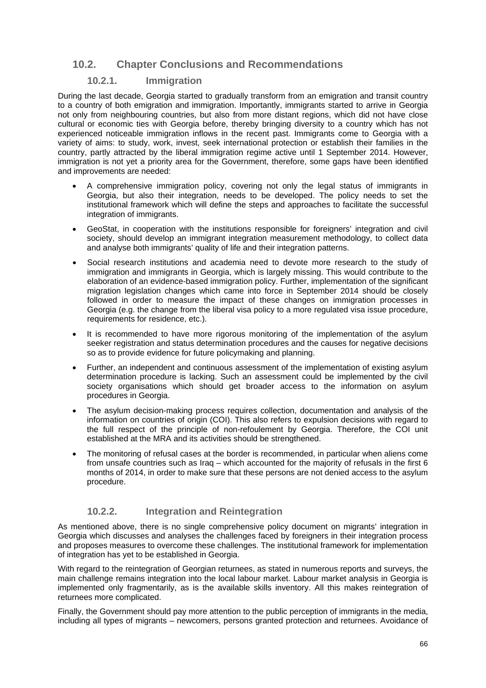## **10.2. Chapter Conclusions and Recommendations**

#### **10.2.1. Immigration**

During the last decade, Georgia started to gradually transform from an emigration and transit country to a country of both emigration and immigration. Importantly, immigrants started to arrive in Georgia not only from neighbouring countries, but also from more distant regions, which did not have close cultural or economic ties with Georgia before, thereby bringing diversity to a country which has not experienced noticeable immigration inflows in the recent past. Immigrants come to Georgia with a variety of aims: to study, work, invest, seek international protection or establish their families in the country, partly attracted by the liberal immigration regime active until 1 September 2014. However, immigration is not yet a priority area for the Government, therefore, some gaps have been identified and improvements are needed:

- A comprehensive immigration policy, covering not only the legal status of immigrants in Georgia, but also their integration, needs to be developed. The policy needs to set the institutional framework which will define the steps and approaches to facilitate the successful integration of immigrants.
- GeoStat, in cooperation with the institutions responsible for foreigners' integration and civil society, should develop an immigrant integration measurement methodology, to collect data and analyse both immigrants' quality of life and their integration patterns.
- Social research institutions and academia need to devote more research to the study of immigration and immigrants in Georgia, which is largely missing. This would contribute to the elaboration of an evidence-based immigration policy. Further, implementation of the significant migration legislation changes which came into force in September 2014 should be closely followed in order to measure the impact of these changes on immigration processes in Georgia (e.g. the change from the liberal visa policy to a more regulated visa issue procedure, requirements for residence, etc.).
- It is recommended to have more rigorous monitoring of the implementation of the asylum seeker registration and status determination procedures and the causes for negative decisions so as to provide evidence for future policymaking and planning.
- Further, an independent and continuous assessment of the implementation of existing asylum determination procedure is lacking. Such an assessment could be implemented by the civil society organisations which should get broader access to the information on asylum procedures in Georgia.
- The asylum decision-making process requires collection, documentation and analysis of the information on countries of origin (COI). This also refers to expulsion decisions with regard to the full respect of the principle of non-refoulement by Georgia. Therefore, the COI unit established at the MRA and its activities should be strengthened.
- The monitoring of refusal cases at the border is recommended, in particular when aliens come from unsafe countries such as Iraq – which accounted for the majority of refusals in the first 6 months of 2014, in order to make sure that these persons are not denied access to the asylum procedure.

#### **10.2.2. Integration and Reintegration**

As mentioned above, there is no single comprehensive policy document on migrants' integration in Georgia which discusses and analyses the challenges faced by foreigners in their integration process and proposes measures to overcome these challenges. The institutional framework for implementation of integration has yet to be established in Georgia.

With regard to the reintegration of Georgian returnees, as stated in numerous reports and surveys, the main challenge remains integration into the local labour market. Labour market analysis in Georgia is implemented only fragmentarily, as is the available skills inventory. All this makes reintegration of returnees more complicated.

Finally, the Government should pay more attention to the public perception of immigrants in the media, including all types of migrants – newcomers, persons granted protection and returnees. Avoidance of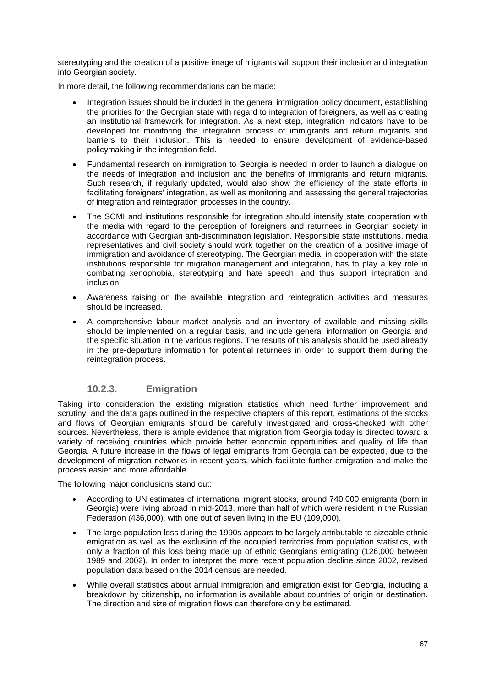stereotyping and the creation of a positive image of migrants will support their inclusion and integration into Georgian society.

In more detail, the following recommendations can be made:

- Integration issues should be included in the general immigration policy document, establishing the priorities for the Georgian state with regard to integration of foreigners, as well as creating an institutional framework for integration. As a next step, integration indicators have to be developed for monitoring the integration process of immigrants and return migrants and barriers to their inclusion. This is needed to ensure development of evidence-based policymaking in the integration field.
- Fundamental research on immigration to Georgia is needed in order to launch a dialogue on the needs of integration and inclusion and the benefits of immigrants and return migrants. Such research, if regularly updated, would also show the efficiency of the state efforts in facilitating foreigners' integration, as well as monitoring and assessing the general trajectories of integration and reintegration processes in the country.
- The SCMI and institutions responsible for integration should intensify state cooperation with the media with regard to the perception of foreigners and returnees in Georgian society in accordance with Georgian anti-discrimination legislation. Responsible state institutions, media representatives and civil society should work together on the creation of a positive image of immigration and avoidance of stereotyping. The Georgian media, in cooperation with the state institutions responsible for migration management and integration, has to play a key role in combating xenophobia, stereotyping and hate speech, and thus support integration and inclusion.
- Awareness raising on the available integration and reintegration activities and measures should be increased.
- A comprehensive labour market analysis and an inventory of available and missing skills should be implemented on a regular basis, and include general information on Georgia and the specific situation in the various regions. The results of this analysis should be used already in the pre-departure information for potential returnees in order to support them during the reintegration process.

#### **10.2.3. Emigration**

Taking into consideration the existing migration statistics which need further improvement and scrutiny, and the data gaps outlined in the respective chapters of this report, estimations of the stocks and flows of Georgian emigrants should be carefully investigated and cross-checked with other sources. Nevertheless, there is ample evidence that migration from Georgia today is directed toward a variety of receiving countries which provide better economic opportunities and quality of life than Georgia. A future increase in the flows of legal emigrants from Georgia can be expected, due to the development of migration networks in recent years, which facilitate further emigration and make the process easier and more affordable.

The following major conclusions stand out:

- According to UN estimates of international migrant stocks, around 740,000 emigrants (born in Georgia) were living abroad in mid-2013, more than half of which were resident in the Russian Federation (436,000), with one out of seven living in the EU (109,000).
- The large population loss during the 1990s appears to be largely attributable to sizeable ethnic emigration as well as the exclusion of the occupied territories from population statistics, with only a fraction of this loss being made up of ethnic Georgians emigrating (126,000 between 1989 and 2002). In order to interpret the more recent population decline since 2002, revised population data based on the 2014 census are needed.
- While overall statistics about annual immigration and emigration exist for Georgia, including a breakdown by citizenship, no information is available about countries of origin or destination. The direction and size of migration flows can therefore only be estimated.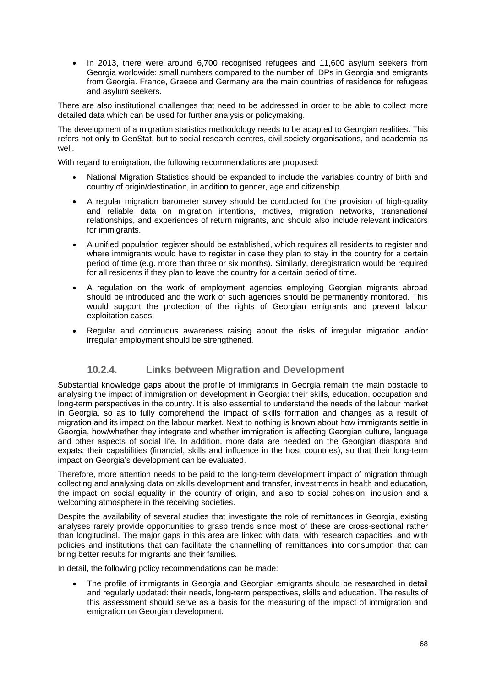In 2013, there were around 6,700 recognised refugees and 11,600 asylum seekers from Georgia worldwide: small numbers compared to the number of IDPs in Georgia and emigrants from Georgia. France, Greece and Germany are the main countries of residence for refugees and asylum seekers.

There are also institutional challenges that need to be addressed in order to be able to collect more detailed data which can be used for further analysis or policymaking.

The development of a migration statistics methodology needs to be adapted to Georgian realities. This refers not only to GeoStat, but to social research centres, civil society organisations, and academia as well.

With regard to emigration, the following recommendations are proposed:

- National Migration Statistics should be expanded to include the variables country of birth and country of origin/destination, in addition to gender, age and citizenship.
- A regular migration barometer survey should be conducted for the provision of high-quality and reliable data on migration intentions, motives, migration networks, transnational relationships, and experiences of return migrants, and should also include relevant indicators for immigrants.
- A unified population register should be established, which requires all residents to register and where immigrants would have to register in case they plan to stay in the country for a certain period of time (e.g. more than three or six months). Similarly, deregistration would be required for all residents if they plan to leave the country for a certain period of time.
- A regulation on the work of employment agencies employing Georgian migrants abroad should be introduced and the work of such agencies should be permanently monitored. This would support the protection of the rights of Georgian emigrants and prevent labour exploitation cases.
- Regular and continuous awareness raising about the risks of irregular migration and/or irregular employment should be strengthened.

#### **10.2.4. Links between Migration and Development**

Substantial knowledge gaps about the profile of immigrants in Georgia remain the main obstacle to analysing the impact of immigration on development in Georgia: their skills, education, occupation and long-term perspectives in the country. It is also essential to understand the needs of the labour market in Georgia, so as to fully comprehend the impact of skills formation and changes as a result of migration and its impact on the labour market. Next to nothing is known about how immigrants settle in Georgia, how/whether they integrate and whether immigration is affecting Georgian culture, language and other aspects of social life. In addition, more data are needed on the Georgian diaspora and expats, their capabilities (financial, skills and influence in the host countries), so that their long-term impact on Georgia's development can be evaluated.

Therefore, more attention needs to be paid to the long-term development impact of migration through collecting and analysing data on skills development and transfer, investments in health and education, the impact on social equality in the country of origin, and also to social cohesion, inclusion and a welcoming atmosphere in the receiving societies.

Despite the availability of several studies that investigate the role of remittances in Georgia, existing analyses rarely provide opportunities to grasp trends since most of these are cross-sectional rather than longitudinal. The major gaps in this area are linked with data, with research capacities, and with policies and institutions that can facilitate the channelling of remittances into consumption that can bring better results for migrants and their families.

In detail, the following policy recommendations can be made:

 The profile of immigrants in Georgia and Georgian emigrants should be researched in detail and regularly updated: their needs, long-term perspectives, skills and education. The results of this assessment should serve as a basis for the measuring of the impact of immigration and emigration on Georgian development.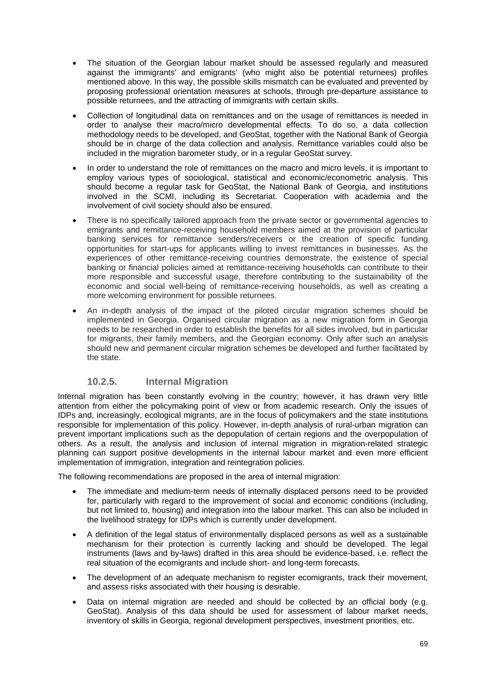- The situation of the Georgian labour market should be assessed regularly and measured against the immigrants' and emigrants' (who might also be potential returnees) profiles mentioned above. In this way, the possible skills mismatch can be evaluated and prevented by proposing professional orientation measures at schools, through pre-departure assistance to possible returnees, and the attracting of immigrants with certain skills.
- Collection of longitudinal data on remittances and on the usage of remittances is needed in order to analyse their macro/micro developmental effects. To do so, a data collection methodology needs to be developed, and GeoStat, together with the National Bank of Georgia should be in charge of the data collection and analysis. Remittance variables could also be included in the migration barometer study, or in a regular GeoStat survey.
- In order to understand the role of remittances on the macro and micro levels, it is important to employ various types of sociological, statistical and economic/econometric analysis. This should become a regular task for GeoStat, the National Bank of Georgia, and institutions involved in the SCMI, including its Secretariat. Cooperation with academia and the involvement of civil society should also be ensured.
- There is no specifically tailored approach from the private sector or governmental agencies to emigrants and remittance-receiving household members aimed at the provision of particular banking services for remittance senders/receivers or the creation of specific funding opportunities for start-ups for applicants willing to invest remittances in businesses. As the experiences of other remittance-receiving countries demonstrate, the existence of special banking or financial policies aimed at remittance-receiving households can contribute to their more responsible and successful usage, therefore contributing to the sustainability of the economic and social well-being of remittance-receiving households, as well as creating a more welcoming environment for possible returnees.
- An in-depth analysis of the impact of the piloted circular migration schemes should be implemented in Georgia. Organised circular migration as a new migration form in Georgia needs to be researched in order to establish the benefits for all sides involved, but in particular for migrants, their family members, and the Georgian economy. Only after such an analysis should new and permanent circular migration schemes be developed and further facilitated by the state.

#### **10.2.5. Internal Migration**

Internal migration has been constantly evolving in the country; however, it has drawn very little attention from either the policymaking point of view or from academic research. Only the issues of IDPs and, increasingly, ecological migrants, are in the focus of policymakers and the state institutions responsible for implementation of this policy. However, in-depth analysis of rural-urban migration can prevent important implications such as the depopulation of certain regions and the overpopulation of others. As a result, the analysis and inclusion of internal migration in migration-related strategic planning can support positive developments in the internal labour market and even more efficient implementation of immigration, integration and reintegration policies.

The following recommendations are proposed in the area of internal migration:

- The immediate and medium-term needs of internally displaced persons need to be provided for, particularly with regard to the improvement of social and economic conditions (including, but not limited to, housing) and integration into the labour market. This can also be included in the livelihood strategy for IDPs which is currently under development.
- A definition of the legal status of environmentally displaced persons as well as a sustainable mechanism for their protection is currently lacking and should be developed. The legal instruments (laws and by-laws) drafted in this area should be evidence-based, i.e. reflect the real situation of the ecomigrants and include short- and long-term forecasts.
- The development of an adequate mechanism to register ecomigrants, track their movement, and assess risks associated with their housing is desirable.
- Data on internal migration are needed and should be collected by an official body (e.g. GeoStat). Analysis of this data should be used for assessment of labour market needs, inventory of skills in Georgia, regional development perspectives, investment priorities, etc.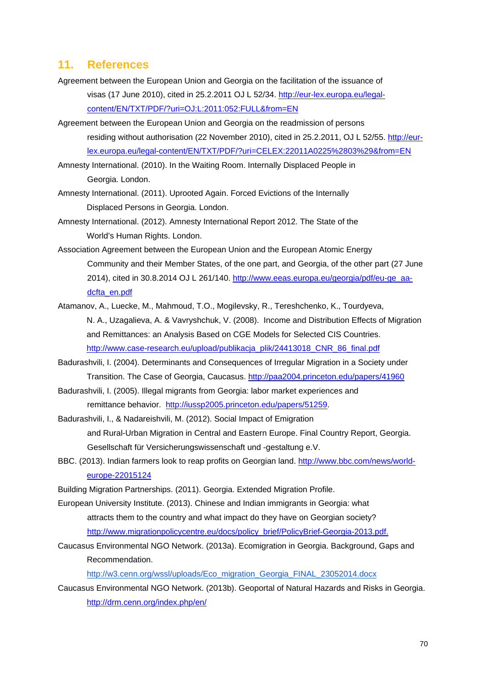### **11. References**

- Agreement between the European Union and Georgia on the facilitation of the issuance of visas (17 June 2010), cited in 25.2.2011 OJ L 52/34. http://eur-lex.europa.eu/legalcontent/EN/TXT/PDF/?uri=OJ:L:2011:052:FULL&from=EN
- Agreement between the European Union and Georgia on the readmission of persons residing without authorisation (22 November 2010), cited in 25.2.2011, OJ L 52/55. http://eurlex.europa.eu/legal-content/EN/TXT/PDF/?uri=CELEX:22011A0225%2803%29&from=EN

Amnesty International. (2010). In the Waiting Room. Internally Displaced People in Georgia. London.

- Amnesty International. (2011). Uprooted Again. Forced Evictions of the Internally Displaced Persons in Georgia. London.
- Amnesty International. (2012). Amnesty International Report 2012. The State of the World's Human Rights. London.
- Association Agreement between the European Union and the European Atomic Energy Community and their Member States, of the one part, and Georgia, of the other part (27 June 2014), cited in 30.8.2014 OJ L 261/140. http://www.eeas.europa.eu/georgia/pdf/eu-ge\_aadcfta\_en.pdf
- Atamanov, A., Luecke, M., Mahmoud, T.O., Mogilevsky, R., Tereshchenko, K., Tourdyeva, N. A., Uzagalieva, A. & Vavryshchuk, V. (2008). Income and Distribution Effects of Migration and Remittances: an Analysis Based on CGE Models for Selected CIS Countries. http://www.case-research.eu/upload/publikacja\_plik/24413018\_CNR\_86\_final.pdf
- Badurashvili, I. (2004). Determinants and Consequences of Irregular Migration in a Society under Transition. The Case of Georgia, Caucasus. http://paa2004.princeton.edu/papers/41960
- Badurashvili, I. (2005). Illegal migrants from Georgia: labor market experiences and remittance behavior. http://iussp2005.princeton.edu/papers/51259.
- Badurashvili, I., & Nadareishvili, M. (2012). Social Impact of Emigration and Rural-Urban Migration in Central and Eastern Europe. Final Country Report, Georgia. Gesellschaft für Versicherungswissenschaft und -gestaltung e.V.
- BBC. (2013). Indian farmers look to reap profits on Georgian land. http://www.bbc.com/news/worldeurope-22015124

Building Migration Partnerships. (2011). Georgia. Extended Migration Profile.

- European University Institute. (2013). Chinese and Indian immigrants in Georgia: what attracts them to the country and what impact do they have on Georgian society? http://www.migrationpolicycentre.eu/docs/policy\_brief/PolicyBrief-Georgia-2013.pdf.
- Caucasus Environmental NGO Network. (2013a). Ecomigration in Georgia. Background, Gaps and Recommendation.

http://w3.cenn.org/wssl/uploads/Eco\_migration\_Georgia\_FINAL\_23052014.docx

Caucasus Environmental NGO Network. (2013b). Geoportal of Natural Hazards and Risks in Georgia. http://drm.cenn.org/index.php/en/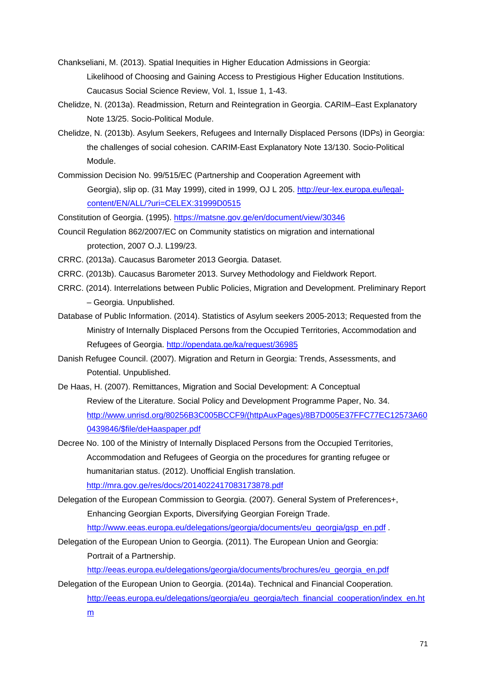- Chankseliani, M. (2013). Spatial Inequities in Higher Education Admissions in Georgia: Likelihood of Choosing and Gaining Access to Prestigious Higher Education Institutions. Caucasus Social Science Review, Vol. 1, Issue 1, 1-43.
- Chelidze, N. (2013a). Readmission, Return and Reintegration in Georgia. CARIM–East Explanatory Note 13/25. Socio-Political Module.
- Chelidze, N. (2013b). Asylum Seekers, Refugees and Internally Displaced Persons (IDPs) in Georgia: the challenges of social cohesion. CARIM-East Explanatory Note 13/130. Socio-Political Module.
- Commission Decision No. 99/515/EC (Partnership and Cooperation Agreement with Georgia), slip op. (31 May 1999), cited in 1999, OJ L 205. http://eur-lex.europa.eu/legalcontent/EN/ALL/?uri=CELEX:31999D0515

Constitution of Georgia. (1995). https://matsne.gov.ge/en/document/view/30346

- Council Regulation 862/2007/EC on Community statistics on migration and international protection, 2007 O.J. L199/23.
- CRRC. (2013a). Caucasus Barometer 2013 Georgia. Dataset.
- CRRC. (2013b). Caucasus Barometer 2013. Survey Methodology and Fieldwork Report.
- CRRC. (2014). Interrelations between Public Policies, Migration and Development. Preliminary Report – Georgia. Unpublished.
- Database of Public Information. (2014). Statistics of Asylum seekers 2005-2013; Requested from the Ministry of Internally Displaced Persons from the Occupied Territories, Accommodation and Refugees of Georgia. http://opendata.ge/ka/request/36985
- Danish Refugee Council. (2007). Migration and Return in Georgia: Trends, Assessments, and Potential. Unpublished.
- De Haas, H. (2007). Remittances, Migration and Social Development: A Conceptual Review of the Literature. Social Policy and Development Programme Paper, No. 34. http://www.unrisd.org/80256B3C005BCCF9/(httpAuxPages)/8B7D005E37FFC77EC12573A60 0439846/\$file/deHaaspaper.pdf
- Decree No. 100 of the Ministry of Internally Displaced Persons from the Occupied Territories, Accommodation and Refugees of Georgia on the procedures for granting refugee or humanitarian status. (2012). Unofficial English translation. http://mra.gov.ge/res/docs/2014022417083173878.pdf
- Delegation of the European Commission to Georgia. (2007). General System of Preferences+, Enhancing Georgian Exports, Diversifying Georgian Foreign Trade.
	- http://www.eeas.europa.eu/delegations/georgia/documents/eu\_georgia/gsp\_en.pdf .
- Delegation of the European Union to Georgia. (2011). The European Union and Georgia: Portrait of a Partnership.

http://eeas.europa.eu/delegations/georgia/documents/brochures/eu\_georgia\_en.pdf

- Delegation of the European Union to Georgia. (2014a). Technical and Financial Cooperation.
	- http://eeas.europa.eu/delegations/georgia/eu\_georgia/tech\_financial\_cooperation/index\_en.ht m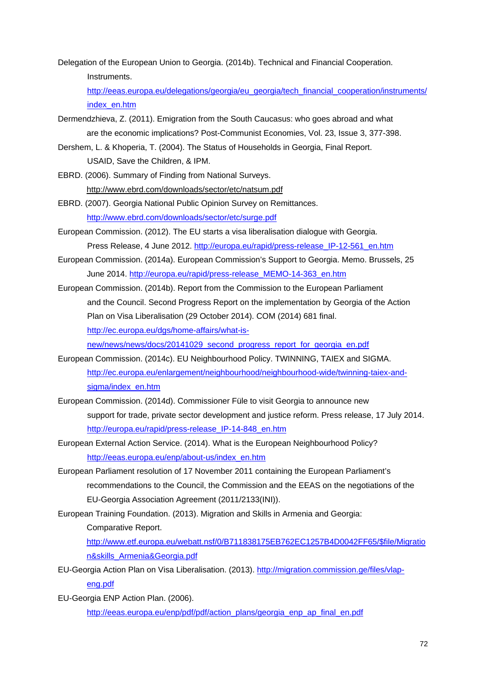Delegation of the European Union to Georgia. (2014b). Technical and Financial Cooperation. Instruments.

http://eeas.europa.eu/delegations/georgia/eu\_georgia/tech\_financial\_cooperation/instruments/ index\_en.htm

- Dermendzhieva, Z. (2011). Emigration from the South Caucasus: who goes abroad and what are the economic implications? Post-Communist Economies, Vol. 23, Issue 3, 377-398.
- Dershem, L. & Khoperia, T. (2004). The Status of Households in Georgia, Final Report. USAID, Save the Children, & IPM.
- EBRD. (2006). Summary of Finding from National Surveys. http://www.ebrd.com/downloads/sector/etc/natsum.pdf
- EBRD. (2007). Georgia National Public Opinion Survey on Remittances. http://www.ebrd.com/downloads/sector/etc/surge.pdf
- European Commission. (2012). The EU starts a visa liberalisation dialogue with Georgia. Press Release, 4 June 2012. http://europa.eu/rapid/press-release\_IP-12-561\_en.htm
- European Commission. (2014a). European Commission's Support to Georgia. Memo. Brussels, 25 June 2014. http://europa.eu/rapid/press-release\_MEMO-14-363\_en.htm
- European Commission. (2014b). Report from the Commission to the European Parliament and the Council. Second Progress Report on the implementation by Georgia of the Action Plan on Visa Liberalisation (29 October 2014). COM (2014) 681 final. http://ec.europa.eu/dgs/home-affairs/what-is-

new/news/news/docs/20141029\_second\_progress\_report\_for\_georgia\_en.pdf

- European Commission. (2014c). EU Neighbourhood Policy. TWINNING, TAIEX and SIGMA. http://ec.europa.eu/enlargement/neighbourhood/neighbourhood-wide/twinning-taiex-andsigma/index\_en.htm
- European Commission. (2014d). Commissioner Füle to visit Georgia to announce new support for trade, private sector development and justice reform. Press release, 17 July 2014. http://europa.eu/rapid/press-release\_IP-14-848\_en.htm
- European External Action Service. (2014). What is the European Neighbourhood Policy? http://eeas.europa.eu/enp/about-us/index\_en.htm
- European Parliament resolution of 17 November 2011 containing the European Parliament's recommendations to the Council, the Commission and the EEAS on the negotiations of the EU-Georgia Association Agreement (2011/2133(INI)).
- European Training Foundation. (2013). Migration and Skills in Armenia and Georgia:

Comparative Report.

http://www.etf.europa.eu/webatt.nsf/0/B711838175EB762EC1257B4D0042FF65/\$file/Migratio n&skills\_Armenia&Georgia.pdf

- EU-Georgia Action Plan on Visa Liberalisation. (2013). http://migration.commission.ge/files/vlapeng.pdf
- EU-Georgia ENP Action Plan. (2006).

http://eeas.europa.eu/enp/pdf/pdf/action\_plans/georgia\_enp\_ap\_final\_en.pdf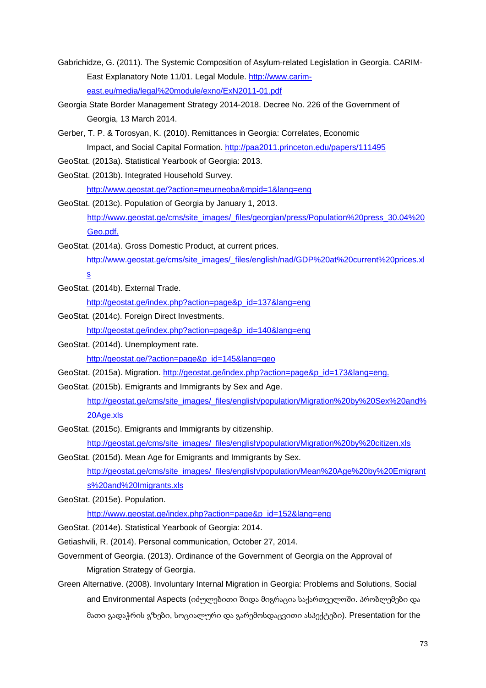- Gabrichidze, G. (2011). The Systemic Composition of Asylum-related Legislation in Georgia. CARIM-East Explanatory Note 11/01. Legal Module. http://www.carimeast.eu/media/legal%20module/exno/ExN2011-01.pdf
- Georgia State Border Management Strategy 2014-2018. Decree No. 226 of the Government of Georgia, 13 March 2014.
- Gerber, T. P. & Torosyan, K. (2010). Remittances in Georgia: Correlates, Economic Impact, and Social Capital Formation. http://paa2011.princeton.edu/papers/111495
- GeoStat. (2013a). Statistical Yearbook of Georgia: 2013.
- GeoStat. (2013b). Integrated Household Survey.

http://www.geostat.ge/?action=meurneoba&mpid=1&lang=eng

- GeoStat. (2013c). Population of Georgia by January 1, 2013. http://www.geostat.ge/cms/site\_images/\_files/georgian/press/Population%20press\_30.04%20 Geo.pdf.
- GeoStat. (2014a). Gross Domestic Product, at current prices.

http://www.geostat.ge/cms/site\_images/\_files/english/nad/GDP%20at%20current%20prices.xl s

GeoStat. (2014b). External Trade.

http://geostat.ge/index.php?action=page&p\_id=137&lang=eng

GeoStat. (2014c). Foreign Direct Investments.

http://geostat.ge/index.php?action=page&p\_id=140&lang=eng

GeoStat. (2014d). Unemployment rate.

http://geostat.ge/?action=page&p\_id=145&lang=geo

GeoStat. (2015a). Migration. http://geostat.ge/index.php?action=page&p\_id=173&lang=eng.

GeoStat. (2015b). Emigrants and Immigrants by Sex and Age.

http://geostat.ge/cms/site\_images/\_files/english/population/Migration%20by%20Sex%20and% 20Age.xls

GeoStat. (2015c). Emigrants and Immigrants by citizenship.

http://geostat.ge/cms/site\_images/\_files/english/population/Migration%20by%20citizen.xls

- GeoStat. (2015d). Mean Age for Emigrants and Immigrants by Sex. http://geostat.ge/cms/site\_images/\_files/english/population/Mean%20Age%20by%20Emigrant s%20and%20Imigrants.xls
- GeoStat. (2015e). Population.

http://www.geostat.ge/index.php?action=page&p\_id=152&lang=eng

- GeoStat. (2014e). Statistical Yearbook of Georgia: 2014.
- Getiashvili, R. (2014). Personal communication, October 27, 2014.
- Government of Georgia. (2013). Ordinance of the Government of Georgia on the Approval of Migration Strategy of Georgia.
- Green Alternative. (2008). Involuntary Internal Migration in Georgia: Problems and Solutions, Social and Environmental Aspects (იძულებითი შიდა მიგრაცია საქართველოში. პრობლემები და მათი გადაჭრის გზები, სოციალური და გარემოსდაცვითი ასპექტები). Presentation for the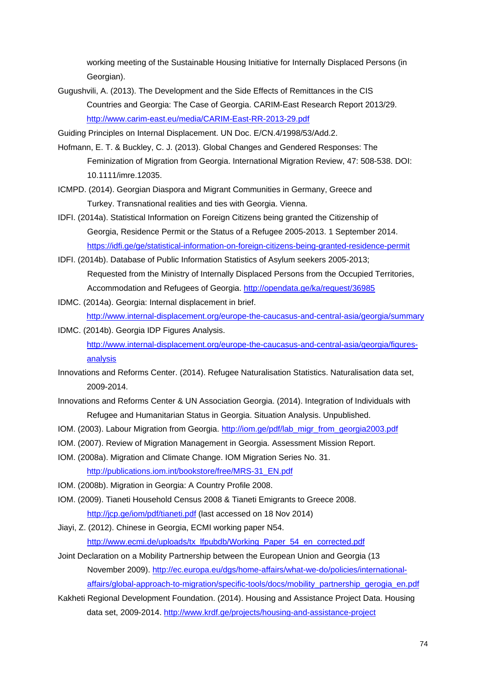working meeting of the Sustainable Housing Initiative for Internally Displaced Persons (in Georgian).

Gugushvili, A. (2013). The Development and the Side Effects of Remittances in the CIS Countries and Georgia: The Case of Georgia. CARIM-East Research Report 2013/29. http://www.carim-east.eu/media/CARIM-East-RR-2013-29.pdf

Guiding Principles on Internal Displacement. UN Doc. E/CN.4/1998/53/Add.2.

- Hofmann, E. T. & Buckley, C. J. (2013). Global Changes and Gendered Responses: The Feminization of Migration from Georgia. International Migration Review, 47: 508-538. DOI: 10.1111/imre.12035.
- ICMPD. (2014). Georgian Diaspora and Migrant Communities in Germany, Greece and Turkey. Transnational realities and ties with Georgia. Vienna.
- IDFI. (2014a). Statistical Information on Foreign Citizens being granted the Citizenship of Georgia, Residence Permit or the Status of a Refugee 2005-2013. 1 September 2014. https://idfi.ge/ge/statistical-information-on-foreign-citizens-being-granted-residence-permit
- IDFI. (2014b). Database of Public Information Statistics of Asylum seekers 2005-2013; Requested from the Ministry of Internally Displaced Persons from the Occupied Territories, Accommodation and Refugees of Georgia. http://opendata.ge/ka/request/36985
- IDMC. (2014a). Georgia: Internal displacement in brief. http://www.internal-displacement.org/europe-the-caucasus-and-central-asia/georgia/summary
- IDMC. (2014b). Georgia IDP Figures Analysis. http://www.internal-displacement.org/europe-the-caucasus-and-central-asia/georgia/figuresanalysis
- Innovations and Reforms Center. (2014). Refugee Naturalisation Statistics. Naturalisation data set, 2009-2014.
- Innovations and Reforms Center & UN Association Georgia. (2014). Integration of Individuals with Refugee and Humanitarian Status in Georgia. Situation Analysis. Unpublished.
- IOM. (2003). Labour Migration from Georgia. http://iom.ge/pdf/lab\_migr\_from\_georgia2003.pdf
- IOM. (2007). Review of Migration Management in Georgia. Assessment Mission Report.
- IOM. (2008a). Migration and Climate Change. IOM Migration Series No. 31. http://publications.iom.int/bookstore/free/MRS-31\_EN.pdf
- IOM. (2008b). Migration in Georgia: A Country Profile 2008.
- IOM. (2009). Tianeti Household Census 2008 & Tianeti Emigrants to Greece 2008.
	- http://jcp.ge/iom/pdf/tianeti.pdf (last accessed on 18 Nov 2014)
- Jiayi, Z. (2012). Chinese in Georgia, ECMI working paper N54. http://www.ecmi.de/uploads/tx\_lfpubdb/Working\_Paper\_54\_en\_corrected.pdf
- Joint Declaration on a Mobility Partnership between the European Union and Georgia (13 November 2009). http://ec.europa.eu/dgs/home-affairs/what-we-do/policies/internationalaffairs/global-approach-to-migration/specific-tools/docs/mobility\_partnership\_gerogia\_en.pdf
- Kakheti Regional Development Foundation. (2014). Housing and Assistance Project Data. Housing data set, 2009-2014. http://www.krdf.ge/projects/housing-and-assistance-project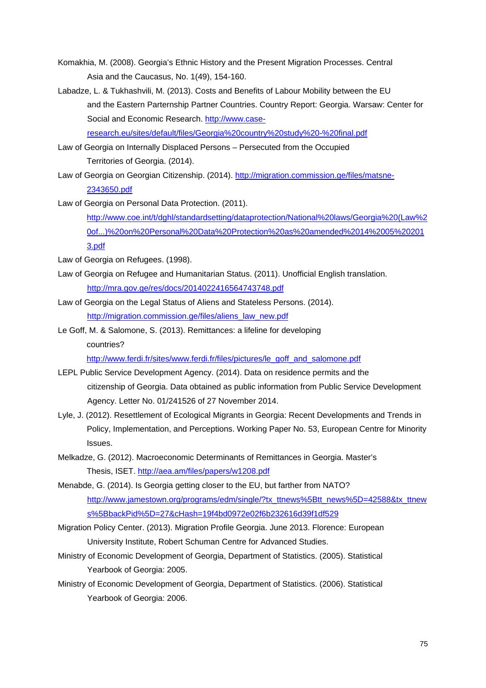- Komakhia, M. (2008). Georgia's Ethnic History and the Present Migration Processes. Central Asia and the Caucasus, No. 1(49), 154-160.
- Labadze, L. & Tukhashvili, M. (2013). Costs and Benefits of Labour Mobility between the EU and the Eastern Parternship Partner Countries. Country Report: Georgia. Warsaw: Center for Social and Economic Research. http://www.caseresearch.eu/sites/default/files/Georgia%20country%20study%20-%20final.pdf
- Law of Georgia on Internally Displaced Persons Persecuted from the Occupied Territories of Georgia. (2014).
- Law of Georgia on Georgian Citizenship. (2014). http://migration.commission.ge/files/matsne-2343650.pdf

Law of Georgia on Personal Data Protection. (2011).

http://www.coe.int/t/dghl/standardsetting/dataprotection/National%20laws/Georgia%20(Law%2 0of...)%20on%20Personal%20Data%20Protection%20as%20amended%2014%2005%20201 3.pdf

- Law of Georgia on Refugees. (1998).
- Law of Georgia on Refugee and Humanitarian Status. (2011). Unofficial English translation. http://mra.gov.ge/res/docs/2014022416564743748.pdf
- Law of Georgia on the Legal Status of Aliens and Stateless Persons. (2014). http://migration.commission.ge/files/aliens\_law\_new.pdf
- Le Goff, M. & Salomone, S. (2013). Remittances: a lifeline for developing countries?

http://www.ferdi.fr/sites/www.ferdi.fr/files/pictures/le\_goff\_and\_salomone.pdf

- LEPL Public Service Development Agency. (2014). Data on residence permits and the citizenship of Georgia. Data obtained as public information from Public Service Development Agency. Letter No. 01/241526 of 27 November 2014.
- Lyle, J. (2012). Resettlement of Ecological Migrants in Georgia: Recent Developments and Trends in Policy, Implementation, and Perceptions. Working Paper No. 53, European Centre for Minority Issues.
- Melkadze, G. (2012). Macroeconomic Determinants of Remittances in Georgia. Master's Thesis, ISET. http://aea.am/files/papers/w1208.pdf
- Menabde, G. (2014). Is Georgia getting closer to the EU, but farther from NATO? http://www.jamestown.org/programs/edm/single/?tx\_ttnews%5Btt\_news%5D=42588&tx\_ttnew s%5BbackPid%5D=27&cHash=19f4bd0972e02f6b232616d39f1df529
- Migration Policy Center. (2013). Migration Profile Georgia. June 2013. Florence: European University Institute, Robert Schuman Centre for Advanced Studies.
- Ministry of Economic Development of Georgia, Department of Statistics. (2005). Statistical Yearbook of Georgia: 2005.
- Ministry of Economic Development of Georgia, Department of Statistics. (2006). Statistical Yearbook of Georgia: 2006.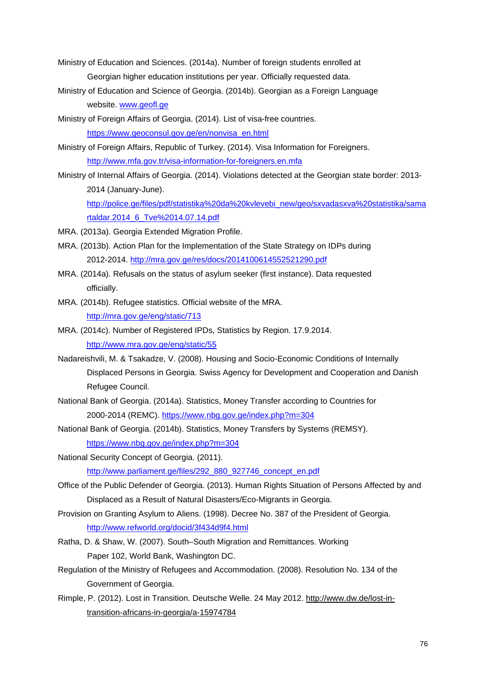- Ministry of Education and Sciences. (2014a). Number of foreign students enrolled at Georgian higher education institutions per year. Officially requested data.
- Ministry of Education and Science of Georgia. (2014b). Georgian as a Foreign Language website. www.geofl.ge
- Ministry of Foreign Affairs of Georgia. (2014). List of visa-free countries. https://www.geoconsul.gov.ge/en/nonvisa\_en.html
- Ministry of Foreign Affairs, Republic of Turkey. (2014). Visa Information for Foreigners. http://www.mfa.gov.tr/visa-information-for-foreigners.en.mfa
- Ministry of Internal Affairs of Georgia. (2014). Violations detected at the Georgian state border: 2013- 2014 (January-June).

http://police.ge/files/pdf/statistika%20da%20kvlevebi\_new/geo/sxvadasxva%20statistika/sama rtaldar.2014\_6\_Tve%2014.07.14.pdf

- MRA. (2013a). Georgia Extended Migration Profile.
- MRA. (2013b). Action Plan for the Implementation of the State Strategy on IDPs during 2012-2014. http://mra.gov.ge/res/docs/2014100614552521290.pdf
- MRA. (2014a). Refusals on the status of asylum seeker (first instance). Data requested officially.
- MRA. (2014b). Refugee statistics. Official website of the MRA. http://mra.gov.ge/eng/static/713
- MRA. (2014c). Number of Registered IPDs, Statistics by Region. 17.9.2014. http://www.mra.gov.ge/eng/static/55
- Nadareishvili, M. & Tsakadze, V. (2008). Housing and Socio-Economic Conditions of Internally Displaced Persons in Georgia. Swiss Agency for Development and Cooperation and Danish Refugee Council.
- National Bank of Georgia. (2014a). Statistics, Money Transfer according to Countries for 2000-2014 (REMC). https://www.nbg.gov.ge/index.php?m=304
- National Bank of Georgia. (2014b). Statistics, Money Transfers by Systems (REMSY). https://www.nbg.gov.ge/index.php?m=304
- National Security Concept of Georgia. (2011). http://www.parliament.ge/files/292\_880\_927746\_concept\_en.pdf
- Office of the Public Defender of Georgia. (2013). Human Rights Situation of Persons Affected by and Displaced as a Result of Natural Disasters/Eco-Migrants in Georgia.
- Provision on Granting Asylum to Aliens. (1998). Decree No. 387 of the President of Georgia. http://www.refworld.org/docid/3f434d9f4.html
- Ratha, D. & Shaw, W. (2007). South–South Migration and Remittances. Working Paper 102, World Bank, Washington DC.
- Regulation of the Ministry of Refugees and Accommodation. (2008). Resolution No. 134 of the Government of Georgia.
- Rimple, P. (2012). Lost in Transition. Deutsche Welle. 24 May 2012. http://www.dw.de/lost-intransition-africans-in-georgia/a-15974784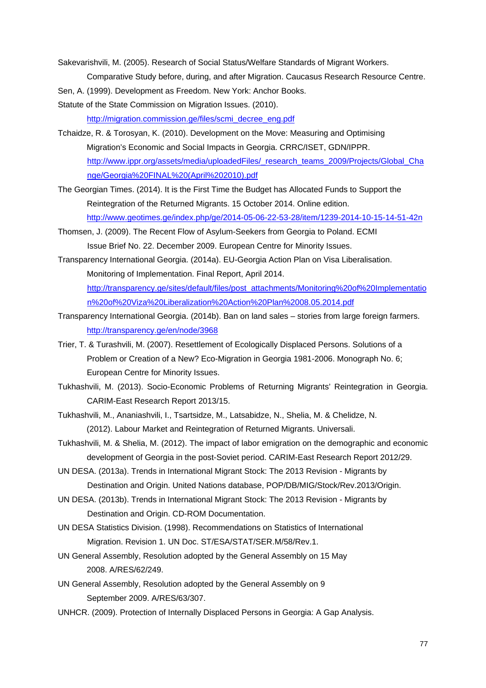Sakevarishvili, M. (2005). Research of Social Status/Welfare Standards of Migrant Workers. Comparative Study before, during, and after Migration. Caucasus Research Resource Centre.

Sen, A. (1999). Development as Freedom. New York: Anchor Books.

Statute of the State Commission on Migration Issues. (2010).

http://migration.commission.ge/files/scmi\_decree\_eng.pdf

- Tchaidze, R. & Torosyan, K. (2010). Development on the Move: Measuring and Optimising Migration's Economic and Social Impacts in Georgia. CRRC/ISET, GDN/IPPR. http://www.ippr.org/assets/media/uploadedFiles/\_research\_teams\_2009/Projects/Global\_Cha nge/Georgia%20FINAL%20(April%202010).pdf
- The Georgian Times. (2014). It is the First Time the Budget has Allocated Funds to Support the Reintegration of the Returned Migrants. 15 October 2014. Online edition. http://www.geotimes.ge/index.php/ge/2014-05-06-22-53-28/item/1239-2014-10-15-14-51-42n
- Thomsen, J. (2009). The Recent Flow of Asylum-Seekers from Georgia to Poland. ECMI Issue Brief No. 22. December 2009. European Centre for Minority Issues.
- Transparency International Georgia. (2014a). EU-Georgia Action Plan on Visa Liberalisation. Monitoring of Implementation. Final Report, April 2014.

http://transparency.ge/sites/default/files/post\_attachments/Monitoring%20of%20Implementatio n%20of%20Viza%20Liberalization%20Action%20Plan%2008.05.2014.pdf

- Transparency International Georgia. (2014b). Ban on land sales stories from large foreign farmers. http://transparency.ge/en/node/3968
- Trier, T. & Turashvili, M. (2007). Resettlement of Ecologically Displaced Persons. Solutions of a Problem or Creation of a New? Eco-Migration in Georgia 1981-2006. Monograph No. 6; European Centre for Minority Issues.
- Tukhashvili, M. (2013). Socio-Economic Problems of Returning Migrants' Reintegration in Georgia. CARIM-East Research Report 2013/15.
- Tukhashvili, M., Ananiashvili, I., Tsartsidze, M., Latsabidze, N., Shelia, M. & Chelidze, N. (2012). Labour Market and Reintegration of Returned Migrants. Universali.
- Tukhashvili, M. & Shelia, M. (2012). The impact of labor emigration on the demographic and economic development of Georgia in the post-Soviet period. CARIM-East Research Report 2012/29.
- UN DESA. (2013a). Trends in International Migrant Stock: The 2013 Revision Migrants by Destination and Origin. United Nations database, POP/DB/MIG/Stock/Rev.2013/Origin.
- UN DESA. (2013b). Trends in International Migrant Stock: The 2013 Revision Migrants by Destination and Origin. CD-ROM Documentation.
- UN DESA Statistics Division. (1998). Recommendations on Statistics of International Migration. Revision 1. UN Doc. ST/ESA/STAT/SER.M/58/Rev.1.
- UN General Assembly, Resolution adopted by the General Assembly on 15 May 2008. A/RES/62/249.
- UN General Assembly, Resolution adopted by the General Assembly on 9 September 2009. A/RES/63/307.
- UNHCR. (2009). Protection of Internally Displaced Persons in Georgia: A Gap Analysis.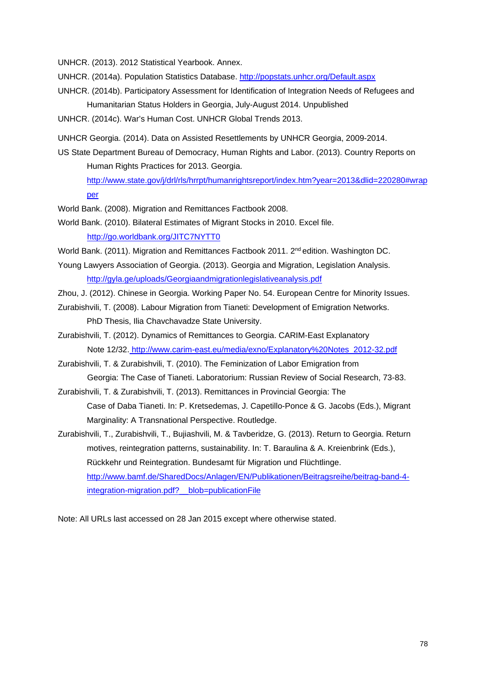UNHCR. (2013). 2012 Statistical Yearbook. Annex.

- UNHCR. (2014a). Population Statistics Database. http://popstats.unhcr.org/Default.aspx
- UNHCR. (2014b). Participatory Assessment for Identification of Integration Needs of Refugees and Humanitarian Status Holders in Georgia, July-August 2014. Unpublished
- UNHCR. (2014c). War's Human Cost. UNHCR Global Trends 2013.
- UNHCR Georgia. (2014). Data on Assisted Resettlements by UNHCR Georgia, 2009-2014.
- US State Department Bureau of Democracy, Human Rights and Labor. (2013). Country Reports on Human Rights Practices for 2013. Georgia.

http://www.state.gov/j/drl/rls/hrrpt/humanrightsreport/index.htm?year=2013&dlid=220280#wrap per

- World Bank. (2008). Migration and Remittances Factbook 2008.
- World Bank. (2010). Bilateral Estimates of Migrant Stocks in 2010. Excel file. http://go.worldbank.org/JITC7NYTT0
- World Bank. (2011). Migration and Remittances Factbook 2011. 2<sup>nd</sup> edition. Washington DC.
- Young Lawyers Association of Georgia. (2013). Georgia and Migration, Legislation Analysis. http://gyla.ge/uploads/Georgiaandmigrationlegislativeanalysis.pdf
- Zhou, J. (2012). Chinese in Georgia. Working Paper No. 54. European Centre for Minority Issues.
- Zurabishvili, T. (2008). Labour Migration from Tianeti: Development of Emigration Networks.
	- PhD Thesis, Ilia Chavchavadze State University.
- Zurabishvili, T. (2012). Dynamics of Remittances to Georgia. CARIM-East Explanatory Note 12/32. http://www.carim-east.eu/media/exno/Explanatory%20Notes\_2012-32.pdf
- Zurabishvili, T. & Zurabishvili, T. (2010). The Feminization of Labor Emigration from Georgia: The Case of Tianeti. Laboratorium: Russian Review of Social Research, 73-83.
- Zurabishvili, T. & Zurabishvili, T. (2013). Remittances in Provincial Georgia: The Case of Daba Tianeti. In: P. Kretsedemas, J. Capetillo-Ponce & G. Jacobs (Eds.), Migrant Marginality: A Transnational Perspective. Routledge.
- Zurabishvili, T., Zurabishvili, T., Bujiashvili, M. & Tavberidze, G. (2013). Return to Georgia. Return motives, reintegration patterns, sustainability. In: T. Baraulina & A. Kreienbrink (Eds.), Rückkehr und Reintegration. Bundesamt für Migration und Flüchtlinge. http://www.bamf.de/SharedDocs/Anlagen/EN/Publikationen/Beitragsreihe/beitrag-band-4 integration-migration.pdf? blob=publicationFile

Note: All URLs last accessed on 28 Jan 2015 except where otherwise stated.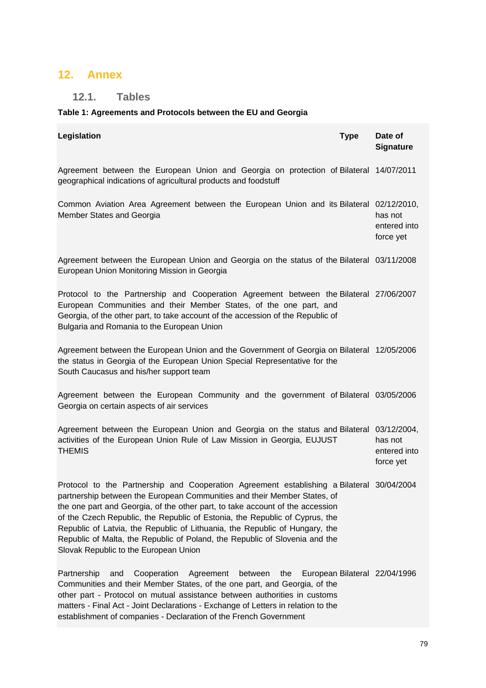## **12. Annex**

## **12.1. Tables**

### **Table 1: Agreements and Protocols between the EU and Georgia**

| Legislation                                                                                                                                                                                                                                                                                                                                                                                                                                                                                                                                  | <b>Type</b> | Date of<br><b>Signature</b>          |
|----------------------------------------------------------------------------------------------------------------------------------------------------------------------------------------------------------------------------------------------------------------------------------------------------------------------------------------------------------------------------------------------------------------------------------------------------------------------------------------------------------------------------------------------|-------------|--------------------------------------|
| Agreement between the European Union and Georgia on protection of Bilateral 14/07/2011<br>geographical indications of agricultural products and foodstuff                                                                                                                                                                                                                                                                                                                                                                                    |             |                                      |
| Common Aviation Area Agreement between the European Union and its Bilateral 02/12/2010,<br>Member States and Georgia                                                                                                                                                                                                                                                                                                                                                                                                                         |             | has not<br>entered into<br>force yet |
| Agreement between the European Union and Georgia on the status of the Bilateral 03/11/2008<br>European Union Monitoring Mission in Georgia                                                                                                                                                                                                                                                                                                                                                                                                   |             |                                      |
| Protocol to the Partnership and Cooperation Agreement between the Bilateral 27/06/2007<br>European Communities and their Member States, of the one part, and<br>Georgia, of the other part, to take account of the accession of the Republic of<br>Bulgaria and Romania to the European Union                                                                                                                                                                                                                                                |             |                                      |
| Agreement between the European Union and the Government of Georgia on Bilateral 12/05/2006<br>the status in Georgia of the European Union Special Representative for the<br>South Caucasus and his/her support team                                                                                                                                                                                                                                                                                                                          |             |                                      |
| Agreement between the European Community and the government of Bilateral 03/05/2006<br>Georgia on certain aspects of air services                                                                                                                                                                                                                                                                                                                                                                                                            |             |                                      |
| Agreement between the European Union and Georgia on the status and Bilateral 03/12/2004,<br>activities of the European Union Rule of Law Mission in Georgia, EUJUST<br><b>THEMIS</b>                                                                                                                                                                                                                                                                                                                                                         |             | has not<br>entered into<br>force yet |
| Protocol to the Partnership and Cooperation Agreement establishing a Bilateral 30/04/2004<br>partnership between the European Communities and their Member States, of<br>the one part and Georgia, of the other part, to take account of the accession<br>of the Czech Republic, the Republic of Estonia, the Republic of Cyprus, the<br>Republic of Latvia, the Republic of Lithuania, the Republic of Hungary, the<br>Republic of Malta, the Republic of Poland, the Republic of Slovenia and the<br>Slovak Republic to the European Union |             |                                      |
| Partnership<br>Cooperation<br>Agreement<br>between<br>the<br>and<br>Communities and their Member States, of the one part, and Georgia, of the<br>other part - Protocol on mutual assistance between authorities in customs<br>matters - Final Act - Joint Declarations - Exchange of Letters in relation to the<br>establishment of companies - Declaration of the French Government                                                                                                                                                         |             | European Bilateral 22/04/1996        |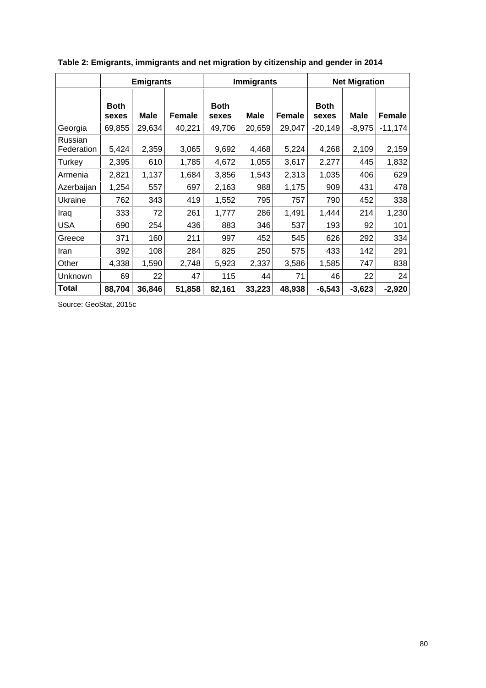|                       |                      | <b>Emigrants</b> |        |                      | <b>Immigrants</b> |               |                      | <b>Net Migration</b> |               |
|-----------------------|----------------------|------------------|--------|----------------------|-------------------|---------------|----------------------|----------------------|---------------|
|                       | <b>Both</b><br>sexes | Male             | Female | <b>Both</b><br>sexes | <b>Male</b>       | <b>Female</b> | <b>Both</b><br>sexes | Male                 | <b>Female</b> |
| Georgia               | 69,855               | 29,634           | 40,221 | 49,706               | 20,659            | 29,047        | $-20,149$            | $-8,975$             | $-11,174$     |
| Russian<br>Federation | 5,424                | 2,359            | 3,065  | 9,692                | 4,468             | 5,224         | 4,268                | 2,109                | 2,159         |
| Turkey                | 2,395                | 610              | 1,785  | 4,672                | 1,055             | 3,617         | 2,277                | 445                  | 1,832         |
| Armenia               | 2,821                | 1,137            | 1,684  | 3,856                | 1,543             | 2,313         | 1,035                | 406                  | 629           |
| Azerbaijan            | 1,254                | 557              | 697    | 2,163                | 988               | 1,175         | 909                  | 431                  | 478           |
| Ukraine               | 762                  | 343              | 419    | 1,552                | 795               | 757           | 790                  | 452                  | 338           |
| Iraq                  | 333                  | 72               | 261    | 1,777                | 286               | 1,491         | 1,444                | 214                  | 1,230         |
| <b>USA</b>            | 690                  | 254              | 436    | 883                  | 346               | 537           | 193                  | 92                   | 101           |
| Greece                | 371                  | 160              | 211    | 997                  | 452               | 545           | 626                  | 292                  | 334           |
| Iran                  | 392                  | 108              | 284    | 825                  | 250               | 575           | 433                  | 142                  | 291           |
| Other                 | 4,338                | 1,590            | 2,748  | 5,923                | 2,337             | 3,586         | 1,585                | 747                  | 838           |
| Unknown               | 69                   | 22               | 47     | 115                  | 44                | 71            | 46                   | 22                   | 24            |
| <b>Total</b>          | 88,704               | 36,846           | 51,858 | 82,161               | 33,223            | 48,938        | $-6,543$             | $-3,623$             | $-2,920$      |

**Table 2: Emigrants, immigrants and net migration by citizenship and gender in 2014** 

Source: GeoStat, 2015c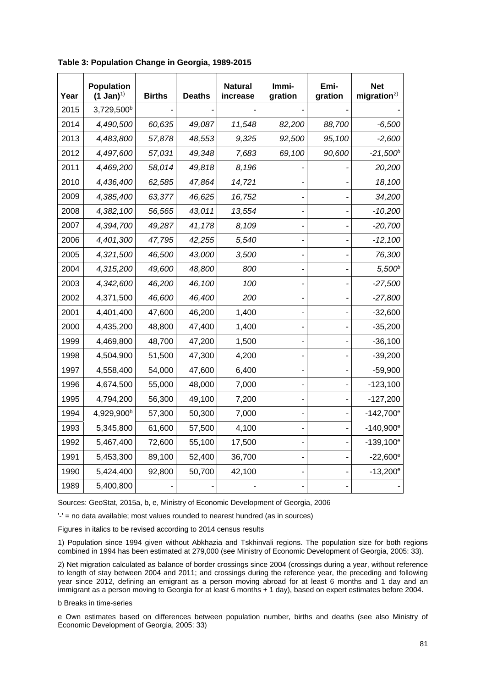| Year | <b>Population</b><br>$(1 \text{ Jan})^{1}$ | <b>Births</b> | <b>Deaths</b> | <b>Natural</b><br>increase | Immi-<br>gration | Emi-<br>gration | <b>Net</b><br>migration <sup>2</sup> |
|------|--------------------------------------------|---------------|---------------|----------------------------|------------------|-----------------|--------------------------------------|
| 2015 | 3,729,500 <sup>b</sup>                     |               |               |                            |                  |                 |                                      |
| 2014 | 4,490,500                                  | 60,635        | 49,087        | 11,548                     | 82,200           | 88,700          | $-6,500$                             |
| 2013 | 4,483,800                                  | 57,878        | 48,553        | 9,325                      | 92,500           | 95,100          | $-2,600$                             |
| 2012 | 4,497,600                                  | 57,031        | 49,348        | 7,683                      | 69,100           | 90,600          | $-21,500^b$                          |
| 2011 | 4,469,200                                  | 58,014        | 49,818        | 8,196                      |                  |                 | 20,200                               |
| 2010 | 4,436,400                                  | 62,585        | 47,864        | 14,721                     |                  |                 | 18,100                               |
| 2009 | 4,385,400                                  | 63,377        | 46,625        | 16,752                     |                  |                 | 34,200                               |
| 2008 | 4,382,100                                  | 56,565        | 43,011        | 13,554                     |                  |                 | $-10,200$                            |
| 2007 | 4,394,700                                  | 49,287        | 41,178        | 8,109                      |                  |                 | $-20,700$                            |
| 2006 | 4,401,300                                  | 47,795        | 42,255        | 5,540                      |                  |                 | $-12,100$                            |
| 2005 | 4,321,500                                  | 46,500        | 43,000        | 3,500                      |                  |                 | 76,300                               |
| 2004 | 4,315,200                                  | 49,600        | 48,800        | 800                        |                  |                 | 5,500 <sup>b</sup>                   |
| 2003 | 4,342,600                                  | 46,200        | 46,100        | 100                        |                  |                 | $-27,500$                            |
| 2002 | 4,371,500                                  | 46,600        | 46,400        | 200                        |                  |                 | $-27,800$                            |
| 2001 | 4,401,400                                  | 47,600        | 46,200        | 1,400                      |                  |                 | $-32,600$                            |
| 2000 | 4,435,200                                  | 48,800        | 47,400        | 1,400                      |                  |                 | $-35,200$                            |
| 1999 | 4,469,800                                  | 48,700        | 47,200        | 1,500                      |                  |                 | $-36,100$                            |
| 1998 | 4,504,900                                  | 51,500        | 47,300        | 4,200                      |                  |                 | $-39,200$                            |
| 1997 | 4,558,400                                  | 54,000        | 47,600        | 6,400                      |                  |                 | $-59,900$                            |
| 1996 | 4,674,500                                  | 55,000        | 48,000        | 7,000                      |                  |                 | $-123,100$                           |
| 1995 | 4,794,200                                  | 56,300        | 49,100        | 7,200                      |                  |                 | $-127,200$                           |
| 1994 | 4,929,900 <sup>b</sup>                     | 57,300        | 50,300        | 7,000                      |                  |                 | $-142,700^{\circ}$                   |
| 1993 | 5,345,800                                  | 61,600        | 57,500        | 4,100                      |                  |                 | $-140,900^{\circ}$                   |
| 1992 | 5,467,400                                  | 72,600        | 55,100        | 17,500                     |                  |                 | $-139,100^e$                         |
| 1991 | 5,453,300                                  | 89,100        | 52,400        | 36,700                     |                  |                 | $-22,600^{\circ}$                    |
| 1990 | 5,424,400                                  | 92,800        | 50,700        | 42,100                     |                  |                 | $-13,200^{\circ}$                    |
| 1989 | 5,400,800                                  |               |               |                            |                  |                 |                                      |

**Table 3: Population Change in Georgia, 1989-2015** 

Sources: GeoStat, 2015a, b, e, Ministry of Economic Development of Georgia, 2006

 $-$  = no data available; most values rounded to nearest hundred (as in sources)

Figures in italics to be revised according to 2014 census results

1) Population since 1994 given without Abkhazia and Tskhinvali regions. The population size for both regions combined in 1994 has been estimated at 279,000 (see Ministry of Economic Development of Georgia, 2005: 33).

2) Net migration calculated as balance of border crossings since 2004 (crossings during a year, without reference to length of stay between 2004 and 2011; and crossings during the reference year, the preceding and following year since 2012, defining an emigrant as a person moving abroad for at least 6 months and 1 day and an immigrant as a person moving to Georgia for at least 6 months + 1 day), based on expert estimates before 2004.

#### b Breaks in time-series

e Own estimates based on differences between population number, births and deaths (see also Ministry of Economic Development of Georgia, 2005: 33)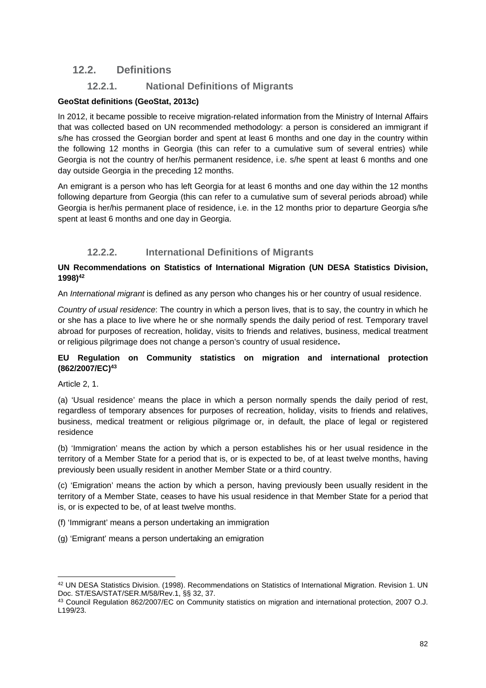### **12.2. Definitions**

### **12.2.1. National Definitions of Migrants**

#### **GeoStat definitions (GeoStat, 2013c)**

In 2012, it became possible to receive migration-related information from the Ministry of Internal Affairs that was collected based on UN recommended methodology: a person is considered an immigrant if s/he has crossed the Georgian border and spent at least 6 months and one day in the country within the following 12 months in Georgia (this can refer to a cumulative sum of several entries) while Georgia is not the country of her/his permanent residence, i.e. s/he spent at least 6 months and one day outside Georgia in the preceding 12 months.

An emigrant is a person who has left Georgia for at least 6 months and one day within the 12 months following departure from Georgia (this can refer to a cumulative sum of several periods abroad) while Georgia is her/his permanent place of residence, i.e. in the 12 months prior to departure Georgia s/he spent at least 6 months and one day in Georgia.

### **12.2.2. International Definitions of Migrants**

#### **UN Recommendations on Statistics of International Migration (UN DESA Statistics Division, 1998)42**

An *International migrant* is defined as any person who changes his or her country of usual residence.

*Country of usual residence*: The country in which a person lives, that is to say, the country in which he or she has a place to live where he or she normally spends the daily period of rest. Temporary travel abroad for purposes of recreation, holiday, visits to friends and relatives, business, medical treatment or religious pilgrimage does not change a person's country of usual residence**.** 

#### **EU Regulation on Community statistics on migration and international protection (862/2007/EC)43**

Article 2, 1.

(a) 'Usual residence' means the place in which a person normally spends the daily period of rest, regardless of temporary absences for purposes of recreation, holiday, visits to friends and relatives, business, medical treatment or religious pilgrimage or, in default, the place of legal or registered residence

(b) 'Immigration' means the action by which a person establishes his or her usual residence in the territory of a Member State for a period that is, or is expected to be, of at least twelve months, having previously been usually resident in another Member State or a third country.

(c) 'Emigration' means the action by which a person, having previously been usually resident in the territory of a Member State, ceases to have his usual residence in that Member State for a period that is, or is expected to be, of at least twelve months.

- (f) 'Immigrant' means a person undertaking an immigration
- (g) 'Emigrant' means a person undertaking an emigration

<sup>-</sup>42 UN DESA Statistics Division. (1998). Recommendations on Statistics of International Migration. Revision 1. UN Doc. ST/ESA/STAT/SER.M/58/Rev.1, §§ 32, 37.<br><sup>43</sup> Council Regulation 862/2007/EC on Community statistics on migration and international protection, 2007 O.J.

L199/23.